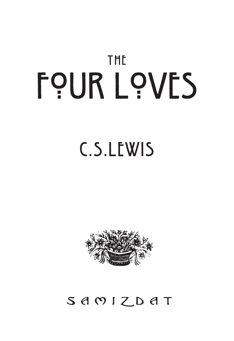## **THE** FOUR LOVES

## C.S.Lewis



### Samizdat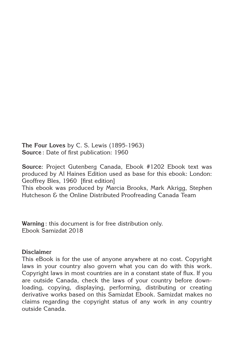**The Four Loves** by C. S. Lewis (1895-1963) **Source** : Date of first publication: 1960

**Source**: [Project Gutenberg Canada,](http://www.gutenberg.ca/) Ebook #1202 Ebook text was produced by Al Haines Edition used as base for this ebook: London: Geoffrey Bles, 1960 [first edition] This ebook was produced by Marcia Brooks, Mark Akrigg, Stephen Hutcheson & the Online Distributed Proofreading Canada Team

**Warning** : this document is for free distribution only. [Ebook Samizdat](http://www.samizdat.qc.ca/Ebooks/) 2018

#### **Disclaimer**

This eBook is for the use of anyone anywhere at no cost. Copyright laws in your country also govern what you can do with this work. Copyright laws in most countries are in a constant state of flux. If you are outside Canada, check the laws of your country before downloading, copying, displaying, performing, distributing or creating derivative works based on this Samizdat Ebook. Samizdat makes no claims regarding the copyright status of any work in any country outside Canada.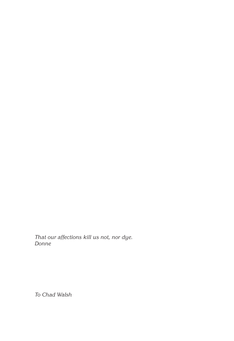*That our affections kill us not, nor dye. Donne*

*To Chad Walsh*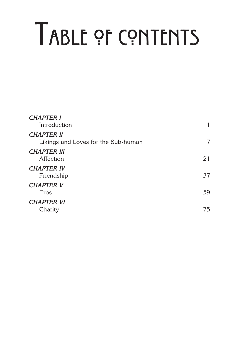# TABLE OF CONTENTS

| <b>CHAPTER I</b><br>Introduction                         | 1  |
|----------------------------------------------------------|----|
| <b>CHAPTER II</b><br>Likings and Loves for the Sub-human | 7  |
| <b>CHAPTER III</b><br>Affection                          | 21 |
| <b>CHAPTER IV</b><br>Friendship                          | 37 |
| <b>CHAPTER V</b><br>Eros                                 | 59 |
| <b>CHAPTER VI</b><br>Charity                             | 75 |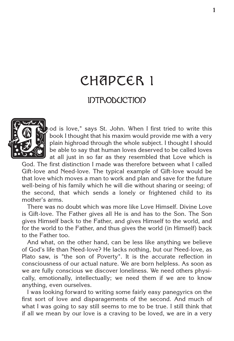### <span id="page-4-0"></span>CHAPTER I

#### **IDTRODUCTIOD**



and is love," says St. John. When I first tried to write this book I thought that his maxim would provide me with a very plain highroad through the whole subject. I thought I should be able to say that human loves deserved book I thought that his maxim would provide me with a very plain highroad through the whole subject. I thought I should be able to say that human loves deserved to be called loves at all just in so far as they resembled that Love which is

God. The first distinction I made was therefore between what I called Gift-love and Need-love. The typical example of Gift-love would be that love which moves a man to work and plan and save for the future well-being of his family which he will die without sharing or seeing; of the second, that which sends a lonely or frightened child to its mother's arms.

There was no doubt which was more like Love Himself. Divine Love is Gift-love. The Father gives all He is and has to the Son. The Son gives Himself back to the Father, and gives Himself to the world, and for the world to the Father, and thus gives the world (in Himself) back to the Father too.

And what, on the other hand, can be less like anything we believe of God's life than Need-love? He lacks nothing, but our Need-love, as Plato saw, is "the son of Poverty". It is the accurate reflection in consciousness of our actual nature. We are born helpless. As soon as we are fully conscious we discover loneliness. We need others physically, emotionally, intellectually; we need them if we are to know anything, even ourselves.

I was looking forward to writing some fairly easy panegyrics on the first sort of love and disparagements of the second. And much of what I was going to say still seems to me to be true. I still think that if all we mean by our love is a craving to be loved, we are in a very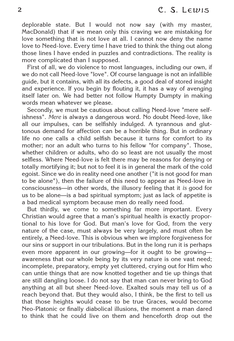deplorable state. But I would not now say (with my master, MacDonald) that if we mean only this craving we are mistaking for love something that is not love at all. I cannot now deny the name love to Need-love. Every time I have tried to think the thing out along those lines I have ended in puzzles and contradictions. The reality is more complicated than I supposed.

First of all, we do violence to most languages, including our own, if we do not call Need-love "love". Of course language is not an infallible guide, but it contains, with all its defects, a good deal of stored insight and experience. If you begin by flouting it, it has a way of avenging itself later on. We had better not follow Humpty Dumpty in making words mean whatever we please.

Secondly, we must be cautious about calling Need-love "mere selfishness". *Mere* is always a dangerous word. No doubt Need-love, like all our impulses, can be selfishly indulged. A tyrannous and gluttonous demand for affection can be a horrible thing. But in ordinary life no one calls a child selfish because it turns for comfort to its mother; nor an adult who turns to his fellow "for company". Those, whether children or adults, who do so least are not usually the most selfless. Where Need-love is felt there may be reasons for denying or totally mortifying it; but not to feel it is in general the mark of the cold egoist. Since we do in reality need one another ("it is not good for man to be alone"), then the failure of this need to appear as Need-love in consciousness—in other words, the illusory feeling that it *is* good for us to be alone—is a bad spiritual symptom; just as lack of appetite is a bad medical symptom because men do really need food.

But thirdly, we come to something far more important. Every Christian would agree that a man's spiritual health is exactly proportional to his love for God. But man's love for God, from the very nature of the case, must always be very largely, and must often be entirely, a Need-love. This is obvious when we implore forgiveness for our sins or support in our tribulations. But in the long run it is perhaps even more apparent in our growing—for it ought to be growing awareness that our whole being by its very nature is one vast need; incomplete, preparatory, empty yet cluttered, crying out for Him who can untie things that are now knotted together and tie up things that are still dangling loose. I do not say that man can never bring to God anything at all but sheer Need-love. Exalted souls may tell us of a reach beyond that. But they would also, I think, be the first to tell us that those heights would cease to be true Graces, would become Neo-Platonic or finally diabolical illusions, the moment a man dared to think that he could live on them and henceforth drop out the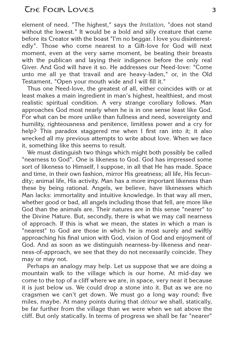element of need. "The highest," says the *Imitation*, "does not stand without the lowest." It would be a bold and silly creature that came before its Creator with the boast "I'm no beggar. I love you disinterestedly". Those who come nearest to a Gift-love for God will next moment, even at the very same moment, be beating their breasts with the publican and laying their indigence before the only real Giver. And God will have it so. He addresses our Need-love: "Come unto me all ye that travail and are heavy-laden," or, in the Old Testament, "Open your mouth wide and I will fill it."

Thus one Need-love, the greatest of all, either coincides with or at least makes a main ingredient in man's highest, healthiest, and most realistic spiritual condition. A very strange corollary follows. Man approaches God most nearly when he is in one sense least like God. For what can be more unlike than fullness and need, sovereignty and humility, righteousness and penitence, limitless power and a cry for help? This paradox staggered me when I first ran into it; it also wrecked all my previous attempts to write about love. When we face it, something like this seems to result.

We must distinguish two things which might both possibly be called "nearness to God". One is likeness to God. God has impressed some sort of likeness to Himself, I suppose, in all that He has made. Space and time, in their own fashion, mirror His greatness; all life, His fecundity; animal life, His activity. Man has a more important likeness than these by being rational. Angels, we believe, have likenesses which Man lacks: immortality and intuitive knowledge. In that way all men, whether good or bad, all angels including those that fell, are more like God than the animals are. Their natures are in this sense "nearer" to the Divine Nature. But, secondly, there is what we may call nearness of approach. If this is what we mean, the states in which a man is "nearest" to God are those in which he is most surely and swiftly approaching his final union with God, vision of God and enjoyment of God. And as soon as we distinguish nearness-by-likeness and nearness-of-approach, we see that they do not necessarily coincide. They may or may not.

Perhaps an analogy may help. Let us suppose that we are doing a mountain walk to the village which is our home. At mid-day we come to the top of a cliff where we are, in space, very near it because it is just below us. We could drop a stone into it. But as we are no cragsmen we can't get down. We must go a long way round; five miles, maybe. At many points during that *détour* we shall, statically, be far further from the village than we were when we sat above the cliff. But only statically. In terms of progress we shall be far "nearer"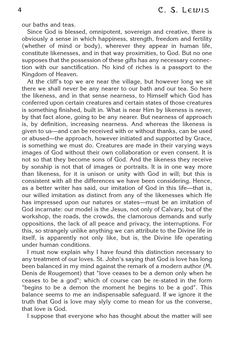**4** C. S. L ewis

our baths and teas.

Since God is blessed, omnipotent, sovereign and creative, there is obviously a sense in which happiness, strength, freedom and fertility (whether of mind or body), wherever they appear in human life, constitute likenesses, and in that way proximities, to God. But no one supposes that the possession of these gifts has any necessary connection with our sanctification. No kind of riches is a passport to the Kingdom of Heaven.

At the cliff's top we are near the village, but however long we sit there we shall never be any nearer to our bath and our tea. So here the likeness, and in that sense nearness, to Himself which God has conferred upon certain creatures and certain states of those creatures is something finished, built in. What is near Him by likeness is never, by that fact alone, going to be any nearer. But nearness of approach is, by definition, increasing nearness. And whereas the likeness is given to us—and can be received with or without thanks, can be used or abused—the approach, however initiated and supported by Grace, is something we must do. Creatures are made in their varying ways images of God without their own collaboration or even consent. It is not so that they become sons of God. And the likeness they receive by sonship is not that of images or portraits. It is in one way more than likeness, for it is unison or unity with God in will; but this is consistent with all the differences we have been considering. Hence, as a better writer has said, our imitation of God in this life—that is, our willed imitation as distinct from any of the likenesses which He has impressed upon our natures or states—must be an imitation of God incarnate: our model is the Jesus, not only of Calvary, but of the workshop, the roads, the crowds, the clamorous demands and surly oppositions, the lack of all peace and privacy, the interruptions. For this, so strangely unlike anything we can attribute to the Divine life in itself, is apparently not only like, but is, the Divine life operating under human conditions.

I must now explain why I have found this distinction necessary to any treatment of our loves. St. John's saying that God is love has long been balanced in my mind against the remark of a modern author (M. Denis de Rougemont) that "love ceases to be a demon only when he ceases to be a god"; which of course can be re-stated in the form "begins to be a demon the moment he begins to be a god". This balance seems to me an indispensable safeguard. If we ignore it the truth that God is love may slyly come to mean for us the converse, that love is God.

I suppose that everyone who has thought about the matter will see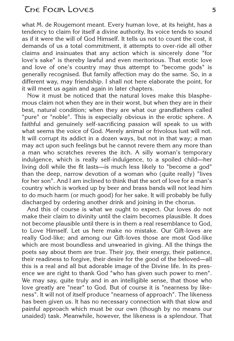what M. de Rougemont meant. Every human love, at its height, has a tendency to claim for itself a divine authority. Its voice tends to sound as if it were the will of God Himself. It tells us not to count the cost, it demands of us a total commitment, it attempts to over-ride all other claims and insinuates that any action which is sincerely done "for love's sake" is thereby lawful and even meritorious. That erotic love and love of one's country may thus attempt to "become gods" is generally recognised. But family affection may do the same. So, in a different way, may friendship. I shall not here elaborate the point, for it will meet us again and again in later chapters.

Now it must be noticed that the natural loves make this blasphemous claim not when they are in their worst, but when they are in their best, natural condition; when they are what our grandfathers called "pure" or "noble". This is especially obvious in the erotic sphere. A faithful and genuinely self-sacrificing passion will speak to us with what seems the voice of God. Merely animal or frivolous lust will not. It will corrupt its addict in a dozen ways, but not in that way; a man may act upon such feelings but he cannot revere them any more than a man who scratches reveres the itch. A silly woman's temporary indulgence, which is really self-indulgence, to a spoiled child—her living doll while the fit lasts—is much less likely to "become a god" than the deep, narrow devotion of a woman who (quite really) "lives for her son". And I am inclined to think that the sort of love for a man's country which is worked up by beer and brass bands will not lead him to do much harm (or much good) for her sake. It will probably be fully discharged by ordering another drink and joining in the chorus.

And this of course is what we ought to expect. Our loves do not make their claim to divinity until the claim becomes plausible. It does not become plausible until there is in them a real resemblance to God, to Love Himself. Let us here make no mistake. Our Gift-loves are really God-like; and among our Gift-loves those are most God-like which are most boundless and unwearied in giving. All the things the poets say about them are true. Their joy, their energy, their patience, their readiness to forgive, their desire for the good of the beloved—all this is a real and all but adorable image of the Divine life. In its presence we are right to thank God "who has given such power to men". We may say, quite truly and in an intelligible sense, that those who love greatly are "near" to God. But of course it is "nearness by likeness". It will not of itself produce "nearness of approach". The likeness has been given us. It has no necessary connection with that slow and painful approach which must be our own (though by no means our unaided) task. Meanwhile, however, the likeness is a splendour. That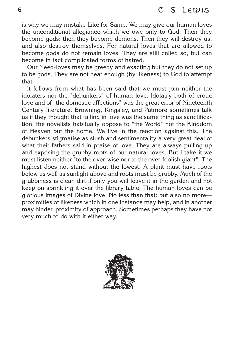is why we may mistake Like for Same. We may give our human loves the unconditional allegiance which we owe only to God. Then they become gods: then they become demons. Then they will destroy us, and also destroy themselves. For natural loves that are allowed to become gods do not remain loves. They are still called so, but can become in fact complicated forms of hatred.

Our Need-loves may be greedy and exacting but they do not set up to be gods. They are not near enough (by likeness) to God to attempt that.

It follows from what has been said that we must join neither the idolaters nor the "debunkers" of human love. Idolatry both of erotic love and of "the domestic affections" was the great error of Nineteenth Century literature. Browning, Kingsley, and Patmore sometimes talk as if they thought that falling in love was the same thing as sanctification; the novelists habitually oppose to "the World" not the Kingdom of Heaven but the home. We live in the reaction against this. The debunkers stigmatise as slush and sentimentality a very great deal of what their fathers said in praise of love. They are always pulling up and exposing the grubby roots of our natural loves. But I take it we must listen neither "to the over-wise nor to the over-foolish giant". The highest does not stand without the lowest. A plant must have roots below as well as sunlight above and roots must be grubby. Much of the grubbiness is clean dirt if only you will leave it in the garden and not keep on sprinkling it over the library table. The human loves can be glorious images of Divine love. No less than that: but also no more proximities of likeness which in one instance may help, and in another may hinder, proximity of approach. Sometimes perhaps they have not very much to do with it either way.

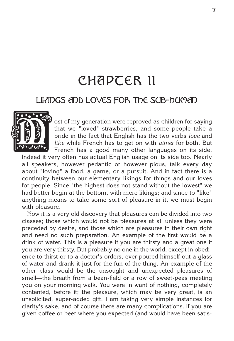## CHAPTER II

#### <span id="page-10-0"></span>Likings and Loves for the Sub-human



ost of my generation were reproved as children for saying<br>that we "loved" strawberries, and some people take a<br>pride in the fact that English has the two verbs *love* and<br>like while French has to get on with *aimer* for bo that we "loved" strawberries, and some people take a pride in the fact that English has the two verbs *love* and *like* while French has to get on with *aimer* for both. But French has a good many other languages on its side.

Indeed it very often has actual English usage on its side too. Nearly all speakers, however pedantic or however pious, talk every day about "loving" a food, a game, or a pursuit. And in fact there is a continuity between our elementary likings for things and our loves for people. Since "the highest does not stand without the lowest" we had better begin at the bottom, with mere likings; and since to "like" anything means to take some sort of pleasure in it, we must begin with pleasure.

Now it is a very old discovery that pleasures can be divided into two classes; those which would not be pleasures at all unless they were preceded by desire, and those which are pleasures in their own right and need no such preparation. An example of the first would be a drink of water. This is a pleasure if you are thirsty and a great one if you are very thirsty. But probably no one in the world, except in obedience to thirst or to a doctor's orders, ever poured himself out a glass of water and drank it just for the fun of the thing. An example of the other class would be the unsought and unexpected pleasures of smell—the breath from a bean-field or a row of sweet-peas meeting you on your morning walk. You were in want of nothing, completely contented, before it; the pleasure, which may be very great, is an unsolicited, super-added gift. I am taking very simple instances for clarity's sake, and of course there are many complications. If you are given coffee or beer where you expected (and would have been satis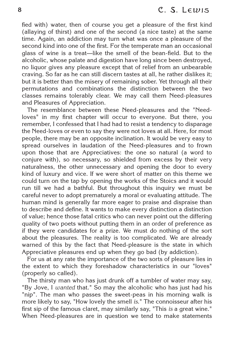fied with) water, then of course you get a pleasure of the first kind (allaying of thirst) and one of the second (a nice taste) at the same time. Again, an addiction may turn what was once a pleasure of the second kind into one of the first. For the temperate man an occasional glass of wine is a treat—like the smell of the bean-field. But to the alcoholic, whose palate and digestion have long since been destroyed, no liquor gives any pleasure except that of relief from an unbearable craving. So far as he can still discern tastes at all, he rather dislikes it; but it is better than the misery of remaining sober. Yet through all their permutations and combinations the distinction between the two classes remains tolerably clear. We may call them Need-pleasures and Pleasures of Appreciation.

The resemblance between these Need-pleasures and the "Needloves" in my first chapter will occur to everyone. But there, you remember, I confessed that I had had to resist a tendency to disparage the Need-loves or even to say they were not loves at all. Here, for most people, there may be an opposite inclination. It would be very easy to spread ourselves in laudation of the Need-pleasures and to frown upon those that are Appreciatives: the one so natural (a word to conjure with), so necessary, so shielded from excess by their very naturalness, the other unnecessary and opening the door to every kind of luxury and vice. If we were short of matter on this theme we could turn on the tap by opening the works of the Stoics and it would run till we had a bathful. But throughout this inquiry we must be careful never to adopt prematurely a moral or evaluating attitude. The human mind is generally far more eager to praise and dispraise than to describe and define. It wants to make every distinction a distinction of value; hence those fatal critics who can never point out the differing quality of two poets without putting them in an order of preference as if they were candidates for a prize. We must do nothing of the sort about the pleasures. The reality is too complicated. We are already warned of this by the fact that Need-pleasure is the state in which Appreciative pleasures end up when they go bad (by addiction).

For us at any rate the importance of the two sorts of pleasure lies in the extent to which they foreshadow characteristics in our "loves" (properly so called).

The thirsty man who has just drunk off a tumbler of water may say, "By Jove, I *wanted* that." So may the alcoholic who has just had his "nip". The man who passes the sweet-peas in his morning walk is more likely to say, "How lovely the smell *is*." The connoisseur after his first sip of the famous claret, may similarly say, "This *is* a great wine." When Need-pleasures are in question we tend to make statements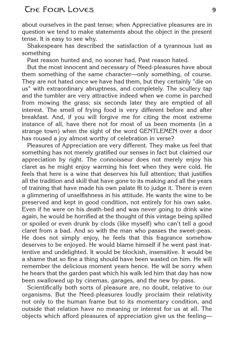about ourselves in the past tense; when Appreciative pleasures are in question we tend to make statements about the object in the present tense. It is easy to see why.

Shakespeare has described the satisfaction of a tyrannous lust as something

Past reason hunted and, no sooner had, Past reason hated.

But the most innocent and necessary of Need-pleasures have about them something of the same character—only something, of course. They are not hated once we have had them, but they certainly "die on us" with extraordinary abruptness, and completely. The scullery tap and the tumbler are very attractive indeed when we come in parched from mowing the grass; six seconds later they are emptied of all interest. The smell of frying food is very different before and after breakfast. And, if you will forgive me for citing the most extreme instance of all, have there not for most of us been moments (in a strange town) when the sight of the word GENTLEMEN over a door has roused a joy almost worthy of celebration in verse?

Pleasures of Appreciation are very different. They make us feel that something has not merely gratified our senses in fact but claimed our appreciation by right. The connoisseur does not merely enjoy his claret as he might enjoy warming his feet when they were cold. He feels that here is a wine that deserves his full attention; that justifies all the tradition and skill that have gone to its making and all the years of training that have made his own palate fit to judge it. There is even a glimmering of unselfishness in his attitude. He wants the wine to be preserved and kept in good condition, not entirely for his own sake. Even if he were on his death-bed and was never going to drink wine again, he would be horrified at the thought of this vintage being spilled or spoiled or even drunk by clods (like myself) who can't tell a good claret from a bad. And so with the man who passes the sweet-peas. He does not simply enjoy, he feels that this fragrance somehow deserves to be enjoyed. He would blame himself if he went past inattentive and undelighted. It would be blockish, insensitive. It would be a shame that so fine a thing should have been wasted on him. He will remember the delicious moment years hence. He will be sorry when he hears that the garden past which his walk led him that day has now been swallowed up by cinemas, garages, and the new by-pass.

Scientifically both sorts of pleasure are, no doubt, relative to our organisms. But the Need-pleasures loudly proclaim their relativity not only to the human frame but to its momentary condition, and outside that relation have no meaning or interest for us at all. The objects which afford pleasures of appreciation give us the feeling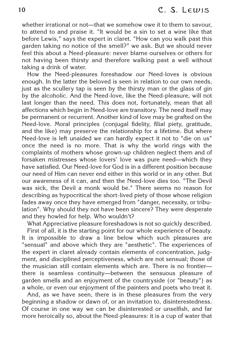whether irrational or not—that we somehow owe it to them to savour, to attend to and praise it. "It would be a sin to set a wine like that before Lewis," says the expert in claret. "How can you walk past this garden taking no notice of the smell?" we ask. But we should never feel this about a Need-pleasure: never blame ourselves or others for not having been thirsty and therefore walking past a well without taking a drink of water.

How the Need-pleasures foreshadow our Need-loves is obvious enough. In the latter the beloved is seen in relation to our own needs, just as the scullery tap is seen by the thirsty man or the glass of gin by the alcoholic. And the Need-love, like the Need-pleasure, will not last longer than the need. This does not, fortunately, mean that all affections which begin in Need-love are transitory. The need itself may be permanent or recurrent. Another kind of love may be grafted on the Need-love. Moral principles (conjugal fidelity, filial piety, gratitude, and the like) may preserve the relationship for a lifetime. But where Need-love is left unaided we can hardly expect it not to "die on us" once the need is no more. That is why the world rings with the complaints of mothers whose grown-up children neglect them and of forsaken mistresses whose lovers' love was pure need—which they have satisfied. Our Need-love for God is in a different position because our need of Him can never end either in this world or in any other. But our awareness of it can, and then the Need-love dies too. "The Devil was sick, the Devil a monk would be." There seems no reason for describing as hypocritical the short-lived piety of those whose religion fades away once they have emerged from "danger, necessity, or tribulation". Why should they not have been sincere? They were desperate and they howled for help. Who wouldn't?

What Appreciative pleasure foreshadows is not so quickly described. First of all, it is the starting point for our whole experience of beauty. It is impossible to draw a line below which such pleasures are "sensual" and above which they are "aesthetic". The experiences of the expert in claret already contain elements of concentration, judgment, and disciplined perceptiveness, which are not sensual; those of the musician still contain elements which are. There is no frontier there is seamless continuity—between the sensuous pleasure of garden smells and an enjoyment of the countryside (or "beauty") as a whole, or even our enjoyment of the painters and poets who treat it.

And, as we have seen, there is in these pleasures from the very beginning a shadow or dawn of, or an invitation to, disinterestedness. Of course in one way we can be disinterested or unselfish, and far more heroically so, about the Need-pleasures: it is a cup of water that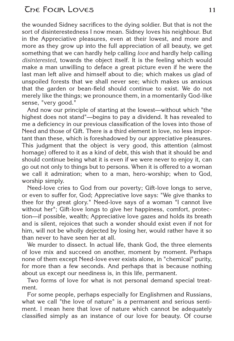the wounded Sidney sacrifices to the dying soldier. But that is not the sort of disinterestedness I now mean. Sidney loves his neighbour. But in the Appreciative pleasures, even at their lowest, and more and more as they grow up into the full appreciation of all beauty, we get something that we can hardly help calling *love* and hardly help calling *disinterested*, towards the object itself. It is the feeling which would make a man unwilling to deface a great picture even if he were the last man left alive and himself about to die; which makes us glad of unspoiled forests that we shall never see; which makes us anxious that the garden or bean-field should continue to exist. We do not merely like the things; we pronounce them, in a momentarily God-like sense, "very good."

And now our principle of starting at the lowest—without which "the highest does not stand"—begins to pay a dividend. It has revealed to me a deficiency in our previous classification of the loves into those of Need and those of Gift. There is a third element in love, no less important than these, which is foreshadowed by our appreciative pleasures. This judgment that the object is very good, this attention (almost homage) offered to it as a kind of debt, this wish that it should be and should continue being what it is even if we were never to enjoy it, can go out not only to things but to persons. When it is offered to a woman we call it admiration; when to a man, hero-worship; when to God, worship simply.

Need-love cries to God from our poverty; Gift-love longs to serve, or even to suffer for, God; Appreciative love says: "We give thanks to thee for thy great glory." Need-love says of a woman "I cannot live without her"; Gift-love longs to give her happiness, comfort, protection—if possible, wealth; Appreciative love gazes and holds its breath and is silent, rejoices that such a wonder should exist even if not for him, will not be wholly dejected by losing her, would rather have it so than never to have seen her at all.

We murder to dissect. In actual life, thank God, the three elements of love mix and succeed on another, moment by moment. Perhaps none of them except Need-love ever exists alone, in "chemical" purity, for more than a few seconds. And perhaps that is because nothing about us except our neediness is, in this life, permanent.

Two forms of love for what is not personal demand special treatment.

For some people, perhaps especially for Englishmen and Russians, what we call "the love of nature" is a permanent and serious sentiment. I mean here that love of nature which cannot be adequately classified simply as an instance of our love for beauty. Of course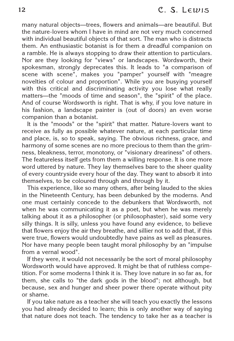many natural objects—trees, flowers and animals—are beautiful. But the nature-lovers whom I have in mind are not very much concerned with individual beautiful objects of that sort. The man who is distracts them. An enthusiastic botanist is for them a dreadful companion on a ramble. He is always stopping to draw their attention to particulars. Nor are they looking for "views" or landscapes. Wordsworth, their spokesman, strongly deprecates this. It leads to "a comparison of scene with scene", makes you "pamper" yourself with "meagre novelties of colour and proportion". While you are busying yourself with this critical and discriminating activity you lose what really matters—the "moods of time and season", the "spirit" of the place. And of course Wordsworth is right. That is why, if you love nature in his fashion, a landscape painter is (out of doors) an even worse companion than a botanist.

It is the "moods" or the "spirit" that matter. Nature-lovers want to receive as fully as possible whatever nature, at each particular time and place, is, so to speak, saying. The obvious richness, grace, and harmony of some scenes are no more precious to them than the grimness, bleakness, terror, monotony, or "visionary dreariness" of others. The featureless itself gets from them a willing response. It is one more word uttered by nature. They lay themselves bare to the sheer quality of every countryside every hour of the day. They want to absorb it into themselves, to be coloured through and through by it.

This experience, like so many others, after being lauded to the skies in the Nineteenth Century, has been debunked by the moderns. And one must certainly concede to the debunkers that Wordsworth, not when he was communicating it as a poet, but when he was merely talking about it as a philosopher (or philosophaster), said some very silly things. It is silly, unless you have found any evidence, to believe that flowers enjoy the air they breathe, and sillier not to add that, if this were true, flowers would undoubtedly have pains as well as pleasures. Nor have many people been taught moral philosophy by an "impulse from a vernal wood".

If they were, it would not necessarily be the sort of moral philosophy Wordsworth would have approved. It might be that of ruthless competition. For some moderns I think it is. They love nature in so far as, for them, she calls to "the dark gods in the blood"; not although, but because, sex and hunger and sheer power there operate without pity or shame.

If you take nature as a teacher she will teach you exactly the lessons you had already decided to learn; this is only another way of saying that nature does not teach. The tendency to take her as a teacher is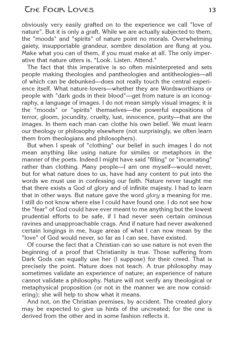obviously very easily grafted on to the experience we call "love of nature". But it is only a graft. While we are actually subjected to them, the "moods" and "spirits" of nature point no morals. Overwhelming gaiety, insupportable grandeur, sombre desolation are flung at you. Make what you can of them, if you must make at all. The only imperative that nature utters is, "Look. Listen. Attend."

The fact that this imperative is so often misinterpreted and sets people making theologies and pantheologies and antitheologies—all of which can be debunked—does not really touch the central experience itself. What nature-lovers—whether they are Wordsworthians or people with "dark gods in their blood"—get from nature is an iconography, a language of images. I do not mean simply visual images; it is the "moods" or "spirits" themselves—the powerful expositions of terror, gloom, jocundity, cruelty, lust, innocence, purity—that are the images. In them each man can clothe his own belief. We must learn our theology or philosophy elsewhere (not surprisingly, we often learn them from theologians and philosophers).

But when I speak of "clothing" our belief in such images I do not mean anything like using nature for similes or metaphors in the manner of the poets. Indeed I might have said "filling" or "incarnating" rather than clothing. Many people—I am one myself—would never, but for what nature does to us, have had any content to put into the words we must use in confessing our faith. Nature never taught me that there exists a God of glory and of infinite majesty. I had to learn that in other ways. But nature gave the word *glory* a meaning for me. I still do not know where else I could have found one. I do not see how the "fear" of God could have ever meant to me anything but the lowest prudential efforts to be safe, if I had never seen certain ominous ravines and unapproachable crags. And if nature had never awakened certain longings in me, huge areas of what I can now mean by the "love" of God would never, so far as I can see, have existed.

Of course the fact that a Christian can so use nature is not even the beginning of a proof that Christianity is true. Those suffering from Dark Gods can equally use her (I suppose) for their creed. That is precisely the point. Nature does not teach. A true philosophy may sometimes validate an experience of nature; an experience of nature cannot validate a philosophy. Nature will not verify any theological or metaphysical proposition (or not in the manner we are now considering); she will help to show what it means.

And not, on the Christian premises, by accident. The created glory may be expected to give us hints of the uncreated; for the one is derived from the other and in some fashion reflects it.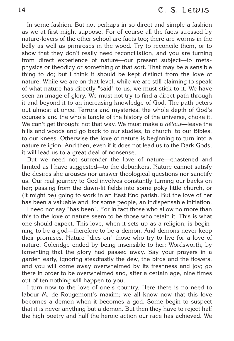In some fashion. But not perhaps in so direct and simple a fashion as we at first might suppose. For of course all the facts stressed by nature-lovers of the other school are facts too; there are worms in the belly as well as primroses in the wood. Try to reconcile them, or to show that they don't really need reconciliation, and you are turning from direct experience of nature—our present subject—to metaphysics or theodicy or something of that sort. That may be a sensible thing to do; but I think it should be kept distinct from the love of nature. While we are on that level, while we are still claiming to speak of what nature has directly "said" to us, we must stick to it. We have seen an image of glory. We must not try to find a direct path through it and beyond it to an increasing knowledge of God. The path peters out almost at once. Terrors and mysteries, the whole depth of God's counsels and the whole tangle of the history of the universe, choke it. We can't get through; not that way. We must make a *détour*—leave the hills and woods and go back to our studies, to church, to our Bibles, to our knees. Otherwise the love of nature is beginning to turn into a nature religion. And then, even if it does not lead us to the Dark Gods, it will lead us to a great deal of nonsense.

But we need not surrender the love of nature—chastened and limited as I have suggested—to the debunkers. Nature cannot satisfy the desires she arouses nor answer theological questions nor sanctify us. Our real journey to God involves constantly turning our backs on her; passing from the dawn-lit fields into some poky little church, or (it might be) going to work in an East End parish. But the love of her has been a valuable and, for some people, an indispensable initiation.

I need not say "has been". For in fact those who allow no more than this to the love of nature seem to be those who retain it. This is what one should expect. This love, when it sets up as a religion, is beginning to be a god—therefore to be a demon. And demons never keep their promises. Nature "dies on" those who try to live for a love of nature. Coleridge ended by being insensible to her; Wordsworth, by lamenting that the glory had passed away. Say your prayers in a garden early, ignoring steadfastly the dew, the birds and the flowers, and you will come away overwhelmed by its freshness and joy; go there in order to be overwhelmed and, after a certain age, nine times out of ten nothing will happen to you.

I turn now to the love of one's country. Here there is no need to labour M. de Rougemont's maxim; we all know now that this love becomes a demon when it becomes a god. Some begin to suspect that it is never anything but a demon. But then they have to reject half the high poetry and half the heroic action our race has achieved. We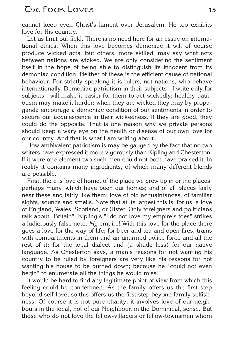cannot keep even Christ's lament over Jerusalem. He too exhibits love for His country.

Let us limit our field. There is no need here for an essay on international ethics. When this love becomes demoniac it will of course produce wicked acts. But others, more skilled, may say what acts between nations are wicked. We are only considering the sentiment itself in the hope of being able to distinguish its innocent from its demoniac condition. Neither of these is the efficient cause of national behaviour. For strictly speaking it is rulers, not nations, who behave internationally. Demoniac patriotism in their subjects—I write only for subjects—will make it easier for them to act wickedly; healthy patriotism may make it harder: when they are wicked they may by propaganda encourage a demoniac condition of our sentiments in order to secure our acquiescence in their wickedness. If they are good, they could do the opposite. That is one reason why we private persons should keep a wary eye on the health or disease of our own love for our country. And that is what I am writing about.

How ambivalent patriotism is may be gauged by the fact that no two writers have expressed it more vigorously than Kipling and Chesterton. If it were one element two such men could not both have praised it. In reality it contains many ingredients, of which many different blends are possible.

First, there is love of home, of the place we grew up in or the places, perhaps many, which have been our homes; and of all places fairly near these and fairly like them; love of old acquaintances, of familiar sights, sounds and smells. Note that at its largest this is, for us, a love of England, Wales, Scotland, or Ulster. Only foreigners and politicians talk about "Britain". Kipling's "I do not love my empire's foes" strikes a ludicrously false note. *My* empire! With this love for the place there goes a love for the way of life; for beer and tea and open fires, trains with compartments in them and an unarmed police force and all the rest of it; for the local dialect and (a shade less) for our native language. As Chesterton says, a man's reasons for not wanting his country to be ruled by foreigners are very like his reasons for not wanting his house to be burned down; because he "could not even begin" to enumerate all the things he would miss.

It would be hard to find any legitimate point of view from which this feeling could be condemned. As the family offers us the first step beyond self-love, so this offers us the first step beyond family selfishness. Of course it is not pure charity; it involves love of our neighbours in the local, not of our Neighbour, in the Dominical, sense. But those who do not love the fellow-villagers or fellow-townsmen whom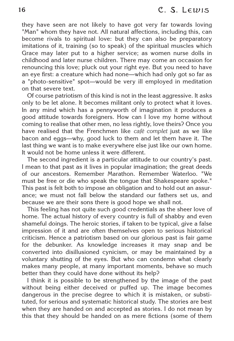they have seen are not likely to have got very far towards loving "Man" whom they have not. All natural affections, including this, can become rivals to spiritual love: but they can also be preparatory imitations of it, training (so to speak) of the spiritual muscles which Grace may later put to a higher service; as women nurse dolls in childhood and later nurse children. There may come an occasion for renouncing this love; pluck out your right eye. But you need to have an eye first: a creature which had none—which had only got so far as a "photo-sensitive" spot—would be very ill employed in meditation on that severe text.

Of course patriotism of this kind is not in the least aggressive. It asks only to be let alone. It becomes militant only to protect what it loves. In any mind which has a pennyworth of imagination it produces a good attitude towards foreigners. How can I love my home without coming to realise that other men, no less rightly, love theirs? Once you have realised that the Frenchmen like *café complet* just as we like bacon and eggs—why, good luck to them and let them have it. The last thing we want is to make everywhere else just like our own home. It would not be home unless it were different.

The second ingredient is a particular attitude to our country's past. I mean to that past as it lives in popular imagination; the great deeds of our ancestors. Remember Marathon. Remember Waterloo. "We must be free or die who speak the tongue that Shakespeare spoke." This past is felt both to impose an obligation and to hold out an assurance; we must not fall below the standard our fathers set us, and because we are their sons there is good hope we shall not.

This feeling has not quite such good credentials as the sheer love of home. The actual history of every country is full of shabby and even shameful doings. The heroic stories, if taken to be typical, give a false impression of it and are often themselves open to serious historical criticism. Hence a patriotism based on our glorious past is fair game for the debunker. As knowledge increases it may snap and be converted into disillusioned cynicism, or may be maintained by a voluntary shutting of the eyes. But who can condemn what clearly makes many people, at many important moments, behave so much better than they could have done without its help?

I think it is possible to be strengthened by the image of the past without being either deceived or puffed up. The image becomes dangerous in the precise degree to which it is mistaken, or substituted, for serious and systematic historical study. The stories are best when they are handed on and accepted as stories. I do not mean by this that they should be handed on as mere fictions (some of them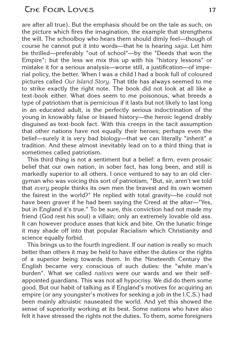are after all true). But the emphasis should be on the tale as such, on the picture which fires the imagination, the example that strengthens the will. The schoolboy who hears them should dimly feel—though of course he cannot put it into words—that he is hearing *saga*. Let him be thrilled—preferably "out of school"—by the "Deeds that won the Empire"; but the less we mix this up with his "history lessons" or mistake it for a serious analysis—worse still, a justification—of imperial policy, the better. When I was a child I had a book full of coloured pictures called *Our Island Story*. That title has always seemed to me to strike exactly the right note. The book did not look at all like a text-book either. What does seem to me poisonous, what breeds a type of patriotism that is pernicious if it lasts but not likely to last long in an educated adult, is the perfectly serious indoctrination of the young in knowably false or biased history—the heroic legend drably disguised as text-book fact. With this creeps in the tacit assumption that other nations have not equally their heroes; perhaps even the belief—surely it is very bad biology—that we can literally "inherit" a tradition. And these almost inevitably lead on to a third thing that is sometimes called patriotism.

This third thing is not a sentiment but a belief: a firm, even prosaic belief that our own nation, in sober fact, has long been, and still is markedly superior to all others. I once ventured to say to an old clergyman who was voicing this sort of patriotism, "But, sir, aren't we told that *every* people thinks its own men the bravest and its own women the fairest in the world?" He replied with total gravity—he could not have been graver if he had been saying the Creed at the altar—"Yes, but in England it's true." To be sure, this conviction had not made my friend (God rest his soul) a villain; only an extremely lovable old ass. It can however produce asses that kick and bite. On the lunatic fringe it may shade off into that popular Racialism which Christianity and science equally forbid.

This brings us to the fourth ingredient. If our nation is really so much better than others it may be held to have either the duties or the rights of a superior being towards them. In the Nineteenth Century the English became very conscious of such duties: the "white man's burden". What we called *natives* were our wards and we their selfappointed guardians. This was not all hypocrisy. We did do them some good. But our habit of talking as if England's motives for acquiring an empire (or any youngster's motives for seeking a job in the I.C.S.) had been mainly altruistic nauseated the world. And yet this showed the sense of superiority working at its best. Some nations who have also felt it have stressed the rights not the duties. To them, some foreigners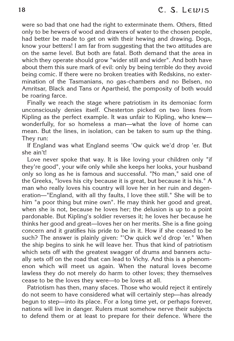were so bad that one had the right to exterminate them. Others, fitted only to be hewers of wood and drawers of water to the chosen people, had better be made to get on with their hewing and drawing. Dogs, know your betters! I am far from suggesting that the two attitudes are on the same level. But both are fatal. Both demand that the area in which they operate should grow "wider still and wider". And both have about them this sure mark of evil: only by being terrible do they avoid being comic. If there were no broken treaties with Redskins, no extermination of the Tasmanians, no gas-chambers and no Belsen, no Amritsar, Black and Tans or Apartheid, the pomposity of both would be roaring farce.

Finally we reach the stage where patriotism in its demoniac form unconsciously denies itself. Chesterton picked on two lines from Kipling as the perfect example. It was unfair to Kipling, who knew wonderfully, for so homeless a man—what the love of home can mean. But the lines, in isolation, can be taken to sum up the thing. They run:

If England was what England seems 'Ow quick we'd drop 'er. But she ain't!

Love never spoke that way. It is like loving your children only "if they're good", your wife only while she keeps her looks, your husband only so long as he is famous and successful. "No man," said one of the Greeks, "loves his city because it is great, but because it is his." A man who really loves his country will love her in her ruin and degeneration—"England, with all thy faults, I love thee still." She will be to him "a poor thing but mine own". He may think her good and great, when she is not, because he loves her; the delusion is up to a point pardonable. But Kipling's soldier reverses it; he loves her because he thinks her good and great—loves her on her merits. She is a fine going concern and it gratifies his pride to be in it. How if she ceased to be such? The answer is plainly given: "'Ow quick we'd drop 'er." When the ship begins to sink he will leave her. Thus that kind of patriotism which sets off with the greatest swagger of drums and banners actually sets off on the road that can lead to Vichy. And this is a phenomenon which will meet us again. When the natural loves become lawless they do not merely do harm to other loves; they themselves cease to be the loves they were—to be loves at all.

Patriotism has then, many sfaces. Those who would reject it entirely do not seem to have considered what will certainly step—has already begun to step—into its place. For a long time yet, or perhaps forever, nations will live in danger. Rulers must somehow nerve their subjects to defend them or at least to prepare for their defence. Where the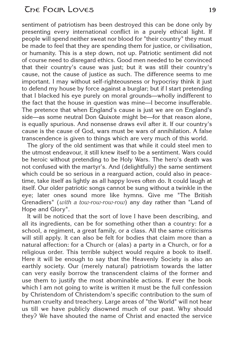sentiment of patriotism has been destroyed this can be done only by presenting every international conflict in a purely ethical light. If people will spend neither sweat nor blood for "their country" they must be made to feel that they are spending them for justice, or civilisation, or humanity. This is a step down, not up. Patriotic sentiment did not of course need to disregard ethics. Good men needed to be convinced that their country's cause was just; but it was still their country's cause, not the cause of justice as such. The difference seems to me important. I may without self-righteousness or hypocrisy think it just to defend my house by force against a burglar; but if I start pretending that I blacked his eye purely on moral grounds—wholly indifferent to the fact that the house in question was mine—I become insufferable. The pretence that when England's cause is just we are on England's side—as some neutral Don Quixote might be—for that reason alone, is equally spurious. And nonsense draws evil after it. If our country's cause is the cause of God, wars must be wars of annihilation. A false transcendence is given to things which are very much of this world.

The glory of the old sentiment was that while it could steel men to the utmost endeavour, it still knew itself to be a sentiment. Wars could be heroic without pretending to be Holy Wars. The hero's death was not confused with the martyr's. And (delightfully) the same sentiment which could be so serious in a rearguard action, could also in peacetime, take itself as lightly as all happy loves often do. It could laugh at itself. Our older patriotic songs cannot be sung without a twinkle in the eye; later ones sound more like hymns. Give me "The British Grenadiers" (*with a tow-row-row-row*) any day rather than "Land of Hope and Glory".

It will be noticed that the sort of love I have been describing, and all its ingredients, can be for something other than a country: for a school, a regiment, a great family, or a class. All the same criticisms will still apply. It can also be felt for bodies that claim more than a natural affection: for a Church or (alas) a party in a Church, or for a religious order. This terrible subject would require a book to itself. Here it will be enough to say that the Heavenly Society is also an earthly society. Our (merely natural) patriotism towards the latter can very easily borrow the transcendent claims of the former and use them to justify the most abominable actions. If ever the book which I am not going to write is written it must be the full confession by Christendom of Christendom's specific contribution to the sum of human cruelty and treachery. Large areas of "the World" will not hear us till we have publicly disowned much of our past. Why should they? We have shouted the name of Christ and enacted the service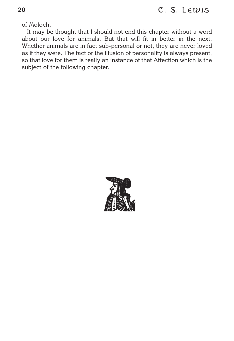of Moloch.

It may be thought that I should not end this chapter without a word about our love for animals. But that will fit in better in the next. Whether animals are in fact sub-personal or not, they are never loved as if they were. The fact or the illusion of personality is always present, so that love for them is really an instance of that Affection which is the subject of the following chapter.

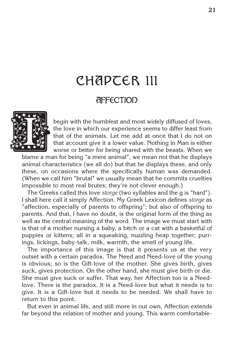## <span id="page-24-0"></span>CHAPTER III

#### **AFFECTIOD**



I begin with the humblest and most widely diffused of loves,<br>the love in which our experience seems to differ least from<br>that of the animals. Let me add at once that I do not on<br>that account give it a lower value. Nothing the love in which our experience seems to differ least from that of the animals. Let me add at once that I do not on that account give it a lower value. Nothing in Man is either worse or better for being shared with the beasts. When we

blame a man for being "a mere animal", we mean not that he displays animal characteristics (we all do) but that he displays these, and only these, on occasions where the specifically human was demanded. (When we call him "brutal" we usually mean that he commits cruelties impossible to most real brutes; they're not clever enough.)

The Greeks called this love *storge* (two syllables and the g is "hard"). I shall here call it simply Affection. My Greek Lexicon defines *storge* as "affection, especially of parents to offspring"; but also of offspring to parents. And that, I have no doubt, is the original form of the thing as well as the central meaning of the word. The image we must start with is that of a mother nursing a baby, a bitch or a cat with a basketful of puppies or kittens; all in a squeaking, nuzzling heap together; purrings, lickings, baby-talk, milk, warmth, the smell of young life.

The importance of this image is that it presents us at the very outset with a certain paradox. The Need and Need-love of the young is obvious; so is the Gift-love of the mother. She gives birth, gives suck, gives protection. On the other hand, she must give birth or die. She must give suck or suffer. That way, her Affection too is a Needlove. There is the paradox. It is a Need-love but what it needs is to give. It is a Gift-love but it needs to be needed. We shall have to return to this point.

But even in animal life, and still more in our own, Affection extends far beyond the relation of mother and young. This warm comfortable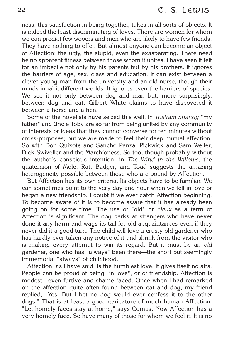ness, this satisfaction in being together, takes in all sorts of objects. It is indeed the least discriminating of loves. There are women for whom we can predict few wooers and men who are likely to have few friends. They have nothing to offer. But almost anyone can become an object of Affection; the ugly, the stupid, even the exasperating. There need be no apparent fitness between those whom it unites. I have seen it felt for an imbecile not only by his parents but by his brothers. It ignores the barriers of age, sex, class and education. It can exist between a clever young man from the university and an old nurse, though their minds inhabit different worlds. It ignores even the barriers of species. We see it not only between dog and man but, more surprisingly, between dog and cat. Gilbert White claims to have discovered it between a horse and a hen.

Some of the novelists have seized this well. In *Tristram Shandy* "my father" and Uncle Toby are so far from being united by any community of interests or ideas that they cannot converse for ten minutes without cross-purposes; but we are made to feel their deep mutual affection. So with Don Quixote and Sancho Panza, Pickwick and Sam Weller, Dick Swiveller and the Marchioness. So too, though probably without the author's conscious intention, in *The Wind in the Willows*; the quaternion of Mole, Rat, Badger, and Toad suggests the amazing heterogeneity possible between those who are bound by Affection.

But Affection has its own criteria. Its objects have to be familiar. We can sometimes point to the very day and hour when we fell in love or began a new friendship. I doubt if we ever catch Affection beginning. To become aware of it is to become aware that it has already been going on for some time. The use of "old" or *vieux* as a term of Affection is significant. The dog barks at strangers who have never done it any harm and wags its tail for old acquaintances even if they never did it a good turn. The child will love a crusty old gardener who has hardly ever taken any notice of it and shrink from the visitor who is making every attempt to win its regard. But it must be an *old* gardener, one who has "always" been there—the short but seemingly immemorial "always" of childhood.

Affection, as I have said, is the humblest love. It gives itself no airs. People can be proud of being "in love", or of friendship. Affection is modest—even furtive and shame-faced. Once when I had remarked on the affection quite often found between cat and dog, my friend replied, "Yes. But I bet no dog would ever confess it to the other dogs." That is at least a good caricature of much human Affection. "Let homely faces stay at home," says Comus. Now Affection has a very homely face. So have many of those for whom we feel it. It is no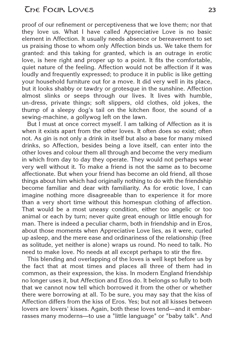proof of our refinement or perceptiveness that we love them; nor that they love us. What I have called Appreciative Love is no basic element in Affection. It usually needs absence or bereavement to set us praising those to whom only Affection binds us. We take them for granted: and this taking for granted, which is an outrage in erotic love, is here right and proper up to a point. It fits the comfortable, quiet nature of the feeling. Affection would not be affection if it was loudly and frequently expressed; to produce it in public is like getting your household furniture out for a move. It did very well in its place, but it looks shabby or tawdry or grotesque in the sunshine. Affection almost slinks or seeps through our lives. It lives with humble, un-dress, private things; soft slippers, old clothes, old jokes, the thump of a sleepy dog's tail on the kitchen floor, the sound of a sewing-machine, a gollywog left on the lawn.

But I must at once correct myself. I am talking of Affection as it is when it exists apart from the other loves. It often does so exist; often not. As gin is not only a drink in itself but also a base for many mixed drinks, so Affection, besides being a love itself, can enter into the other loves and colour them all through and become the very medium in which from day to day they operate. They would not perhaps wear very well without it. To make a friend is not the same as to become affectionate. But when your friend has become an old friend, all those things about him which had originally nothing to do with the friendship become familiar and dear with familiarity. As for erotic love, I can imagine nothing more disagreeable than to experience it for more than a very short time without this homespun clothing of affection. That would be a most uneasy condition, either too angelic or too animal or each by turn; never quite great enough or little enough for man. There is indeed a peculiar charm, both in friendship and in Eros, about those moments when Appreciative Love lies, as it were, curled up asleep, and the mere ease and ordinariness of the relationship (free as solitude, yet neither is alone) wraps us round. No need to talk. No need to make love. No needs at all except perhaps to stir the fire.

This blending and overlapping of the loves is well kept before us by the fact that at most times and places all three of them had in common, as their expression, the kiss. In modern England friendship no longer uses it, but Affection and Eros do. It belongs so fully to both that we cannot now tell which borrowed it from the other or whether there were borrowing at all. To be sure, you may say that the kiss of Affection differs from the kiss of Eros. Yes; but not all kisses between lovers are lovers' kisses. Again, both these loves tend—and it embarrasses many moderns—to use a "little language" or "baby talk". And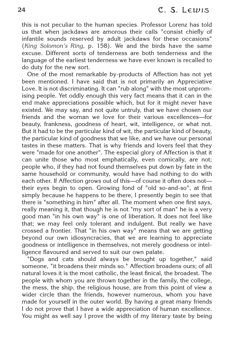this is not peculiar to the human species. Professor Lorenz has told us that when jackdaws are amorous their calls "consist chiefly of infantile sounds reserved by adult jackdaws for these occasions" (*King Solomon's Ring*, p. 158). We and the birds have the same excuse. Different sorts of tenderness are both tenderness and the language of the earliest tenderness we have ever known is recalled to do duty for the new sort.

One of the most remarkable by-products of Affection has not yet been mentioned. I have said that is not primarily an Appreciative Love. It is not discriminating. It can "rub along" with the most unpromising people. Yet oddly enough this very fact means that it can in the end make appreciations possible which, but for it might never have existed. We may say, and not quite untruly, that we have chosen our friends and the woman we love for their various excellences—for beauty, frankness, goodness of heart, wit, intelligence, or what not. But it had to be the particular kind of wit, the particular kind of beauty, the particular kind of goodness that we like, and we have our personal tastes in these matters. That is why friends and lovers feel that they were "made for one another". The especial glory of Affection is that it can unite those who most emphatically, even comically, are not; people who, if they had not found themselves put down by fate in the same household or community, would have had nothing to do with each other. If Affection grows out of this—of course it often does not their eyes begin to open. Growing fond of "old so-and-so", at first simply because he happens to be there, I presently begin to see that there is "something in him" after all. The moment when one first says, really meaning it, that though he is not "my sort of man" he is a very good man "in his own way" is one of liberation. It does not feel like that; we may feel only tolerant and indulgent. But really we have crossed a frontier. That "in his own way" means that we are getting beyond our own idiosyncracies, that we are learning to appreciate goodness or intelligence in themselves, not merely goodness or intelligence flavoured and served to suit our own palate.

"Dogs and cats should always be brought up together," said someone, "it broadens their minds so." Affection broadens ours; of all natural loves it is the most catholic, the least finical, the broadest. The people with whom you are thrown together in the family, the college, the mess, the ship, the religious house, are from this point of view a wider circle than the friends, however numerous, whom you have made for yourself in the outer world. By having a great many friends I do not prove that I have a wide appreciation of human excellence. You might as well say I prove the width of my literary taste by being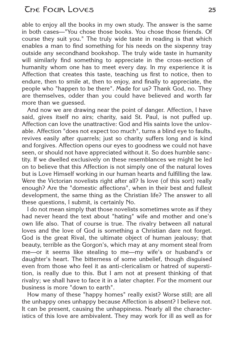able to enjoy all the books in my own study. The answer is the same in both cases—"You chose those books. You chose those friends. Of course they suit you." The truly wide taste in reading is that which enables a man to find something for his needs on the sixpenny tray outside any secondhand bookshop. The truly wide taste in humanity will similarly find something to appreciate in the cross-section of humanity whom one has to meet every day. In my experience it is Affection that creates this taste, teaching us first to notice, then to endure, then to smile at, then to enjoy, and finally to appreciate, the people who "happen to be there". Made for us? Thank God, no. They are themselves, odder than you could have believed and worth far more than we guessed.

And now we are drawing near the point of danger. Affection, I have said, gives itself no airs; charity, said St. Paul, is not puffed up. Affection can love the unattractive: God and His saints love the unlovable. Affection "does not expect too much", turns a blind eye to faults, revives easily after quarrels; just so charity suffers long and is kind and forgives. Affection opens our eyes to goodness we could not have seen, or should not have appreciated without it. So does humble sanctity. If we dwelled exclusively on these resemblances we might be led on to believe that this Affection is not simply one of the natural loves but is Love Himself working in our human hearts and fulfilling the law. Were the Victorian novelists right after all? Is love (of this sort) really enough? Are the "domestic affections", when in their best and fullest development, the same thing as the Christian life? The answer to all these questions, I submit, is certainly No.

I do not mean simply that those novelists sometimes wrote as if they had never heard the text about "hating" wife and mother and one's own life also. That of course is true. The rivalry between all natural loves and the love of God is something a Christian dare not forget. God is the great Rival, the ultimate object of human jealousy; that beauty, terrible as the Gorgon's, which may at any moment steal from me—or it seems like stealing to me—my wife's or husband's or daughter's heart. The bitterness of some unbelief, though disguised even from those who feel it as anti-clericalism or hatred of superstition, is really due to this. But I am not at present thinking of that rivalry; we shall have to face it in a later chapter. For the moment our business is more "down to earth".

How many of these "happy homes" really exist? Worse still; are all the unhappy ones unhappy because Affection is absent? I believe not. It can be present, causing the unhappiness. Nearly all the characteristics of this love are ambivalent. They may work for ill as well as for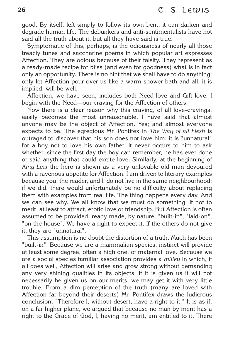good. By itself, left simply to follow its own bent, it can darken and degrade human life. The debunkers and anti-sentimentalists have not said all the truth about it, but all they have said is true.

Symptomatic of this, perhaps, is the odiousness of nearly all those treacly tunes and saccharine poems in which popular art expresses Affection. They are odious because of their falsity. They represent as a ready-made recipe for bliss (and even for goodness) what is in fact only an opportunity. There is no hint that we shall have to do anything: only let Affection pour over us like a warm shower-bath and all, it is implied, will be well.

Affection, we have seen, includes both Need-love and Gift-love. I begin with the Need—our craving for the Affection of others.

Now there is a clear reason why this craving, of all love-cravings, easily becomes the most unreasonable. I have said that almost anyone may be the object of Affection. Yes; and almost everyone expects to be. The egregious Mr. Pontifex in *The Way of all Flesh* is outraged to discover that his son does not love him; it is "unnatural" for a boy not to love his own father. It never occurs to him to ask whether, since the first day the boy can remember, he has ever done or said anything that could excite love. Similarly, at the beginning of *King Lear* the hero is shown as a very unlovable old man devoured with a ravenous appetite for Affection. I am driven to literary examples because you, the reader, and I, do not live in the same neighbourhood; if we did, there would unfortunately be no difficulty about replacing them with examples from real life. The thing happens every day. And we can see why. We all know that we must do something, if not to merit, at least to attract, erotic love or friendship. But Affection is often assumed to be provided, ready made, by nature; "built-in", "laid-on", "on the house". We have a right to expect it. If the others do not give it, they are "unnatural".

This assumption is no doubt the distortion of a truth. Much has been "built-in". Because we are a mammalian species, instinct will provide at least some degree, often a high one, of maternal love. Because we are a social species familiar association provides a *milieu* in which, if all goes well, Affection will arise and grow strong without demanding any very shining qualities in its objects. If it is given us it will not necessarily be given us on our merits; we may get it with very little trouble. From a dim perception of the truth (many are loved with Affection far beyond their deserts) Mr. Pontifex draws the ludicrous conclusion, "Therefore I, without desert, have a right to it." It is as if, on a far higher plane, we argued that because no man by merit has a right to the Grace of God, I, having no merit, am entitled to it. There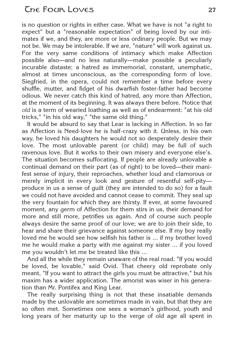is no question or rights in either case. What we have is not "a right to expect" but a "reasonable expectation" of being loved by our intimates if we, and they, are more or less ordinary people. But we may not be. We may be intolerable. If we are, "nature" will work against us. For the very same conditions of intimacy which make Affection possible also—and no less naturally—make possible a peculiarly incurable distaste; a hatred as immemorial, constant, unemphatic, almost at times unconscious, as the corresponding form of love. Siegfried, in the opera, could not remember a time before every shuffle, mutter, and fidget of his dwarfish foster-father had become odious. We never catch this kind of hatred, any more than Affection, at the moment of its beginning. It was always there before. Notice that *old* is a term of wearied loathing as well as of endearment: "at his old tricks," "in his old way," "the same old thing."

It would be absurd to say that Lear is lacking in Affection. In so far as Affection is Need-love he is half-crazy with it. Unless, in his own way, he loved his daughters he would not so desperately desire their love. The most unlovable parent (or child) may be full of such ravenous love. But it works to their own misery and everyone else's. The situation becomes suffocating. If people are already unlovable a continual demand on their part (as of right) to be loved—their manifest sense of injury, their reproaches, whether loud and clamorous or merely implicit in every look and gesture of resentful self-pity produce in us a sense of guilt (they are intended to do so) for a fault we could not have avoided and cannot cease to commit. They seal up the very fountain for which they are thirsty. If ever, at some favoured moment, any germ of Affection for them stirs in us, their demand for more and still more, petrifies us again. And of course such people always desire the same proof of our love; we are to join their side, to hear and share their grievance against someone else. If my boy really loved me he would see how selfish his father is ... if my brother loved me he would make a party with me against my sister ... if you loved me you wouldn't let me be treated like this ...

And all the while they remain unaware of the real road. "If you would be loved, be lovable," said Ovid. That cheery old reprobate only meant, "If you want to attract the girls you must be attractive," but his maxim has a wider application. The amorist was wiser in his generation than Mr. Pontifex and King Lear.

The really surprising thing is not that these insatiable demands made by the unlovable are sometimes made in vain, but that they are so often met. Sometimes one sees a woman's girlhood, youth and long years of her maturity up to the verge of old age all spent in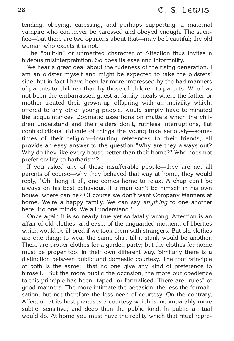tending, obeying, caressing, and perhaps supporting, a maternal vampire who can never be caressed and obeyed enough. The sacrifice—but there are two opinions about that—may be beautiful; the old woman who exacts it is not.

The "built-in" or unmerited character of Affection thus invites a hideous misinterpretation. So does its ease and informality.

We hear a great deal about the rudeness of the rising generation. I am an oldster myself and might be expected to take the oldsters' side, but in fact I have been far more impressed by the bad manners of parents to children than by those of children to parents. Who has not been the embarrassed guest at family meals where the father or mother treated their grown-up offspring with an incivility which, offered to any other young people, would simply have terminated the acquaintance? Dogmatic assertions on matters which the children understand and their elders don't, ruthless interruptions, flat contradictions, ridicule of things the young take seriously—sometimes of their religion—insulting references to their friends, all provide an easy answer to the question "Why are they always out? Why do they like every house better than their home?" Who does not prefer civility to barbarism?

If you asked any of these insufferable people—they are not all parents of course—why they behaved that way at home, they would reply, "Oh, hang it all, one comes home to relax. A chap can't be always on his best behaviour. If a man can't be himself in his own house, where can he? Of course we don't want Company Manners at home. We're a happy family. We can say *anything* to one another here. No one minds. We all understand."

Once again it is so nearly true yet so fatally wrong. Affection is an affair of old clothes, and ease, of the unguarded moment, of liberties which would be ill-bred if we took them with strangers. But old clothes are one thing; to wear the same shirt till it stank would be another. There are proper clothes for a garden party; but the clothes for home must be proper too, in their own different way. Similarly there is a distinction between public and domestic courtesy. The root principle of both is the same: "that no one give any kind of preference to himself." But the more public the occasion, the more our obedience to this principle has been "taped" or formalised. There are "rules" of good manners. The more intimate the occasion, the less the formalisation; but not therefore the less need of courtesy. On the contrary, Affection at its best practises a courtesy which is incomparably more subtle, sensitive, and deep than the public kind. In public a ritual would do. At home you must have the reality which that ritual repre-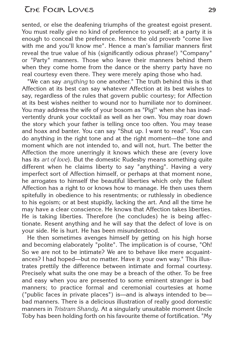sented, or else the deafening triumphs of the greatest egoist present. You must really give no kind of preference to yourself; at a party it is enough to conceal the preference. Hence the old proverb "come live with me and you'll know me". Hence a man's familiar manners first reveal the true value of his (significantly odious phrase!) "Company" or "Party" manners. Those who leave their manners behind them when they come home from the dance or the sherry party have no real courtesy even there. They were merely aping those who had.

"We can say *anything* to one another." The truth behind this is that Affection at its best can say whatever Affection at its best wishes to say, regardless of the rules that govern public courtesy; for Affection at its best wishes neither to wound nor to humiliate nor to domineer. You may address the wife of your bosom as "Pig!" when she has inadvertently drunk your cocktail as well as her own. You may roar down the story which your father is telling once too often. You may tease and hoax and banter. You can say "Shut up. I want to read". You can do anything in the right tone and at the right moment—the tone and moment which are not intended to, and will not, hurt. The better the Affection the more unerringly it knows which these are (every love has its *art of love*). But the domestic Rudesby means something quite different when he claims liberty to say "anything". Having a very imperfect sort of Affection himself, or perhaps at that moment none, he arrogates to himself the beautiful liberties which only the fullest Affection has a right to or knows how to manage. He then uses them spitefully in obedience to his resentments; or ruthlessly in obedience to his egoism; or at best stupidly, lacking the art. And all the time he may have a clear conscience. He knows that Affection takes liberties. He is taking liberties. Therefore (he concludes) he is being affectionate. Resent anything and he will say that the defect of love is on your side. He is hurt. He has been misunderstood.

He then sometimes avenges himself by getting on his high horse and becoming elaborately "polite". The implication is of course, "Oh! So we are not to be intimate? We are to behave like mere acquaintances? I had hoped—but no matter. Have it your own way." This illustrates prettily the difference between intimate and formal courtesy. Precisely what suits the one may be a breach of the other. To be free and easy when you are presented to some eminent stranger is bad manners; to practice formal and ceremonial courtesies at home ("public faces in private places") is—and is always intended to be bad manners. There is a delicious illustration of really good domestic manners in *Tristram Shandy*. At a singularly unsuitable moment Uncle Toby has been holding forth on his favourite theme of fortification. "My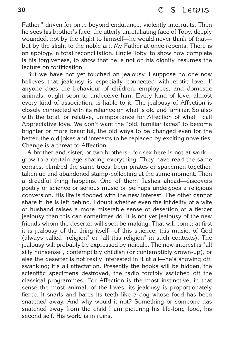Father," driven for once beyond endurance, violently interrupts. Then he sees his brother's face; the utterly unretaliating face of Toby, deeply wounded, not by the slight to himself—he would never think of that but by the slight to the noble art. My Father at once repents. There is an apology, a total reconciliation. Uncle Toby, to show how complete is his forgiveness, to show that he is not on his dignity, resumes the lecture on fortification.

But we have not yet touched on jealousy. I suppose no one now believes that jealousy is especially connected with erotic love. If anyone does the behaviour of children, employees, and domestic animals, ought soon to undeceive him. Every kind of love, almost every kind of association, is liable to it. The jealousy of Affection is closely connected with its reliance on what is old and familiar. So also with the total, or relative, unimportance for Affection of what I call Appreciative love. We don't want the "old, familiar faces" to become brighter or more beautiful, the old ways to be changed even for the better, the old jokes and interests to be replaced by exciting novelties. Change is a threat to Affection.

A brother and sister, or two brothers—for sex here is not at work grow to a certain age sharing everything. They have read the same comics, climbed the same trees, been pirates or spacemen together, taken up and abandoned stamp-collecting at the same moment. Then a dreadful thing happens. One of them flashes ahead—discovers poetry or science or serious music or perhaps undergoes a religious conversion. His life is flooded with the new interest. The other cannot share it; he is left behind. I doubt whether even the infidelity of a wife or husband raises a more miserable sense of desertion or a fiercer jealousy than this can sometimes do. It is not yet jealousy of the new friends whom the deserter will soon be making. That will come; at first it is jealousy of the thing itself—of this science, this music, of God (always called "religion" or "all this religion" in such contexts). The jealousy will probably be expressed by ridicule. The new interest is "all silly nonsense", contemptibly childish (or contemptibly grown-up), or else the deserter is not really interested in it at all—he's showing off, swanking; it's all affectation. Presently the books will be hidden, the scientific specimens destroyed, the radio forcibly switched off the classical programmes. For Affection is the most instinctive, in that sense the most animal, of the loves; its jealousy is proportionately fierce. It snarls and bares its teeth like a dog whose food has been snatched away. And why would it not? Something or someone has snatched away from the child I am picturing his life-long food, his second self. His world is in ruins.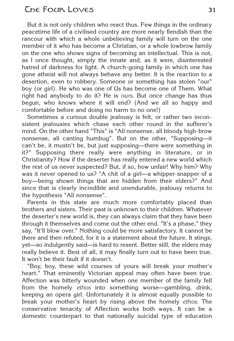But it is not only children who react thus. Few things in the ordinary peacetime life of a civilised country are more nearly fiendish than the rancour with which a whole unbelieving family will turn on the one member of it who has become a Christian, or a whole lowbrow family on the one who shows signs of becoming an intellectual. This is not, as I once thought, simply the innate and, as it were, disinterested hatred of darkness for light. A church-going family in which one has gone atheist will not always behave any better. It is the reaction to a desertion, even to robbery. Someone or something has stolen "our" boy (or girl). He who was one of Us has become one of Them. What right had anybody to do it? He is *ours*. But once change has thus begun, who knows where it will end? (And we all so happy and comfortable before and doing no harm to no one!)

Sometimes a curious double jealousy is felt, or rather two inconsistent jealousies which chase each other round in the sufferer's mind. On the other hand "This" is "All nonsense, all bloody high-brow nonsense, all canting humbug". But on the other, "Supposing—it can't be, it mustn't be, but just supposing—there were something in it?" Supposing there really were anything in literature, or in Christianity? How if the deserter has really entered a new world which the rest of us never suspected? But, if so, how unfair! Why him? Why was it never opened to us? "A chit of a girl—a whipper-snapper of a boy—being shown things that are hidden from their elders?" And since that is clearly incredible and unendurable, jealousy returns to the hypothesis "All nonsense".

Parents in this state are much more comfortably placed than brothers and sisters. Their past is unknown to their children. Whatever the deserter's new world is, they can always claim that they have been through it themselves and come out the other end. "It's a phase," they say, "It'll blow over." Nothing could be more satisfactory. It cannot be there and then refuted, for it is a statement about the future. It stings, yet—so indulgently said—is hard to resent. Better still, the elders may really believe it. Best of all, it may finally turn out to have been true. It won't be their fault if it doesn't.

"Boy, boy, these wild courses of yours will break your mother's heart." That eminently Victorian appeal may often have been true. Affection was bitterly wounded when one member of the family fell from the homely *ethos* into something worse—gambling, drink, keeping an opera girl. Unfortunately it is almost equally possible to break your mother's heart by rising above the homely *ethos*. The conservative tenacity of Affection works both ways. It can be a domestic counterpart to that nationally suicidal type of education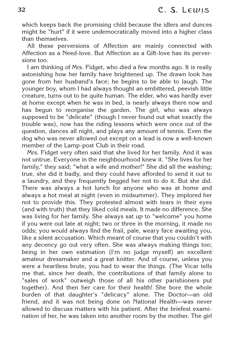which keeps back the promising child because the idlers and dunces might be "hurt" if it were undemocratically moved into a higher class than themselves.

All these perversions of Affection are mainly connected with Affection as a Need-love. But Affection as a Gift-love has its perversions too.

I am thinking of Mrs. Fidget, who died a few months ago. It is really astonishing how her family have brightened up. The drawn look has gone from her husband's face; he begins to be able to laugh. The younger boy, whom I had always thought an embittered, peevish little creature, turns out to be quite human. The elder, who was hardly ever at home except when he was in bed, is nearly always there now and has begun to reorganise the garden. The girl, who was always supposed to be "delicate" (though I never found out what exactly the trouble was), now has the riding lessons which were once out of the question, dances all night, and plays any amount of tennis. Even the dog who was never allowed out except on a lead is now a well-known member of the Lamp-post Club in their road.

Mrs. Fidget very often said that she lived for her family. And it was not untrue. Everyone in the neighbourhood knew it. "She lives for her family," they said; "what a wife and mother!" She did all the washing; true, she did it badly, and they could have afforded to send it out to a laundry, and they frequently begged her not to do it. But she did. There was always a hot lunch for anyone who was at home and always a hot meal at night (even in midsummer). They implored her not to provide this. They protested almost with tears in their eyes (and with truth) that they liked cold meals. It made no difference. She was living for her family. She always sat up to "welcome" you home if you were out late at night; two or three in the morning, it made no odds; you would always find the frail, pale, weary face awaiting you, like a silent accusation. Which meant of course that you couldn't with any decency go out very often. She was always making things too; being in her own estimation (I'm no judge myself) an excellent amateur dressmaker and a great knitter. And of course, unless you were a heartless brute, you had to wear the things. (The Vicar tells me that, since her death, the contributions of that family alone to "sales of work" outweigh those of all his other parishioners put together). And then her care for their health! She bore the whole burden of that daughter's "delicacy" alone. The Doctor—an old friend, and it was not being done on National Health—was never allowed to discuss matters with his patient. After the briefest examination of her, he was taken into another room by the mother. The girl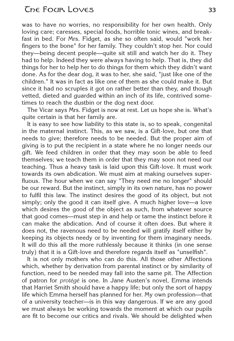was to have no worries, no responsibility for her own health. Only loving care; caresses, special foods, horrible tonic wines, and breakfast in bed. For Mrs. Fidget, as she so often said, would "work her fingers to the bone" for her family. They couldn't stop her. Nor could they—being decent people—quite sit still and watch her do it. They had to help. Indeed they were always having to help. That is, they did things for her to help her to do things for them which they didn't want done. As for the dear dog, it was to her, she said, "just like one of the children." It was in fact as like one of them as she could make it. But since it had no scruples it got on rather better than they, and though vetted, dieted and guarded within an inch of its life, contrived sometimes to reach the dustbin or the dog next door.

The Vicar says Mrs. Fidget is now at rest. Let us hope she is. What's quite certain is that her family are.

It is easy to see how liability to this state is, so to speak, congenital in the maternal instinct. This, as we saw, is a Gift-love, but one that needs to give; therefore needs to be needed. But the proper aim of giving is to put the recipient in a state where he no longer needs our gift. We feed children in order that they may soon be able to feed themselves; we teach them in order that they may soon not need our teaching. Thus a heavy task is laid upon this Gift-love. It must work towards its own abdication. We must aim at making ourselves superfluous. The hour when we can say "They need me no longer" should be our reward. But the instinct, simply in its own nature, has no power to fulfil this law. The instinct desires the good of its object, but not simply; only the good it can itself give. A much higher love—a love which desires the good of the object as such, from whatever source that good comes—must step in and help or tame the instinct before it can make the abdication. And of course it often does. But where it does not, the ravenous need to be needed will gratify itself either by keeping its objects needy or by inventing for them imaginary needs. It will do this all the more ruthlessly because it thinks (in one sense truly) that it is a Gift-love and therefore regards itself as "unselfish".

It is not only mothers who can do this. All those other Affections which, whether by derivation from parental instinct or by similarity of function, need to be needed may fall into the same pit. The Affection of patron for *protégé* is one. In Jane Austen's novel, Emma intends that Harriet Smith should have a happy life; but only the sort of happy life which Emma herself has planned for her. My own profession—that of a university teacher—is in this way dangerous. If we are any good we must always be working towards the moment at which our pupils are fit to become our critics and rivals. We should be delighted when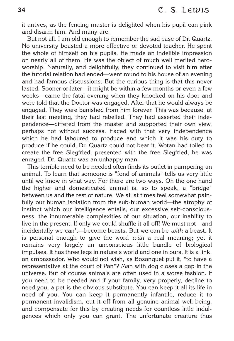it arrives, as the fencing master is delighted when his pupil can pink and disarm him. And many are.

But not all. I am old enough to remember the sad case of Dr. Quartz. No university boasted a more effective or devoted teacher. He spent the whole of himself on his pupils. He made an indelible impression on nearly all of them. He was the object of much well merited heroworship. Naturally, and delightfully, they continued to visit him after the tutorial relation had ended—went round to his house of an evening and had famous discussions. But the curious thing is that this never lasted. Sooner or later—it might be within a few months or even a few weeks—came the fatal evening when they knocked on his door and were told that the Doctor was engaged. After that he would always be engaged. They were banished from him forever. This was because, at their last meeting, they had rebelled. They had asserted their independence—differed from the master and supported their own view, perhaps not without success. Faced with that very independence which he had laboured to produce and which it was his duty to produce if he could, Dr. Quartz could not bear it. Wotan had toiled to create the free Siegfried; presented with the free Siegfried, he was enraged. Dr. Quartz was an unhappy man.

This terrible need to be needed often finds its outlet in pampering an animal. To learn that someone is "fond of animals" tells us very little until we know in what way. For there are two ways. On the one hand the higher and domesticated animal is, so to speak, a "bridge" between us and the rest of nature. We all at times feel somewhat painfully our human isolation from the sub-human world—the atrophy of instinct which our intelligence entails, our excessive self-consciousness, the innumerable complexities of our situation, our inability to live in the present. If only we could shuffle it all off! We must not—and incidentally we can't—become beasts. But we can be *with* a beast. It is personal enough to give the word *with* a real meaning; yet it remains very largely an unconscious little bundle of biological impulses. It has three legs in nature's world and one in ours. It is a link, an ambassador. Who would not wish, as Bosanquet put it, "to have a representative at the court of Pan"? Man with dog closes a gap in the universe. But of course animals are often used in a worse fashion. If you need to be needed and if your family, very properly, decline to need you, a pet is the obvious substitute. You can keep it all its life in need of you. You can keep it permanently infantile, reduce it to permanent invalidism, cut it off from all genuine animal well-being, and compensate for this by creating needs for countless little indulgences which only you can grant. The unfortunate creature thus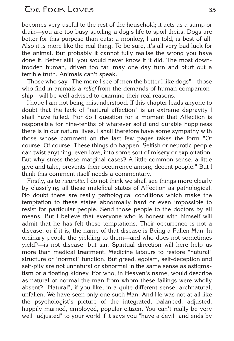becomes very useful to the rest of the household; it acts as a sump or drain—you are too busy spoiling a dog's life to spoil theirs. Dogs are better for this purpose than cats: a monkey, I am told, is best of all. Also it is more like the real thing. To be sure, it's all very bad luck for the animal. But probably it cannot fully realise the wrong you have done it. Better still, you would never know if it did. The most downtrodden human, driven too far, may one day turn and blurt out a terrible truth. Animals can't speak.

Those who say "The more I see of men the better I like dogs"—those who find in animals a *relief* from the demands of human companionship—will be well advised to examine their real reasons.

I hope I am not being misunderstood. If this chapter leads anyone to doubt that the lack of "natural affection" is an extreme depravity I shall have failed. Nor do I question for a moment that Affection is responsible for nine-tenths of whatever solid and durable happiness there is in our natural lives. I shall therefore have some sympathy with those whose comment on the last few pages takes the form "Of course. Of course. These things do happen. Selfish or neurotic people can twist anything, even love, into some sort of misery or exploitation. But why stress these marginal cases? A little common sense, a little give and take, prevents their occurrence among decent people." But I think this comment itself needs a commentary.

Firstly, as to *neurotic*. I do not think we shall see things more clearly by classifying all these malefical states of Affection as pathological. No doubt there are really pathological conditions which make the temptation to these states abnormally hard or even impossible to resist for particular people. Send those people to the doctors by all means. But I believe that everyone who is honest with himself will admit that he has felt these temptations. Their occurrence is not a disease; or if it is, the name of that disease is Being a Fallen Man. In ordinary people the yielding to them—and who does not sometimes yield?—is not disease, but sin. Spiritual direction will here help us more than medical treatment. Medicine labours to restore "natural" structure or "normal" function. But greed, egoism, self-deception and self-pity are not unnatural or abnormal in the same sense as astigmatism or a floating kidney. For who, in Heaven's name, would describe as natural or normal the man from whom these failings were wholly absent? "Natural", if you like, in a quite different sense; archnatural, unfallen. We have seen only one such Man. And He was not at all like the psychologist's picture of the integrated, balanced, adjusted, happily married, employed, popular citizen. You can't really be very well "adjusted" to your world if it says you "have a devil" and ends by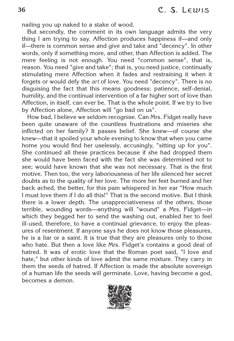nailing you up naked to a stake of wood.

But secondly, the comment in its own language admits the very thing I am trying to say. Affection produces happiness if—and only if—there is common sense and give and take and "decency". In other words, only if something more, and other, than Affection is added. The mere feeling is not enough. You need "common sense", that is, reason. You need "give and take"; that is, you need justice, continually stimulating mere Affection when it fades and restraining it when it forgets or would defy the *art* of love. You need "decency". There is no disguising the fact that this means goodness; patience, self-denial, humility, and the continual intervention of a far higher sort of love than Affection, in itself, can ever be. That is the whole point. If we try to live by Affection alone, Affection will "go bad on us".

How bad, I believe we seldom recognise. Can Mrs. Fidget really have been quite unaware of the countless frustrations and miseries she inflicted on her family? It passes belief. She knew—of course she knew—that it spoiled your whole evening to know that when you came home you would find her uselessly, accusingly, "sitting up for you". She continued all these practices because if she had dropped them she would have been faced with the fact she was determined not to see; would have known that she was not necessary. That is the first motive. Then too, the very laboriousness of her life silenced her secret doubts as to the quality of her love. The more her feet burned and her back ached, the better, for this pain whispered in her ear "How much I must love them if I do all this!" That is the second motive. But I think there is a lower depth. The unappreciativeness of the others, those terrible, wounding words—anything will "wound" a Mrs. Fidget—in which they begged her to send the washing out, enabled her to feel ill-used, therefore, to have a continual grievance, to enjoy the pleasures of resentment. If anyone says he does not know those pleasures, he is a liar or a saint. It is true that they are pleasures only to those who hate. But then a love like Mrs. Fidget's contains a good deal of hatred. It was of erotic love that the Roman poet said, "I love and hate," but other kinds of love admit the same mixture. They carry in them the seeds of hatred. If Affection is made the absolute sovereign of a human life the seeds will germinate. Love, having become a god, becomes a demon.

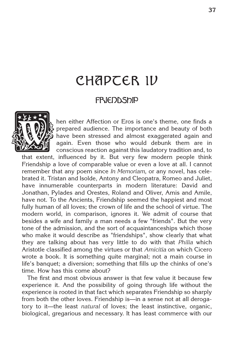# CHAPTER IV

#### **FRIEDDShip**



WHAT hen either Affection or Eros is one's theme, one finds a<br>prepared audience. The importance and beauty of both<br>have been stressed and almost exaggerated again and<br>again. Even those who would debunk them are in<br>consciou prepared audience. The importance and beauty of both have been stressed and almost exaggerated again and again. Even those who would debunk them are in conscious reaction against this laudatory tradition and, to

that extent, influenced by it. But very few modern people think Friendship a love of comparable value or even a love at all. I cannot remember that any poem since *In Memoriam*, or any novel, has celebrated it. Tristan and Isolde, Antony and Cleopatra, Romeo and Juliet, have innumerable counterparts in modern literature: David and Jonathan, Pylades and Orestes, Roland and Oliver, Amis and Amile, have not. To the Ancients, Friendship seemed the happiest and most fully human of all loves; the crown of life and the school of virtue. The modern world, in comparison, ignores it. We admit of course that besides a wife and family a man needs a few "friends". But the very tone of the admission, and the sort of acquaintanceships which those who make it would describe as "friendships", show clearly that what they are talking about has very little to do with that *Philia* which Aristotle classified among the virtues or that *Amicitia* on which Cicero wrote a book. It is something quite marginal; not a main course in life's banquet; a diversion; something that fills up the chinks of one's time. How has this come about?

The first and most obvious answer is that few value it because few experience it. And the possibility of going through life without the experience is rooted in that fact which separates Friendship so sharply from both the other loves. Friendship is—in a sense not at all derogatory to it—the least *natural* of loves; the least instinctive, organic, biological, gregarious and necessary. It has least commerce with our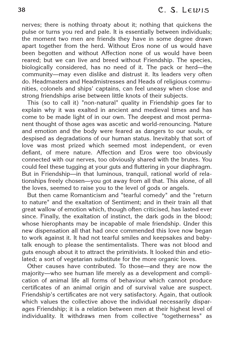nerves; there is nothing throaty about it; nothing that quickens the pulse or turns you red and pale. It is essentially between individuals; the moment two men are friends they have in some degree drawn apart together from the herd. Without Eros none of us would have been begotten and without Affection none of us would have been reared; but we can live and breed without Friendship. The species, biologically considered, has no need of it. The pack or herd—the community—may even dislike and distrust it. Its leaders very often do. Headmasters and Headmistresses and Heads of religious communities, colonels and ships' captains, can feel uneasy when close and strong friendships arise between little knots of their subjects.

This (so to call it) "non-natural" quality in Friendship goes far to explain why it was exalted in ancient and medieval times and has come to be made light of in our own. The deepest and most permanent thought of those ages was ascetic and world-renouncing. Nature and emotion and the body were feared as dangers to our souls, or despised as degradations of our human status. Inevitably that sort of love was most prized which seemed most independent, or even defiant, of mere nature. Affection and Eros were too obviously connected with our nerves, too obviously shared with the brutes. You could feel these tugging at your guts and fluttering in your diaphragm. But in Friendship—in that luminous, tranquil, rational world of relationships freely chosen—you got away from all that. This alone, of all the loves, seemed to raise you to the level of gods or angels.

But then came Romanticism and "tearful comedy" and the "return to nature" and the exaltation of Sentiment; and in their train all that great wallow of emotion which, though often criticised, has lasted ever since. Finally, the exaltation of instinct, the dark gods in the blood; whose hierophants may be incapable of male friendship. Under this new dispensation all that had once commended this love now began to work against it. It had not tearful smiles and keepsakes and babytalk enough to please the sentimentalists. There was not blood and guts enough about it to attract the primitivists. It looked thin and etiolated; a sort of vegetarian substitute for the more organic loves.

Other causes have contributed. To those—and they are now the majority—who see human life merely as a development and complication of animal life all forms of behaviour which cannot produce certificates of an animal origin and of survival value are suspect. Friendship's certificates are not very satisfactory. Again, that outlook which values the collective above the individual necessarily disparages Friendship; it is a relation between men at their highest level of individuality. It withdraws men from collective "togetherness" as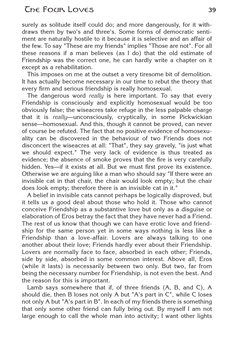surely as solitude itself could do; and more dangerously, for it withdraws them by two's and three's. Some forms of democratic sentiment are naturally hostile to it because it is selective and an affair of the few. To say "These are my friends" implies "Those are not". For all these reasons if a man believes (as I do) that the old estimate of Friendship was the correct one, he can hardly write a chapter on it except as a rehabilitation.

This imposes on me at the outset a very tiresome bit of demolition. It has actually become necessary in our time to rebut the theory that every firm and serious friendship is really homosexual.

The dangerous word *really* is here important. To say that every Friendship is consciously and explicitly homosexual would be too obviously false; the wiseacres take refuge in the less palpable charge that it is *really*—unconsciously, cryptically, in some Pickwickian sense—homosexual. And this, though it cannot be proved, can never of course be refuted. The fact that no positive evidence of homosexuality can be discovered in the behaviour of two Friends does not disconcert the wiseacres at all: "That", they say gravely, "is just what we should expect." The very lack of evidence is thus treated as evidence; the absence of smoke proves that the fire is very carefully hidden. Yes—if it exists at all. But we must first prove its existence. Otherwise we are arguing like a man who should say "If there were an invisible cat in that chair, the chair would look empty; but the chair does look empty; therefore there is an invisible cat in it."

A belief in invisible cats cannot perhaps be logically disproved, but it tells us a good deal about those who hold it. Those who cannot conceive Friendship as a substantive love but only as a disguise or elaboration of Eros betray the fact that they have never had a Friend. The rest of us know that though we can have erotic love and friendship for the same person yet in some ways nothing is less like a Friendship than a love-affair. Lovers are always talking to one another about their love; Friends hardly ever about their Friendship. Lovers are normally face to face, absorbed in each other; Friends, side by side, absorbed in some common interest. Above all, Eros (while it lasts) is necessarily between two only. But two, far from being the necessary number for Friendship, is not even the best. And the reason for this is important.

Lamb says somewhere that if, of three friends (A, B, and C), A should die, then B loses not only A but "A's part in C", while C loses not only A but "A's part in B". In each of my friends there is something that only some other friend can fully bring out. By myself I am not large enough to call the whole man into activity; I want other lights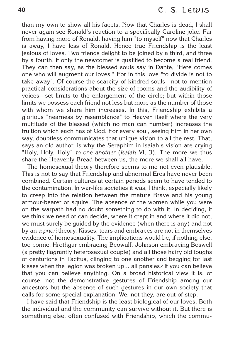than my own to show all his facets. Now that Charles is dead, I shall never again see Ronald's reaction to a specifically Caroline joke. Far from having more of Ronald, having him "to myself" now that Charles is away, I have less of Ronald. Hence true Friendship is the least jealous of loves. Two friends delight to be joined by a third, and three by a fourth, if only the newcomer is qualified to become a real friend. They can then say, as the blessed souls say in Dante, "Here comes one who will augment our loves." For in this love "to divide is not to take away". Of course the scarcity of kindred souls—not to mention practical considerations about the size of rooms and the audibility of voices—set limits to the enlargement of the circle; but within those limits we possess each friend not less but more as the number of those with whom we share him increases. In this, Friendship exhibits a glorious "nearness by resemblance" to Heaven itself where the very multitude of the blessed (which no man can number) increases the fruition which each has of God. For every soul, seeing Him in her own way, doubtless communicates that unique vision to all the rest. That, says an old author, is why the Seraphim in Isaiah's vision are crying "Holy, Holy, Holy" *to one another* (*Isaiah* VI, 3). The more we thus share the Heavenly Bread between us, the more we shall all have.

The homosexual theory therefore seems to me not even plausible. This is not to say that Friendship and abnormal Eros have never been combined. Certain cultures at certain periods seem to have tended to the contamination. In war-like societies it was, I think, especially likely to creep into the relation between the mature Brave and his young armour-bearer or squire. The absence of the women while you were on the warpath had no doubt something to do with it. In deciding, if we think we need or can decide, where it crept in and where it did not, we must surely be guided by the evidence (when there is any) and not by an *a priori* theory. Kisses, tears and embraces are not in themselves evidence of homosexuality. The implications would be, if nothing else, too comic. Hrothgar embracing Beowulf, Johnson embracing Boswell (a pretty flagrantly heterosexual couple) and all those hairy old toughs of centurions in Tacitus, clinging to one another and begging for last kisses when the legion was broken up... all pansies? If you can believe that you can believe anything. On a broad historical view it is, of course, not the demonstrative gestures of Friendship among our ancestors but the absence of such gestures in our own society that calls for some special explanation. We, not they, are out of step.

I have said that Friendship is the least biological of our loves. Both the individual and the community can survive without it. But there is something else, often confused with Friendship, which the commu-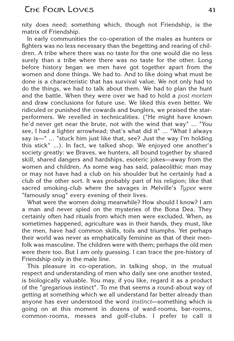nity does need; something which, though not Friendship, is the matrix of Friendship.

In early communities the co-operation of the males as hunters or fighters was no less necessary than the begetting and rearing of children. A tribe where there was no taste for the one would die no less surely than a tribe where there was no taste for the other. Long before history began we men have got together apart from the women and done things. We had to. And to like doing what must be done is a characteristic that has survival value. We not only had to do the things, we had to talk about them. We had to plan the hunt and the battle. When they were over we had to hold a *post mortem* and draw conclusions for future use. We liked this even better. We ridiculed or punished the cowards and bunglers, we praised the starperformers. We revelled in technicalities. ("He might have known he'd never get near the brute, not with the wind that way" ... "You see, I had a lighter arrowhead; that's what did it" ... "What I always say is—" ... "stuck him just like that, see? Just the way I'm holding this stick" ...). In fact, we talked shop. We enjoyed one another's society greatly: we Braves, we hunters, all bound together by shared skill, shared dangers and hardships, esoteric jokes—away from the women and children. As some wag has said, palaeolithic man may or may not have had a club on his shoulder but he certainly had a club of the other sort. It was probably part of his religion; like that sacred smoking-club where the savages in Melville's *Typee* were "famously snug" every evening of their lives.

What were the women doing meanwhile? How should I know? I am a man and never spied on the mysteries of the Bona Dea. They certainly often had rituals from which men were excluded. When, as sometimes happened, agriculture was in their hands, they must, like the men, have had common skills, toils and triumphs. Yet perhaps their world was never as emphatically feminine as that of their menfolk was masculine. The children were with them; perhaps the old men were there too. But I am only guessing. I can trace the pre-history of Friendship only in the male line.

This pleasure in co-operation, in talking shop, in the mutual respect and understanding of men who daily see one another tested, is biologically valuable. You may, if you like, regard it as a product of the "gregarious instinct". To me that seems a round-about way of getting at something which we all understand far better already than anyone has ever understood the word *instinct*—something which is going on at this moment in dozens of ward-rooms, bar-rooms, common-rooms, messes and golf-clubs. I prefer to call it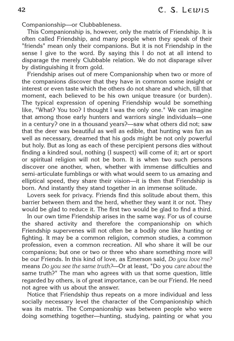Companionship—or Clubbableness.

This Companionship is, however, only the matrix of Friendship. It is often called Friendship, and many people when they speak of their "friends" mean only their companions. But it is not Friendship in the sense I give to the word. By saying this I do not at all intend to disparage the merely Clubbable relation. We do not disparage silver by distinguishing it from gold.

Friendship arises out of mere Companionship when two or more of the companions discover that they have in common some insight or interest or even taste which the others do not share and which, till that moment, each believed to be his own unique treasure (or burden). The typical expression of opening Friendship would be something like, "What? You too? I thought I was the only one." We can imagine that among those early hunters and warriors single individuals—one in a century? one in a thousand years?—saw what others did not; saw that the deer was beautiful as well as edible, that hunting was fun as well as necessary, dreamed that his gods might be not only powerful but holy. But as long as each of these percipient persons dies without finding a kindred soul, nothing (I suspect) will come of it; art or sport or spiritual religion will not be born. It is when two such persons discover one another, when, whether with immense difficulties and semi-articulate fumblings or with what would seem to us amazing and elliptical speed, they share their vision—it is then that Friendship is born. And instantly they stand together in an immense solitude.

Lovers seek for privacy. Friends find this solitude about them, this barrier between them and the herd, whether they want it or not. They would be glad to reduce it. The first two would be glad to find a third.

In our own time Friendship arises in the same way. For us of course the shared activity and therefore the companionship on which Friendship supervenes will not often be a bodily one like hunting or fighting. It may be a common religion, common studies, a common profession, even a common recreation. All who share it will be our companions; but one or two or three who share something more will be our Friends. In this kind of love, as Emerson said, *Do you love me?* means *Do you see the same truth?*—Or at least, "Do you *care about* the same truth?" The man who agrees with us that some question, little regarded by others, is of great importance, can be our Friend. He need not agree with us about the answer.

Notice that Friendship thus repeats on a more individual and less socially necessary level the character of the Companionship which was its matrix. The Companionship was between people who were doing something together—hunting, studying, painting or what you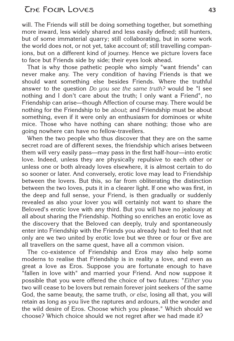will. The Friends will still be doing something together, but something more inward, less widely shared and less easily defined; still hunters, but of some immaterial quarry; still collaborating, but in some work the world does not, or not yet, take account of; still travelling companions, but on a different kind of journey. Hence we picture lovers face to face but Friends side by side; their eyes look ahead.

That is why those pathetic people who simply "want friends" can never make any. The very condition of having Friends is that we should want something else besides Friends. Where the truthful answer to the question *Do you see the same truth?* would be "I see nothing and I don't care about the truth; I only want a Friend", no Friendship can arise—though Affection of course may. There would be nothing for the Friendship to be *about*; and Friendship must be about something, even if it were only an enthusiasm for dominoes or white mice. Those who have nothing can share nothing; those who are going nowhere can have no fellow-travellers.

When the two people who thus discover that they are on the same secret road are of different sexes, the friendship which arises between them will very easily pass—may pass in the first half-hour—into erotic love. Indeed, unless they are physically repulsive to each other or unless one or both already loves elsewhere, it is almost certain to do so sooner or later. And conversely, erotic love may lead to Friendship between the lovers. But this, so far from obliterating the distinction between the two loves, puts it in a clearer light. If one who was first, in the deep and full sense, your Friend, is then gradually or suddenly revealed as also your lover you will certainly not want to share the Beloved's erotic love with any third. But you will have no jealousy at all about sharing the Friendship. Nothing so enriches an erotic love as the discovery that the Beloved can deeply, truly and spontaneously enter into Friendship with the Friends you already had: to feel that not only are we two united by erotic love but we three or four or five are all travellers on the same quest, have all a common vision.

The co-existence of Friendship and Eros may also help some moderns to realise that Friendship is in reality a love, and even as great a love as Eros. Suppose you are fortunate enough to have "fallen in love with" and married your Friend. And now suppose it possible that you were offered the choice of two futures: "*Either* you two will cease to be lovers but remain forever joint seekers of the same God, the same beauty, the same truth, *or else*, losing all that, you will retain as long as you live the raptures and ardours, all the wonder and the wild desire of Eros. Choose which you please." Which should we choose? Which choice should we not regret after we had made it?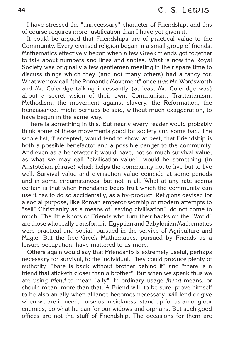I have stressed the "unnecessary" character of Friendship, and this of course requires more justification than I have yet given it.

It could be argued that Friendships are of practical value to the Community. Every civilised religion began in a small group of friends. Mathematics effectively began when a few Greek friends got together to talk about numbers and lines and angles. What is now the Royal Society was originally a few gentlemen meeting in their spare time to discuss things which they (and not many others) had a fancy for. What we now call "the Romantic Movement" once *was* Mr. Wordsworth and Mr. Coleridge talking incessantly (at least Mr. Coleridge was) about a secret vision of their own. Communism, Tractarianism, Methodism, the movement against slavery, the Reformation, the Renaissance, might perhaps be said, without much exaggeration, to have begun in the same way.

There is something in this. But nearly every reader would probably think some of these movements good for society and some bad. The whole list, if accepted, would tend to show, at best, that Friendship is both a possible benefactor and a possible danger to the community. And even as a benefactor it would have, not so much survival value, as what we may call "civilisation-value"; would be something (in Aristotelian phrase) which helps the community not to live but to live well. Survival value and civilisation value coincide at some periods and in some circumstances, but not in all. What at any rate seems certain is that when Friendship bears fruit which the community can use it has to do so accidentally, as a by-product. Religions devised for a social purpose, like Roman emperor-worship or modern attempts to "sell" Christianity as a means of "saving civilisation", do not come to much. The little knots of Friends who turn their backs on the "World" are those who really transform it. Egyptian and Babylonian Mathematics were practical and social, pursued in the service of Agriculture and Magic. But the free Greek Mathematics, pursued by Friends as a leisure occupation, have mattered to us more.

Others again would say that Friendship is extremely useful, perhaps necessary for survival, to the individual. They could produce plenty of authority: "bare is back without brother behind it" and "there is a friend that sticketh closer than a brother". But when we speak thus we are using *friend* to mean "ally". In ordinary usage *friend* means, or should mean, more than that. A Friend will, to be sure, prove himself to be also an ally when alliance becomes necessary; will lend or give when we are in need, nurse us in sickness, stand up for us among our enemies, do what he can for our widows and orphans. But such good offices are not the stuff of Friendship. The occasions for them are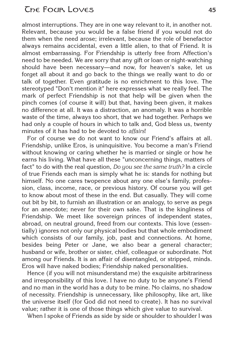almost interruptions. They are in one way relevant to it, in another not. Relevant, because you would be a false friend if you would not do them when the need arose; irrelevant, because the role of benefactor always remains accidental, even a little alien, to that of Friend. It is almost embarrassing. For Friendship is utterly free from Affection's need to be needed. We are sorry that any gift or loan or night-watching should have been necessary—and now, for heaven's sake, let us forget all about it and go back to the things we really want to do or talk of together. Even gratitude is no enrichment to this love. The stereotyped "Don't mention it" here expresses what we really feel. The mark of perfect Friendship is not that help will be given when the pinch comes (of course it will) but that, having been given, it makes no difference at all. It was a distraction, an anomaly. It was a horrible waste of the time, always too short, that we had together. Perhaps we had only a couple of hours in which to talk and, God bless us, twenty minutes of it has had to be devoted to *affairs*!

For of course we do not want to know our Friend's affairs at all. Friendship, unlike Eros, is uninquisitive. You become a man's Friend without knowing or caring whether he is married or single or how he earns his living. What have all these "unconcerning things, matters of fact" to do with the real question, *Do you see the same truth?* In a circle of true Friends each man is simply what he is: stands for nothing but himself. No one cares twopence about any one else's family, profession, class, income, race, or previous history. Of course you will get to know about most of these in the end. But casually. They will come out bit by bit, to furnish an illustration or an analogy, to serve as pegs for an anecdote; never for their own sake. That is the kingliness of Friendship. We meet like sovereign princes of independent states, abroad, on neutral ground, freed from our contexts. This love (essentially) ignores not only our physical bodies but that whole embodiment which consists of our family, job, past and connections. At home, besides being Peter or Jane, we also bear a general character; husband or wife, brother or sister, chief, colleague or subordinate. Not among our Friends. It is an affair of disentangled, or stripped, minds. Eros will have naked bodies; Friendship naked personalities.

Hence (if you will not misunderstand me) the exquisite arbitrariness and irresponsibility of this love. I have no duty to be anyone's Friend and no man in the world has a duty to be mine. No claims, no shadow of necessity. Friendship is unnecessary, like philosophy, like art, like the universe itself (for God did not need to create). It has no survival value; rather it is one of those things which give value to survival.

When I spoke of Friends as side by side or shoulder to shoulder I was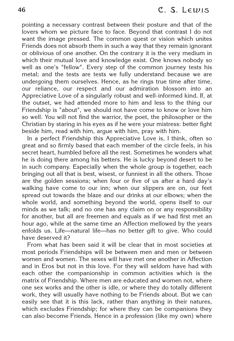pointing a necessary contrast between their posture and that of the lovers whom we picture face to face. Beyond that contrast I do not want the image pressed. The common quest or vision which unites Friends does not absorb them in such a way that they remain ignorant or oblivious of one another. On the contrary it is the very medium in which their mutual love and knowledge exist. One knows nobody so well as one's "fellow". Every step of the common journey tests his metal; and the tests are tests we fully understand because we are undergoing them ourselves. Hence, as he rings true time after time, our reliance, our respect and our admiration blossom into an Appreciative Love of a singularly robust and well-informed kind. If, at the outset, we had attended more to him and less to the thing our Friendship is "about", we should not have come to know or love him so well. You will not find the warrior, the poet, the philosopher or the Christian by staring in his eyes as if he were your mistress: better fight beside him, read with him, argue with him, pray with him.

In a perfect Friendship this Appreciative Love is, I think, often so great and so firmly based that each member of the circle feels, in his secret heart, humbled before all the rest. Sometimes he wonders what he is doing there among his betters. He is lucky beyond desert to be in such company. Especially when the whole group is together, each bringing out all that is best, wisest, or funniest in all the others. Those are the golden sessions; when four or five of us after a hard day's walking have come to our inn; when our slippers are on, our feet spread out towards the blaze and our drinks at our elbows; when the whole world, and something beyond the world, opens itself to our minds as we talk; and no one has any claim on or any responsibility for another, but all are freemen and equals as if we had first met an hour ago, while at the same time an Affection mellowed by the years enfolds us. Life—natural life—has no better gift to give. Who could have deserved it?

From what has been said it will be clear that in most societies at most periods Friendships will be between men and men or between women and women. The sexes will have met one another in Affection and in Eros but not in this love. For they will seldom have had with each other the companionship in common activities which is the matrix of Friendship. Where men are educated and women not, where one sex works and the other is idle, or where they do totally different work, they will usually have nothing to be Friends about. But we can easily see that it is this lack, rather than anything in their natures, which excludes Friendship; for where they can be companions they can also become Friends. Hence in a profession (like my own) where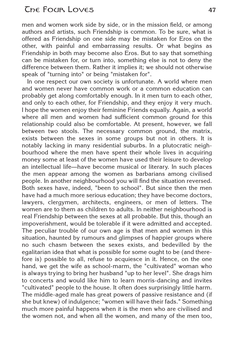men and women work side by side, or in the mission field, or among authors and artists, such Friendship is common. To be sure, what is offered as Friendship on one side may be mistaken for Eros on the other, with painful and embarrassing results. Or what begins as Friendship in both may become also Eros. But to say that something can be mistaken for, or turn into, something else is not to deny the difference between them. Rather it implies it; we should not otherwise speak of "turning into" or being "mistaken for".

In one respect our own society is unfortunate. A world where men and women never have common work or a common education can probably get along comfortably enough. In it men turn to each other, and only to each other, for Friendship, and they enjoy it very much. I hope the women enjoy their feminine Friends equally. Again, a world where all men and women had sufficient common ground for this relationship could also be comfortable. At present, however, we fall between two stools. The necessary common ground, the matrix, exists between the sexes in some groups but not in others. It is notably lacking in many residential suburbs. In a plutocratic neighbourhood where the men have spent their whole lives in acquiring money some at least of the women have used their leisure to develop an intellectual life—have become musical or literary. In such places the men appear among the women as barbarians among civilised people. In another neighbourhood you will find the situation reversed. Both sexes have, indeed, "been to school". But since then the men have had a much more serious education; they have become doctors, lawyers, clergymen, architects, engineers, or men of letters. The women are to them as children to adults. In neither neighbourhood is real Friendship between the sexes at all probable. But this, though an impoverishment, would be tolerable if it were admitted and accepted. The peculiar trouble of our own age is that men and women in this situation, haunted by rumours and glimpses of happier groups where no such chasm between the sexes exists, and bedevilled by the egalitarian idea that what is possible for some ought to be (and therefore is) possible to all, refuse to acquiesce in it. Hence, on the one hand, we get the wife as school-marm, the "cultivated" woman who is always trying to bring her husband "up to her level". She drags him to concerts and would like him to learn morris-dancing and invites "cultivated" people to the house. It often does surprisingly little harm. The middle-aged male has great powers of passive resistance and (if she but knew) of indulgence; "women will have their fads." Something much more painful happens when it is the men who are civilised and the women not, and when all the women, and many of the men too,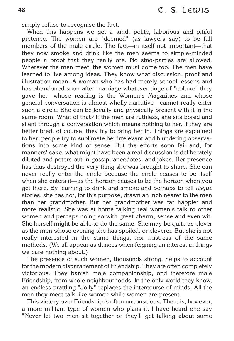When this happens we get a kind, polite, laborious and pitiful pretence. The women are "deemed" (as lawyers say) to be full members of the male circle. The fact—in itself not important—that they now smoke and drink like the men seems to simple-minded people a proof that they really are. No stag-parties are allowed. Wherever the men meet, the women must come too. The men have learned to live among ideas. They know what discussion, proof and illustration mean. A woman who has had merely school lessons and has abandoned soon after marriage whatever tinge of "culture" they gave her—whose reading is the Women's Magazines and whose general conversation is almost wholly narrative—cannot really enter such a circle. She can be locally and physically present with it in the same room. What of that? If the men are ruthless, she sits bored and silent through a conversation which means nothing to her. If they are better bred, of course, they try to bring her in. Things are explained to her: people try to sublimate her irrelevant and blundering observations into some kind of sense. But the efforts soon fail and, for manners' sake, what might have been a real discussion is deliberately diluted and peters out in gossip, anecdotes, and jokes. Her presence has thus destroyed the very thing she was brought to share. She can never really enter the circle because the circle ceases to be itself when she enters it—as the horizon ceases to be the horizon when you get there. By learning to drink and smoke and perhaps to tell *risqué* stories, she has not, for this purpose, drawn an inch nearer to the men than her grandmother. But her grandmother was far happier and more realistic. She was at home talking real women's talk to other women and perhaps doing so with great charm, sense and even wit. She herself might be able to do the same. She may be quite as clever as the men whose evening she has spoiled, or cleverer. But she is not really interested in the same things, nor mistress of the same methods. (We all appear as dunces when feigning an interest in things we care nothing about.)

The presence of such women, thousands strong, helps to account for the modern disparagement of Friendship. They are often completely victorious. They banish male companionship, and therefore male Friendship, from whole neighbourhoods. In the only world they know, an endless prattling "Jolly" replaces the intercourse of minds. All the men they meet talk like women while women are present.

This victory over Friendship is often unconscious. There is, however, a more militant type of women who plans it. I have heard one say "Never let two men sit together or they'll get talking about some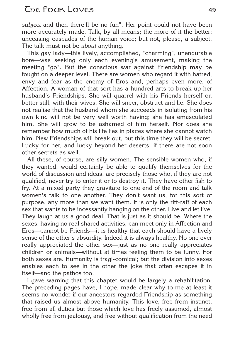*subject* and then there'll be no fun". Her point could not have been more accurately made. Talk, by all means; the more of it the better; unceasing cascades of the human voice; but not, please, a subject. The talk must not be *about* anything.

This gay lady—this lively, accomplished, "charming", unendurable bore—was seeking only each evening's amusement, making the meeting "go". But the conscious war against Friendship may be fought on a deeper level. There are women who regard it with hatred, envy and fear as the enemy of Eros and, perhaps even more, of Affection. A woman of that sort has a hundred arts to break up her husband's Friendships. She will quarrel with his Friends herself or, better still, with their wives. She will sneer, obstruct and lie. She does not realise that the husband whom she succeeds in isolating from his own kind will not be very well worth having; she has emasculated him. She will grow to be ashamed of him herself. Nor does she remember how much of his life lies in places where she cannot watch him. New Friendships will break out, but this time they will be secret. Lucky for her, and lucky beyond her deserts, if there are not soon other secrets as well.

All these, of course, are silly women. The sensible women who, if they wanted, would certainly be able to qualify themselves for the world of discussion and ideas, are precisely those who, if they are not qualified, never try to enter it or to destroy it. They have other fish to fry. At a mixed party they gravitate to one end of the room and talk women's talk to one another. They don't want us, for this sort of purpose, any more than we want them. It is only the riff-raff of each sex that wants to be incessantly hanging on the other. Live and let live. They laugh at us a good deal. That is just as it should be. Where the sexes, having no real shared activities, can meet only in Affection and Eros—cannot be Friends—it is healthy that each should have a lively sense of the other's absurdity. Indeed it is always healthy. No one ever really appreciated the other sex—just as no one really appreciates children or animals—without at times feeling them to be funny. For both sexes are. Humanity is tragi-comical; but the division into sexes enables each to see in the other the joke that often escapes it in itself—and the pathos too.

I gave warning that this chapter would be largely a rehabilitation. The preceding pages have, I hope, made clear why to me at least it seems no wonder if our ancestors regarded Friendship as something that raised us almost above humanity. This love, free from instinct, free from all duties but those which love has freely assumed, almost wholly free from jealousy, and free without qualification from the need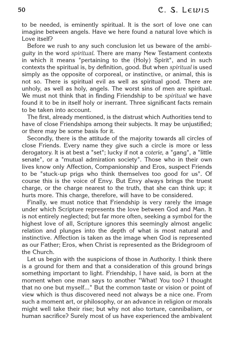to be needed, is eminently spiritual. It is the sort of love one can imagine between angels. Have we here found a natural love which is Love itself?

Before we rush to any such conclusion let us beware of the ambiguity in the word *spiritual*. There are many New Testament contexts in which it means "pertaining to the (Holy) Spirit", and in such contexts the spiritual is, by definition, good. But when *spiritual* is used simply as the opposite of corporeal, or instinctive, or animal, this is not so. There is spiritual evil as well as spiritual good. There are unholy, as well as holy, angels. The worst sins of men are spiritual. We must not think that in finding Friendship to be *spiritual* we have found it to be in itself holy or inerrant. Three significant facts remain to be taken into account.

The first, already mentioned, is the distrust which Authorities tend to have of close Friendships among their subjects. It may be unjustified; or there may be some basis for it.

Secondly, there is the attitude of the majority towards all circles of close Friends. Every name they give such a circle is more or less derogatory. It is at best a "set"; lucky if not a *coterie*, a "gang", a "little senate", or a "mutual admiration society". Those who in their own lives know only Affection, Companionship and Eros, suspect Friends to be "stuck-up prigs who think themselves too good for us". Of course this is the voice of Envy. But Envy always brings the truest charge, or the charge nearest to the truth, that she can think up; it hurts more. This charge, therefore, will have to be considered.

Finally, we must notice that Friendship is very rarely the image under which Scripture represents the love between God and Man. It is not entirely neglected; but far more often, seeking a symbol for the highest love of all, Scripture ignores this seemingly almost angelic relation and plunges into the depth of what is most natural and instinctive. Affection is taken as the image when God is represented as our Father; Eros, when Christ is represented as the Bridegroom of the Church.

Let us begin with the suspicions of those in Authority. I think there is a ground for them and that a consideration of this ground brings something important to light. Friendship, I have said, is born at the moment when one man says to another "What! You too? I thought that no one but myself..." But the common taste or vision or point of view which is thus discovered need not always be a nice one. From such a moment art, or philosophy, or an advance in religion or morals might well take their rise; but why not also torture, cannibalism, or human sacrifice? Surely most of us have experienced the ambivalent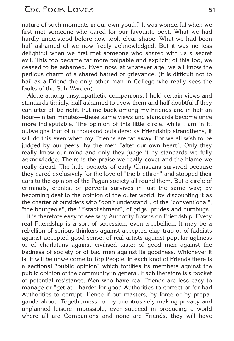nature of such moments in our own youth? It was wonderful when we first met someone who cared for our favourite poet. What we had hardly understood before now took clear shape. What we had been half ashamed of we now freely acknowledged. But it was no less delightful when we first met someone who shared with us a secret evil. This too became far more palpable and explicit; of this too, we ceased to be ashamed. Even now, at whatever age, we all know the perilous charm of a shared hatred or grievance. (It is difficult not to hail as a Friend the only other man in College who really sees the faults of the Sub-Warden).

Alone among unsympathetic companions, I hold certain views and standards timidly, half ashamed to avow them and half doubtful if they can after all be right. Put me back among my Friends and in half an hour—in ten minutes—these same views and standards become once more indisputable. The opinion of this little circle, while I am in it, outweighs that of a thousand outsiders: as Friendship strengthens, it will do this even when my Friends are far away. For we all wish to be judged by our peers, by the men "after our own heart". Only they really know our mind and only they judge it by standards we fully acknowledge. Theirs is the praise we really covet and the blame we really dread. The little pockets of early Christians survived because they cared exclusively for the love of "the brethren" and stopped their ears to the opinion of the Pagan society all round them. But a circle of criminals, cranks, or perverts survives in just the same way; by becoming deaf to the opinion of the outer world, by discounting it as the chatter of outsiders who "don't understand", of the "conventional", "the bourgeois", the "Establishment", of prigs, prudes and humbugs.

It is therefore easy to see why Authority frowns on Friendship. Every real Friendship is a sort of secession, even a rebellion. It may be a rebellion of serious thinkers against accepted clap-trap or of faddists against accepted good sense; of real artists against popular ugliness or of charlatans against civilised taste; of good men against the badness of society or of bad men against its goodness. Whichever it is, it will be unwelcome to Top People. In each knot of Friends there is a sectional "public opinion" which fortifies its members against the public opinion of the community in general. Each therefore is a pocket of potential resistance. Men who have real Friends are less easy to manage or "get at"; harder for good Authorities to correct or for bad Authorities to corrupt. Hence if our masters, by force or by propaganda about "Togetherness" or by unobtrusively making privacy and unplanned leisure impossible, ever succeed in producing a world where all are Companions and none are Friends, they will have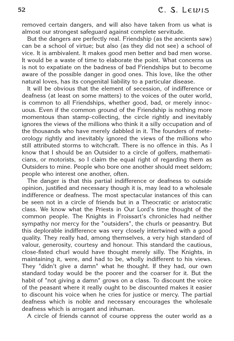removed certain dangers, and will also have taken from us what is almost our strongest safeguard against complete servitude.

But the dangers are perfectly real. Friendship (as the ancients saw) can be a school of virtue; but also (as they did not see) a school of vice. It is ambivalent. It makes good men better and bad men worse. It would be a waste of time to elaborate the point. What concerns us is not to expatiate on the badness of bad Friendships but to become aware of the possible danger in good ones. This love, like the other natural loves, has its congenital liability to a particular disease.

It will be obvious that the element of secession, of indifference or deafness (at least on some matters) to the voices of the outer world, is common to all Friendships, whether good, bad, or merely innocuous. Even if the common ground of the Friendship is nothing more momentous than stamp-collecting, the circle rightly and inevitably ignores the views of the millions who think it a silly occupation and of the thousands who have merely dabbled in it. The founders of meteorology rightly and inevitably ignored the views of the millions who still attributed storms to witchcraft. There is no offence in this. As I know that I should be an Outsider to a circle of golfers, mathematicians, or motorists, so I claim the equal right of regarding them as Outsiders to mine. People who bore one another should meet seldom; people who interest one another, often.

The danger is that this partial indifference or deafness to outside opinion, justified and necessary though it is, may lead to a wholesale indifference or deafness. The most spectacular instances of this can be seen not in a circle of friends but in a Theocratic or aristocratic class. We know what the Priests in Our Lord's time thought of the common people. The Knights in Froissart's chronicles had neither sympathy nor mercy for the "outsiders", the churls or peasantry. But this deplorable indifference was very closely intertwined with a good quality. They really had, among themselves, a very high standard of valour, generosity, courtesy and honour. This standard the cautious, close-fisted churl would have thought merely silly. The Knights, in maintaining it, were, and had to be, wholly indifferent to his views. They "didn't give a damn" what he thought. If they had, our own standard today would be the poorer and the coarser for it. But the habit of "not giving a damn" grows on a class. To discount the voice of the peasant where it really ought to be discounted makes it easier to discount his voice when he cries for justice or mercy. The partial deafness which is noble and necessary encourages the wholesale deafness which is arrogant and inhuman.

A circle of friends cannot of course oppress the outer world as a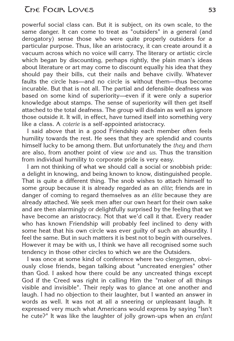powerful social class can. But it is subject, on its own scale, to the same danger. It can come to treat as "outsiders" in a general (and derogatory) sense those who were quite properly outsiders for a particular purpose. Thus, like an aristocracy, it can create around it a vacuum across which no voice will carry. The literary or artistic circle which began by discounting, perhaps rightly, the plain man's ideas about literature or art may come to discount equally his idea that they should pay their bills, cut their nails and behave civilly. Whatever faults the circle has—and no circle is without them—thus become incurable. But that is not all. The partial and defensible deafness was based on some kind of superiority—even if it were only a superior knowledge about stamps. The sense of superiority will then get itself attached to the total deafness. The group will disdain as well as ignore those outside it. It will, in effect, have turned itself into something very like a class. A *coterie* is a self-appointed aristocracy.

I said above that in a good Friendship each member often feels humility towards the rest. He sees that they are splendid and counts himself lucky to be among them. But unfortunately the *they* and *them* are also, from another point of view *we* and *us*. Thus the transition from individual humility to corporate pride is very easy.

I am not thinking of what we should call a social or snobbish pride: a delight in knowing, and being known to know, distinguished people. That is quite a different thing. The snob wishes to attach himself to some group because it is already regarded as an *élite*; friends are in danger of coming to regard themselves as an *élite* because they are already attached. We seek men after our own heart for their own sake and are then alarmingly or delightfully surprised by the feeling that we have become an aristocracy. Not that we'd call it that. Every reader who has known Friendship will probably feel inclined to deny with some heat that his own circle was ever guilty of such an absurdity. I feel the same. But in such matters it is best not to begin with ourselves. However it may be with us, I think we have all recognised some such tendency in those other circles to which we are the Outsiders.

I was once at some kind of conference where two clergymen, obviously close friends, began talking about "uncreated energies" other than God. I asked how there could be any uncreated things except God if the Creed was right in calling Him the "maker of all things visible and invisible". Their reply was to glance at one another and laugh. I had no objection to their laughter, but I wanted an answer in words as well. It was not at all a sneering or unpleasant laugh. It expressed very much what Americans would express by saying "Isn't he cute?" It was like the laughter of jolly grown-ups when an *enfant*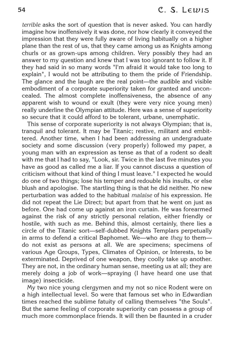*terrible* asks the sort of question that is never asked. You can hardly imagine how inoffensively it was done, nor how clearly it conveyed the impression that they were fully aware of living habitually on a higher plane than the rest of us, that they came among us as Knights among churls or as grown-ups among children. Very possibly they had an answer to my question and knew that I was too ignorant to follow it. If they had said in so many words "I'm afraid it would take too long to explain", I would not be attributing to them the pride of Friendship. The glance and the laugh are the real point—the audible and visible embodiment of a corporate superiority taken for granted and unconcealed. The almost complete inoffensiveness, the absence of any apparent wish to wound or exult (they were very nice young men) really underline the Olympian attitude. Here was a sense of superiority so secure that it could afford to be tolerant, urbane, unemphatic.

This sense of corporate superiority is not always Olympian; that is, tranquil and tolerant. It may be Titanic; restive, militant and embittered. Another time, when I had been addressing an undergraduate society and some discussion (very properly) followed my paper, a young man with an expression as tense as that of a rodent so dealt with me that I had to say, "Look, sir. Twice in the last five minutes you have as good as called me a liar. If you cannot discuss a question of criticism without that kind of thing I must leave." I expected he would do one of two things; lose his temper and redouble his insults, or else blush and apologise. The startling thing is that he did neither. No new perturbation was added to the habitual *malaise* of his expression. He did not repeat the Lie Direct; but apart from that he went on just as before. One had come up against an iron curtain. He was forearmed against the risk of any strictly personal relation, either friendly or hostile, with such as me. Behind this, almost certainly, there lies a circle of the Titanic sort—self-dubbed Knights Templars perpetually in arms to defend a critical Baphomet. We—who are *they* to them do not exist as persons at all. We are specimens; specimens of various Age Groups, Types, Climates of Opinion, or Interests, to be exterminated. Deprived of one weapon, they coolly take up another. They are not, in the ordinary human sense, meeting us at all; they are merely doing a job of work—spraying (I have heard one use that image) insecticide.

My two nice young clergymen and my not so nice Rodent were on a high intellectual level. So were that famous set who in Edwardian times reached the sublime fatuity of calling themselves "the Souls". But the same feeling of corporate superiority can possess a group of much more commonplace friends. It will then be flaunted in a cruder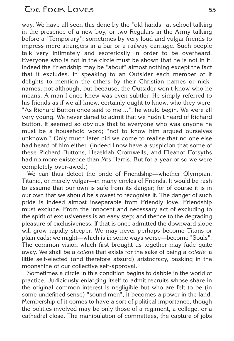way. We have all seen this done by the "old hands" at school talking in the presence of a new boy, or two Regulars in the Army talking before a "Temporary"; sometimes by very loud and vulgar friends to impress mere strangers in a bar or a railway carriage. Such people talk very intimately and esoterically in order to be overheard. Everyone who is not in the circle must be shown that he is not in it. Indeed the Friendship may be "about" almost nothing except the fact that it excludes. In speaking to an Outsider each member of it delights to mention the others by their Christian names or nicknames; not although, but because, the Outsider won't know who he means. A man I once knew was even subtler. He simply referred to his friends as if we all knew, certainly ought to know, who they were. "As Richard Button once said to me ...", he would begin. We were all very young. We never dared to admit that we hadn't heard of Richard Button. It seemed so obvious that to everyone who was anyone he must be a household word; "not to know him argued ourselves unknown." Only much later did we come to realise that no one else had heard of him either. (Indeed I now have a suspicion that some of these Richard Buttons, Hezekiah Cromwells, and Eleanor Forsyths had no more existence than Mrs Harris. But for a year or so we were completely over-awed.)

We can thus detect the pride of Friendship—whether Olympian, Titanic, or merely vulgar—in many circles of Friends. It would be rash to assume that our own is safe from its danger; for of course it is in our own that we should be slowest to recognise it. The danger of such pride is indeed almost inseparable from Friendly love. Friendship must exclude. From the innocent and necessary act of excluding to the spirit of exclusiveness is an easy step; and thence to the degrading pleasure of exclusiveness. If that is once admitted the downward slope will grow rapidly steeper. We may never perhaps become Titans or plain cads; we might—which is in some ways worse—become "Souls". The common vision which first brought us together may fade quite away. We shall be a *coterie* that exists for the sake of being a *coterie*; a little self-elected (and therefore absurd) aristocracy, basking in the moonshine of our collective self-approval.

Sometimes a circle in this condition begins to dabble in the world of practice. Judiciously enlarging itself to admit recruits whose share in the original common interest is negligible but who are felt to be (in some undefined sense) "sound men", it becomes a power in the land. Membership of it comes to have a sort of political importance, though the politics involved may be only those of a regiment, a college, or a cathedral close. The manipulation of committees, the capture of jobs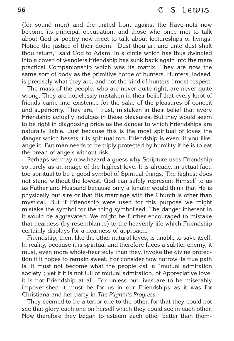(for sound men) and the united front against the Have-nots now become its principal occupation, and those who once met to talk about God or poetry now meet to talk about lectureships or livings. Notice the justice of their doom. "Dust thou art and unto dust shalt thou return," said God to Adam. In a circle which has thus dwindled into a coven of wanglers Friendship has sunk back again into the mere practical Companionship which was its matrix. They are now the same sort of body as the primitive horde of hunters. Hunters, indeed, is precisely what they are; and not the kind of hunters I most respect.

The mass of the people, who are never quite right, are never quite wrong. They are hopelessly mistaken in their belief that every knot of friends came into existence for the sake of the pleasures of conceit and superiority. They are, I trust, mistaken in their belief that every Friendship actually indulges in these pleasures. But they would seem to be right in diagnosing pride as the danger to which Friendships are naturally liable. Just because this is the most spiritual of loves the danger which besets it is spiritual too. Friendship is even, if you like, angelic. But man needs to be triply protected by humility if he is to eat the bread of angels without risk.

Perhaps we may now hazard a guess why Scripture uses Friendship so rarely as an image of the highest love. It is already, in actual fact, too spiritual to be a good symbol of Spiritual things. The highest does not stand without the lowest. God can safely represent Himself to us as Father and Husband because only a lunatic would think that He is physically our sire or that His marriage with the Church is other than mystical. But if Friendship were used for this purpose we might mistake the symbol for the thing symbolised. The danger inherent in it would be aggravated. We might be further encouraged to mistake that nearness (by resemblance) to the heavenly life which Friendship certainly displays for a nearness of approach.

Friendship, then, like the other natural loves, is unable to save itself. In reality, because it is spiritual and therefore faces a subtler enemy, it must, even more whole-heartedly than they, invoke the divine protection if it hopes to remain sweet. For consider how narrow its true path is. It must not become what the people call a "mutual admiration society"; yet if it is not full of mutual admiration, of Appreciative love, it is not Friendship at all. For unless our lives are to be miserably impoverished it must be for us in our Friendships as it was for Christiana and her party in *The Pilgrim's Progress*:

They seemed to be a terror one to the other, for that they could not see that glory each one on herself which they could see in each other. Now therefore they began to esteem each other better than them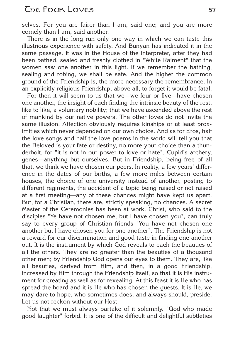selves. For you are fairer than I am, said one; and you are more comely than I am, said another.

There is in the long run only one way in which we can taste this illustrious experience with safety. And Bunyan has indicated it in the same passage. It was in the House of the Interpreter, after they had been bathed, sealed and freshly clothed in "White Raiment" that the women saw one another in this light. If we remember the bathing, sealing and robing, we shall be safe. And the higher the common ground of the Friendship is, the more necessary the remembrance. In an explicitly religious Friendship, above all, to forget it would be fatal.

For then it will seem to us that we—we four or five—have chosen one another, the insight of each finding the intrinsic beauty of the rest, like to like, a voluntary nobility; that we have ascended above the rest of mankind by our native powers. The other loves do not invite the same illusion. Affection obviously requires kinships or at least proximities which never depended on our own choice. And as for Eros, half the love songs and half the love poems in the world will tell you that the Beloved is your fate or destiny, no more your choice than a thunderbolt, for "it is not in our power to love or hate". Cupid's archery, genes—anything but ourselves. But in Friendship, being free of all that, we think we have chosen our peers. In reality, a few years' difference in the dates of our births, a few more miles between certain houses, the choice of one university instead of another, posting to different regiments, the accident of a topic being raised or not raised at a first meeting—any of these chances might have kept us apart. But, for a Christian, there are, strictly speaking, no chances. A secret Master of the Ceremonies has been at work. Christ, who said to the disciples "Ye have not chosen me, but I have chosen you", can truly say to every group of Christian friends "You have not chosen one another but I have chosen you for one another". The Friendship is not a reward for our discrimination and good taste in finding one another out. It is the instrument by which God reveals to each the beauties of all the others. They are no greater than the beauties of a thousand other men; by Friendship God opens our eyes to them. They are, like all beauties, derived from Him, and then, in a good Friendship, increased by Him through the Friendship itself, so that it is His instrument for creating as well as for revealing. At this feast it is He who has spread the board and it is He who has chosen the guests. It is He, we may dare to hope, who sometimes does, and always should, preside. Let us not reckon without our Host.

Not that we must always partake of it solemnly. "God who made good laughter" forbid. It is one of the difficult and delightful subtleties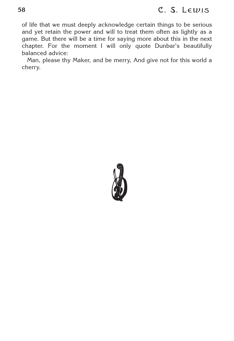of life that we must deeply acknowledge certain things to be serious and yet retain the power and will to treat them often as lightly as a game. But there will be a time for saying more about this in the next chapter. For the moment I will only quote Dunbar's beautifully balanced advice:

Man, please thy Maker, and be merry, And give not for this world a cherry.

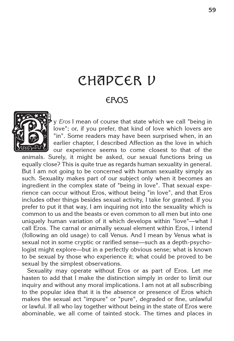# CHAPTER V

### Eros



By *Eros* I mean of course that state which we call "being in love"; or, if you prefer, that kind of love which lovers are "in". Some readers may have been surprised when, in an earlier chapter, I described Affection as th love"; or, if you prefer, that kind of love which lovers are "in". Some readers may have been surprised when, in an earlier chapter, I described Affection as the love in which our experience seems to come closest to that of the

animals. Surely, it might be asked, our sexual functions bring us equally close? This is quite true as regards human sexuality in general. But I am not going to be concerned with human sexuality simply as such. Sexuality makes part of our subject only when it becomes an ingredient in the complex state of "being in love". That sexual experience can occur without Eros, without being "in love", and that Eros includes other things besides sexual activity, I take for granted. If you prefer to put it that way, I am inquiring not into the sexuality which is common to us and the beasts or even common to all men but into one uniquely human variation of it which develops within "love"—what I call Eros. The carnal or animally sexual element within Eros, I intend (following an old usage) to call Venus. And I mean by Venus what is sexual not in some cryptic or rarified sense—such as a depth-psychologist might explore—but in a perfectly obvious sense; what is known to be sexual by those who experience it; what could be proved to be sexual by the simplest observations.

Sexuality may operate without Eros or as part of Eros. Let me hasten to add that I make the distinction simply in order to limit our inquiry and without any moral implications. I am not at all subscribing to the popular idea that it is the absence or presence of Eros which makes the sexual act "impure" or "pure", degraded or fine, unlawful or lawful. If all who lay together without being in the state of Eros were abominable, we all come of tainted stock. The times and places in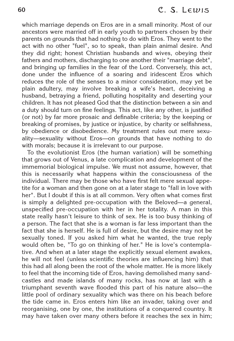which marriage depends on Eros are in a small minority. Most of our ancestors were married off in early youth to partners chosen by their parents on grounds that had nothing to do with Eros. They went to the act with no other "fuel", so to speak, than plain animal desire. And they did right; honest Christian husbands and wives, obeying their fathers and mothers, discharging to one another their "marriage debt", and bringing up families in the fear of the Lord. Conversely, this act, done under the influence of a soaring and iridescent Eros which reduces the role of the senses to a minor consideration, may yet be plain adultery, may involve breaking a wife's heart, deceiving a husband, betraying a friend, polluting hospitality and deserting your children. It has not pleased God that the distinction between a sin and a duty should turn on fine feelings. This act, like any other, is justified (or not) by far more prosaic and definable criteria; by the keeping or breaking of promises, by justice or injustice, by charity or selfishness, by obedience or disobedience. My treatment rules out mere sexuality—sexuality without Eros—on grounds that have nothing to do with morals; because it is irrelevant to our purpose.

To the evolutionist Eros (the human variation) will be something that grows out of Venus, a late complication and development of the immemorial biological impulse. We must not assume, however, that this is necessarily what happens within the consciousness of the individual. There may be those who have first felt mere sexual appetite for a woman and then gone on at a later stage to "fall in love with her". But I doubt if this is at all common. Very often what comes first is simply a delighted pre-occupation with the Beloved—a general, unspecified pre-occupation with her in her totality. A man in this state really hasn't leisure to think of sex. He is too busy thinking of a person. The fact that she is a woman is far less important than the fact that she is herself. He is full of desire, but the desire may not be sexually toned. If you asked him what he wanted, the true reply would often be, "To go on thinking of her." He is love's contemplative. And when at a later stage the explicitly sexual element awakes, he will not feel (unless scientific theories are influencing him) that this had all along been the root of the whole matter. He is more likely to feel that the incoming tide of Eros, having demolished many sandcastles and made islands of many rocks, has now at last with a triumphant seventh wave flooded this part of his nature also—the little pool of ordinary sexuality which was there on his beach before the tide came in. Eros enters him like an invader, taking over and reorganising, one by one, the institutions of a conquered country. It may have taken over many others before it reaches the sex in him;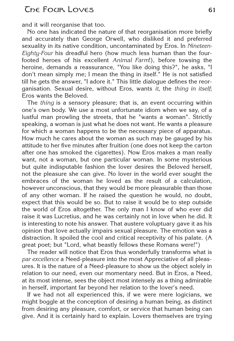and it will reorganise that too.

No one has indicated the nature of that reorganisation more briefly and accurately than George Orwell, who disliked it and preferred sexuality in its native condition, uncontaminated by Eros. In *Nineteen-Eighty-Four* his dreadful hero (how much less human than the fourfooted heroes of his excellent *Animal Farm*!), before towsing the heroine, demands a reassurance, "You like doing this?", he asks, "I don't mean simply me; I mean the thing in itself." He is not satisfied till he gets the answer, "I adore it." This little dialogue defines the reorganisation. Sexual desire, without Eros, wants *it*, the *thing in itself*; Eros wants the Beloved.

The *thing* is a sensory pleasure; that is, an event occurring within one's own body. We use a most unfortunate idiom when we say, of a lustful man prowling the streets, that he "wants a woman". Strictly speaking, a woman is just what he does not want. He wants a pleasure for which a woman happens to be the necessary piece of apparatus. How much he cares about the woman as such may be gauged by his attitude to her five minutes after fruition (one does not keep the carton after one has smoked the cigarettes). Now Eros makes a man really want, not a woman, but one particular woman. In some mysterious but quite indisputable fashion the lover desires the Beloved herself, not the pleasure she can give. No lover in the world ever sought the embraces of the woman he loved as the result of a calculation, however unconscious, that they would be more pleasurable than those of any other woman. If he raised the question he would, no doubt, expect that this would be so. But to raise it would be to step outside the world of Eros altogether. The only man I know of who ever did raise it was Lucretius, and he was certainly not in love when he did. It is interesting to note his answer. That austere voluptuary gave it as his opinion that love actually impairs sexual pleasure. The emotion was a distraction. It spoiled the cool and critical receptivity of his palate. (A great poet; but "Lord, what beastly fellows these Romans were!")

The reader will notice that Eros thus wonderfully transforms what is *par excellence* a Need-pleasure into the most Appreciative of all pleasures. It is the nature of a Need-pleasure to show us the object solely in relation to our need, even our momentary need. But in Eros, a Need, at its most intense, sees the object most intensely as a thing admirable in herself, important far beyond her relation to the lover's need.

If we had not all experienced this, if we were mere logicians, we might boggle at the conception of desiring a human being, as distinct from desiring any pleasure, comfort, or service that human being can give. And it is certainly hard to explain. Lovers themselves are trying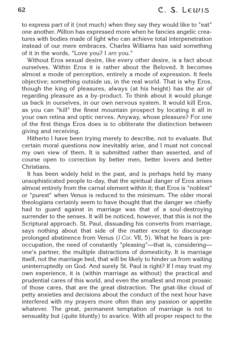to express part of it (not much) when they say they would like to "eat" one another. Milton has expressed more when he fancies angelic creatures with bodies made of light who can achieve total interpenetration instead of our mere embraces. Charles Williams has said something of it in the words, "Love you? I *am* you."

Without Eros sexual desire, like every other desire, is a fact about ourselves. Within Eros it is rather about the Beloved. It becomes almost a mode of perception, entirely a mode of expression. It feels objective; something outside us, in the real world. That is why Eros, though the king of pleasures, always (at his height) has the air of regarding pleasure as a by-product. To think about it would plunge us back in ourselves, in our own nervous system. It would kill Eros, as you can "kill" the finest mountain prospect by locating it all in your own retina and optic nerves. Anyway, whose pleasure? For one of the first things Eros does is to obliterate the distinction between giving and receiving.

Hitherto I have been trying merely to describe, not to evaluate. But certain moral questions now inevitably arise, and I must not conceal my own view of them. It is submitted rather than asserted, and of course open to correction by better men, better lovers and better Christians.

It has been widely held in the past, and is perhaps held by many unsophisticated people to-day, that the spiritual danger of Eros arises almost entirely from the carnal element within it; that Eros is "noblest" or "purest" when Venus is reduced to the minimum. The older moral theologians certainly seem to have thought that the danger we chiefly had to guard against in marriage was that of a soul-destroying surrender to the senses. It will be noticed, however, that this is not the Scriptural approach. St. Paul, dissuading his converts from marriage, says nothing about that side of the matter except to discourage prolonged abstinence from Venus (*I Cor*. VII, 5). What he fears is preoccupation, the need of constantly "pleasing"—that is, considering one's partner, the multiple distractions of domesticity. It is marriage itself, not the marriage bed, that will be likely to hinder us from waiting uninterruptedly on God. And surely St. Paul is right? If I may trust my own experience, it is (within marriage as without) the practical and prudential cares of this world, and even the smallest and most prosaic of those cares, that are the great distraction. The gnat-like cloud of petty anxieties and decisions about the conduct of the next hour have interfered with my prayers more often than any passion or appetite whatever. The great, permanent temptation of marriage is not to sensuality but (quite bluntly) to avarice. With all proper respect to the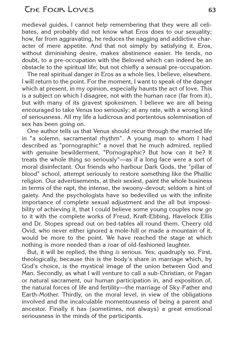medieval guides, I cannot help remembering that they were all celibates, and probably did not know what Eros does to our sexuality; how, far from aggravating, he reduces the nagging and addictive character of mere appetite. And that not simply by satisfying it. Eros, without diminishing desire, makes abstinence easier. He tends, no doubt, to a pre-occupation with the Beloved which can indeed be an obstacle to the spiritual life; but not chiefly a sensual pre-occupation.

The real spiritual danger in Eros as a whole lies, I believe, elsewhere. I will return to the point. For the moment, I want to speak of the danger which at present, in my opinion, especially haunts the act of love. This is a subject on which I disagree, not with the human race (far from it), but with many of its gravest spokesmen. I believe we are all being encouraged to take Venus too seriously; at any rate, with a wrong kind of seriousness. All my life a ludicrous and portentous solemnisation of sex has been going on.

One author tells us that Venus should recur through the married life in "a solemn, sacramental rhythm". A young man to whom I had described as "pornographic" a novel that he much admired, replied with genuine bewilderment, "Pornographic? But how can it be? It treats the whole thing so seriously"—as if a long face were a sort of moral disinfectant. Our friends who harbour Dark Gods, the "pillar of blood" school, attempt seriously to restore something like the Phallic religion. Our advertisements, at their sexiest, paint the whole business in terms of the rapt, the intense, the swoony-devout; seldom a hint of gaiety. And the psychologists have so bedevilled us with the infinite importance of complete sexual adjustment and the all but impossibility of achieving it, that I could believe some young couples now go to it with the complete works of Freud, Kraft-Ebbing, Havelock Ellis and Dr. Stopes spread out on bed-tables all round them. Cheery old Ovid, who never either ignored a mole-hill or made a mountain of it, would be more to the point. We have reached the stage at which nothing is more needed than a roar of old-fashioned laughter.

But, it will be replied, the thing *is* serious. Yes; quadruply so. First, theologically, because this is the body's share in marriage which, by God's choice, is the mystical image of the union between God and Man. Secondly, as what I will venture to call a sub-Christian, or Pagan or natural sacrament, our human participation in, and exposition of, the natural forces of life and fertility—the marriage of Sky-Father and Earth-Mother. Thirdly, on the moral level, in view of the obligations involved and the incalculable momentousness of being a parent and ancestor. Finally it has (sometimes, not always) a great emotional seriousness in the minds of the participants.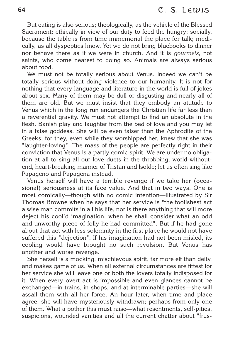But eating is also serious; theologically, as the vehicle of the Blessed Sacrament; ethically in view of our duty to feed the hungry; socially, because the table is from time immemorial the place for talk; medically, as all dyspeptics know. Yet we do not bring bluebooks to dinner nor behave there as if we were in church. And it is *gourmets*, not saints, who come nearest to doing so. Animals are always serious about food.

We must not be totally serious about Venus. Indeed we can't be totally serious without doing violence to our humanity. It is not for nothing that every language and literature in the world is full of jokes about sex. Many of them may be dull or disgusting and nearly all of them are old. But we must insist that they embody an attitude to Venus which in the long run endangers the Christian life far less than a reverential gravity. We must not attempt to find an absolute in the flesh. Banish play and laughter from the bed of love and you may let in a false goddess. She will be even falser than the Aphrodite of the Greeks; for they, even while they worshipped her, knew that she was "laughter-loving". The mass of the people are perfectly right in their conviction that Venus is a partly comic spirit. We are under no obligation at all to sing all our love-duets in the throbbing, world-withoutend, heart-breaking manner of Tristan and Isolde; let us often sing like Papageno and Papagena instead.

Venus herself will have a terrible revenge if we take her (occasional) seriousness at its face value. And that in two ways. One is most comically—though with no comic intention—illustrated by Sir Thomas Browne when he says that her service is "the foolishest act a wise man commits in all his life, nor is there anything that will more deject his cool'd imagination, when he shall consider what an odd and unworthy piece of folly he had committed". But if he had gone about that act with less solemnity in the first place he would not have suffered this "dejection". If his imagination had not been misled, its cooling would have brought no such revulsion. But Venus has another and worse revenge.

She herself is a mocking, mischievous spirit, far more elf than deity, and makes game of us. When all external circumstances are fittest for her service she will leave one or both the lovers totally indisposed for it. When every overt act is impossible and even glances cannot be exchanged—in trains, in shops, and at interminable parties—she will assail them with all her force. An hour later, when time and place agree, she will have mysteriously withdrawn; perhaps from only one of them. What a pother this must raise—what resentments, self-pities, suspicions, wounded vanities and all the current chatter about "frus-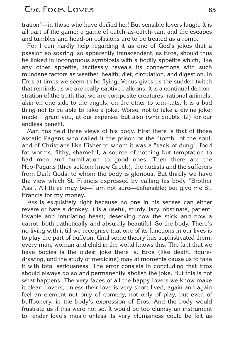tration"—in those who have deified her! But sensible lovers laugh. It is all part of the game; a game of catch-as-catch-can, and the escapes and tumbles and head-on collisions are to be treated as a romp.

For I can hardly help regarding it as one of God's jokes that a passion so soaring, so apparently transcendent, as Eros, should thus be linked in incongruous symbiosis with a bodily appetite which, like any other appetite, tactlessly reveals its connections with such mundane factors as weather, health, diet, circulation, and digestion. In Eros at times we seem to be flying; Venus gives us the sudden twitch that reminds us we are really captive balloons. It is a continual demonstration of the truth that we are composite creatures, rational animals, akin on one side to the angels, on the other to tom-cats. It is a bad thing not to be able to take a joke. Worse, not to take a divine joke; made, I grant you, at our expense, but also (who doubts it?) for our endless benefit.

Man has held three views of his body. First there is that of those ascetic Pagans who called it the prison or the "tomb" of the soul, and of Christians like Fisher to whom it was a "sack of dung", food for worms, filthy, shameful, a source of nothing but temptation to bad men and humiliation to good ones. Then there are the Neo-Pagans (they seldom know Greek), the nudists and the sufferers from Dark Gods, to whom the body is glorious. But thirdly we have the view which St. Francis expressed by calling his body "Brother Ass". All three may be—I am not sure—defensible; but give me St. Francis for my money.

*Ass* is exquisitely right because no one in his senses can either revere or hate a donkey. It is a useful, sturdy, lazy, obstinate, patient, lovable and infuriating beast; deserving now the stick and now a carrot; both pathetically and absurdly beautiful. So the body. There's no living with it till we recognise that one of its functions in our lives is to play the part of buffoon. Until some theory has sophisticated them, every man, woman and child in the world knows this. The fact that we have bodies is the oldest joke there is. Eros (like death, figuredrawing, and the study of medicine) may at moments cause us to take it with total seriousness. The error consists in concluding that Eros should always do so and permanently abolish the joke. But this is not what happens. The very faces of all the happy lovers we know make it clear. Lovers, unless their love is very short-lived, again and again feel an element not only of comedy, not only of play, but even of buffoonery, in the body's expression of Eros. And the body would frustrate us if this were not so. It would be too clumsy an instrument to render love's music unless its very clumsiness could be felt as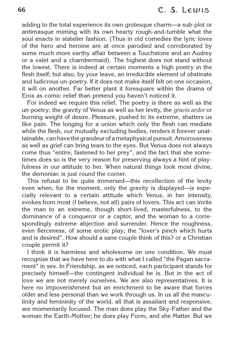adding to the total experience its own grotesque charm—a sub-plot or antimasque miming with its own hearty rough-and-tumble what the soul enacts in statelier fashion. (Thus in old comedies the lyric loves of the hero and heroine are at once parodied and corroborated by some much more earthy affair between a Touchstone and an Audrey or a valet and a chambermaid). The highest does not stand without the lowest. There is indeed at certain moments a high poetry in the flesh itself; but also, by your leave, an irreducible element of obstinate and ludicrous un-poetry. If it does not make itself felt on one occasion, it will on another. Far better plant it foresquare within the drama of Eros as comic relief than pretend you haven't noticed it.

For indeed we require this relief. The poetry is there as well as the un-poetry; the gravity of Venus as well as her levity, the *gravis ardor* or burning weight of desire. Pleasure, pushed to its extreme, shatters us like pain. The longing for a union which only the flesh can mediate while the flesh, our mutually excluding bodies, renders it forever unattainable, can have the grandeur of a metaphysical pursuit. Amorousness as well as grief can bring tears to the eyes. But Venus does not always come thus "entire, fastened to her prey", and the fact that she sometimes does so is the very reason for preserving always a hint of playfulness in our attitude to her. When natural things look most divine, the demoniac is just round the corner.

This refusal to be quite immersed—this recollection of the levity even when, for the moment, only the gravity is displayed—is especially relevant to a certain attitude which Venus, in her intensity, evokes from most (I believe, not all) pairs of lovers. This act can invite the man to an extreme, though short-lived, masterfulness, to the dominance of a conqueror or a captor, and the woman to a correspondingly extreme abjection and surrender. Hence the roughness, even fierceness, of some erotic play; the "lover's pinch which hurts and is desired". How should a sane couple think of this? or a Christian couple permit it?

I think it is harmless and wholesome on one condition. We must recognise that we have here to do with what I called "the Pagan sacrament" in sex. In Friendship, as we noticed, each participant stands for precisely himself—the contingent individual he is. But in the act of love we are not merely ourselves. We are also representatives. It is here no impoverishment but an enrichment to be aware that forces older and less personal than we work through us. In us all the masculinity and femininity of the world, all that is assailant and responsive, are momentarily focused. The man does play the Sky-Father and the woman the Earth-Mother; he does play Form, and she Matter. But we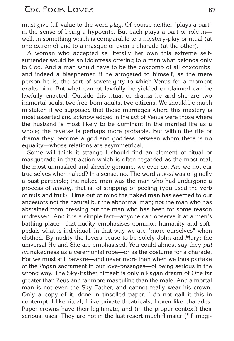must give full value to the word *play*. Of course neither "plays a part" in the sense of being a hypocrite. But each plays a part or role in well, in something which is comparable to a mystery-play or ritual (at one extreme) and to a masque or even a charade (at the other).

A woman who accepted as literally her own this extreme selfsurrender would be an idolatress offering to a man what belongs only to God. And a man would have to be the coxcomb of all coxcombs, and indeed a blasphemer, if he arrogated to himself, as the mere person he is, the sort of sovereignty to which Venus for a moment exalts him. But what cannot lawfully be yielded or claimed can be lawfully enacted. Outside this ritual or drama he and she are two immortal souls, two free-born adults, two citizens. We should be much mistaken if we supposed that those marriages where this mastery is most asserted and acknowledged in the act of Venus were those where the husband is most likely to be dominant in the married life as a whole; the reverse is perhaps more probable. But within the rite or drama they become a god and goddess between whom there is no equality—whose relations are asymmetrical.

Some will think it strange I should find an element of ritual or masquerade in that action which is often regarded as the most real, the most unmasked and sheerly genuine, we ever do. Are we not our true selves when naked? In a sense, no. The word *naked* was originally a past participle; the naked man was the man who had undergone a process of *naking*, that is, of stripping or peeling (you used the verb of nuts and fruit). Time out of mind the naked man has seemed to our ancestors not the natural but the abnormal man; not the man who has abstained from dressing but the man who has been for some reason undressed. And it is a simple fact—anyone can observe it at a men's bathing place—that nudity emphasises common humanity and softpedals what is individual. In that way we are "more ourselves" when clothed. By nudity the lovers cease to be solely John and Mary; the universal He and She are emphasised. You could almost say they *put on* nakedness as a ceremonial robe—or as the costume for a charade. For we must still beware—and never more than when we thus partake of the Pagan sacrament in our love-passages—of being serious in the wrong way. The Sky-Father himself is only a Pagan dream of One far greater than Zeus and far more masculine than the male. And a mortal man is not even the Sky-Father, and cannot really wear his crown. Only a copy of it, done in tinselled paper. I do not call it this in contempt. I like ritual; I like private theatricals; I even like charades. Paper crowns have their legitimate, and (in the proper context) their serious, uses. They are not in the last resort much flimsier ("if imagi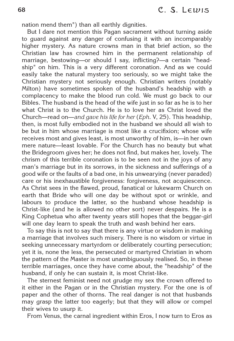nation mend them") than all earthly dignities.

But I dare not mention this Pagan sacrament without turning aside to guard against any danger of confusing it with an incomparably higher mystery. As nature crowns man in that brief action, so the Christian law has crowned him in the permanent relationship of marriage, bestowing—or should I say, inflicting?—a certain "headship" on him. This is a very different coronation. And as we could easily take the natural mystery too seriously, so we might take the Christian mystery not seriously enough. Christian writers (notably Milton) have sometimes spoken of the husband's headship with a complacency to make the blood run cold. We must go back to our Bibles. The husband is the head of the wife just in so far as he is to her what Christ is to the Church. He is to love her as Christ loved the Church—read on—*and gave his life for her* (*Eph*. V, 25). This headship, then, is most fully embodied not in the husband we should all wish to be but in him whose marriage is most like a crucifixion; whose wife receives most and gives least, is most unworthy of him, is—in her own mere nature—least lovable. For the Church has no beauty but what the Bridegroom gives her; he does not find, but makes her, lovely. The chrism of this terrible coronation is to be seen not in the joys of any man's marriage but in its sorrows, in the sickness and sufferings of a good wife or the faults of a bad one, in his unwearying (never paraded) care or his inexhaustible forgiveness: forgiveness, not acquiescence. As Christ sees in the flawed, proud, fanatical or lukewarm Church on earth that Bride who will one day be without spot or wrinkle, and labours to produce the latter, so the husband whose headship is Christ-like (and he is allowed no other sort) never despairs. He is a King Cophetua who after twenty years still hopes that the beggar-girl will one day learn to speak the truth and wash behind her ears.

To say this is not to say that there is any virtue or wisdom in making a marriage that involves such misery. There is no wisdom or virtue in seeking unnecessary martyrdom or deliberately courting persecution; yet it is, none the less, the persecuted or martyred Christian in whom the pattern of the Master is most unambiguously realised. So, in these terrible marriages, once they have come about, the "headship" of the husband, if only he can sustain it, is most Christ-like.

The sternest feminist need not grudge my sex the crown offered to it either in the Pagan or in the Christian mystery. For the one is of paper and the other of thorns. The real danger is not that husbands may grasp the latter too eagerly; but that they will allow or compel their wives to usurp it.

From Venus, the carnal ingredient within Eros, I now turn to Eros as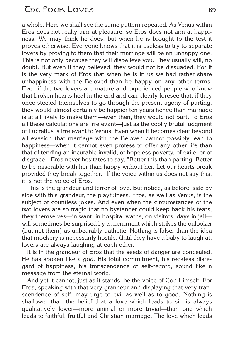a whole. Here we shall see the same pattern repeated. As Venus within Eros does not really aim at pleasure, so Eros does not aim at happiness. We may think he does, but when he is brought to the test it proves otherwise. Everyone knows that it is useless to try to separate lovers by proving to them that their marriage will be an unhappy one. This is not only because they will disbelieve you. They usually will, no doubt. But even if they believed, they would not be dissuaded. For it is the very mark of Eros that when he is in us we had rather share unhappiness with the Beloved than be happy on any other terms. Even if the two lovers are mature and experienced people who know that broken hearts heal in the end and can clearly foresee that, if they once steeled themselves to go through the present agony of parting, they would almost certainly be happier ten years hence than marriage is at all likely to make them—even then, they would not part. To Eros all these calculations are irrelevant—just as the coolly brutal judgment of Lucretius is irrelevant to Venus. Even when it becomes clear beyond all evasion that marriage with the Beloved cannot possibly lead to happiness—when it cannot even profess to offer any other life than that of tending an incurable invalid, of hopeless poverty, of exile, or of disgrace—Eros never hesitates to say, "Better this than parting. Better to be miserable with her than happy without her. Let our hearts break provided they break together." If the voice within us does not say this, it is not the voice of Eros.

This is the grandeur and terror of love. But notice, as before, side by side with this grandeur, the playfulness. Eros, as well as Venus, is the subject of countless jokes. And even when the circumstances of the two lovers are so tragic that no bystander could keep back his tears, they themselves—in want, in hospital wards, on visitors' days in jail will sometimes be surprised by a merriment which strikes the onlooker (but not them) as unbearably pathetic. Nothing is falser than the idea that mockery is necessarily hostile. Until they have a baby to laugh at, lovers are always laughing at each other.

It is in the grandeur of Eros that the seeds of danger are concealed. He has spoken like a god. His total commitment, his reckless disregard of happiness, his transcendence of self-regard, sound like a message from the eternal world.

And yet it cannot, just as it stands, be the voice of God Himself. For Eros, speaking with that very grandeur and displaying that very transcendence of self, may urge to evil as well as to good. Nothing is shallower than the belief that a love which leads to sin is always qualitatively lower—more animal or more trivial—than one which leads to faithful, fruitful and Christian marriage. The love which leads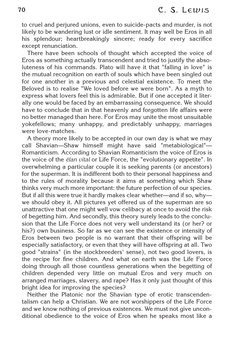to cruel and perjured unions, even to suicide-pacts and murder, is not likely to be wandering lust or idle sentiment. It may well be Eros in all his splendour; heartbreakingly sincere; ready for every sacrifice except renunciation.

There have been schools of thought which accepted the voice of Eros as something actually transcendent and tried to justify the absoluteness of his commands. Plato will have it that "falling in love" is the mutual recognition on earth of souls which have been singled out for one another in a previous and celestial existence. To meet the Beloved is to realise "We loved before we were born". As a myth to express what lovers feel this is admirable. But if one accepted it literally one would be faced by an embarrassing consequence. We should have to conclude that in that heavenly and forgotten life affairs were no better managed than here. For Eros may unite the most unsuitable yokefellows; many unhappy, and predictably unhappy, marriages were love-matches.

A theory more likely to be accepted in our own day is what we may call Shavian—Shaw himself might have said "metabiological"— Romanticism. According to Shavian Romanticism the voice of Eros is the voice of the *élan vital* or Life Force, the "evolutionary appetite". In overwhelming a particular couple it is seeking parents (or ancestors) for the superman. It is indifferent both to their personal happiness and to the rules of morality because it aims at something which Shaw thinks very much more important: the future perfection of our species. But if all this were true it hardly makes clear whether—and if so, why we should obey it. All pictures yet offered us of the superman are so unattractive that one might well vow celibacy at once to avoid the risk of begetting him. And secondly, this theory surely leads to the conclusion that the Life Force does not very well understand its (or her? or his?) own business. So far as we can see the existence or intensity of Eros between two people is no warrant that their offspring will be especially satisfactory, or even that they will have offspring at all. Two good "strains" (in the stockbreeders' sense), not two good lovers, is the recipe for fine children. And what on earth was the Life Force doing through all those countless generations when the begetting of children depended very little on mutual Eros and very much on arranged marriages, slavery, and rape? Has it only just thought of this bright idea for improving the species?

Neither the Platonic nor the Shavian type of erotic transcendentalism can help a Christian. We are not worshippers of the Life Force and we know nothing of previous existences. We must not give unconditional obedience to the voice of Eros when he speaks most like a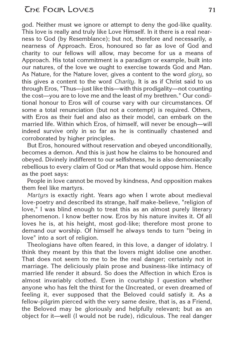god. Neither must we ignore or attempt to deny the god-like quality. This love is really and truly like Love Himself. In it there is a real nearness to God (by Resemblance); but not, therefore and necessarily, a nearness of Approach. Eros, honoured so far as love of God and charity to our fellows will allow, may become for us a means of Approach. His total commitment is a paradigm or example, built into our natures, of the love we ought to exercise towards God and Man. As Nature, for the Nature lover, gives a content to the word *glory*, so this gives a content to the word *Charity*. It is as if Christ said to us through Eros, "Thus—just like this—with this prodigality—not counting the cost—you are to love me and the least of my brethren." Our conditional honour to Eros will of course vary with our circumstances. Of some a total renunciation (but not a contempt) is required. Others, with Eros as their fuel and also as their model, can embark on the married life. Within which Eros, of himself, will never be enough—will indeed survive only in so far as he is continually chastened and corroborated by higher principles.

But Eros, honoured without reservation and obeyed unconditionally, becomes a demon. And this is just how he claims to be honoured and obeyed. Divinely indifferent to our selfishness, he is also demoniacally rebellious to every claim of God or Man that would oppose him. Hence as the poet says:

People in love cannot be moved by kindness, And opposition makes them feel like martyrs.

*Martyrs* is exactly right. Years ago when I wrote about medieval love-poetry and described its strange, half make-believe, "religion of love," I was blind enough to treat this as an almost purely literary phenomenon. I know better now. Eros by his nature invites it. Of all loves he is, at his height, most god-like; therefore most prone to demand our worship. Of himself he always tends to turn "being in love" into a sort of religion.

Theologians have often feared, in this love, a danger of idolatry. I think they meant by this that the lovers might idolise one another. That does not seem to me to be the real danger; certainly not in marriage. The deliciously plain prose and business-like intimacy of married life render it absurd. So does the Affection in which Eros is almost invariably clothed. Even in courtship I question whether anyone who has felt the thirst for the Uncreated, or even dreamed of feeling it, ever supposed that the Beloved could satisfy it. As a fellow-pilgrim pierced with the very same desire, that is, as a Friend, the Beloved may be gloriously and helpfully relevant; but as an object for it—well (I would not be rude), ridiculous. The real danger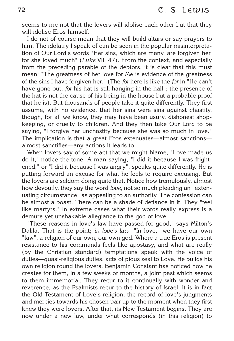seems to me not that the lovers will idolise each other but that they will idolise Eros himself.

I do not of course mean that they will build altars or say prayers to him. The idolatry I speak of can be seen in the popular misinterpretation of Our Lord's words "Her sins, which are many, are forgiven her, for she loved much" (*Luke* VII, 47). From the context, and especially from the preceding parable of the debtors, it is clear that this must mean: "The greatness of her love for Me is evidence of the greatness of the sins I have forgiven her." (The *for* here is like the *for* in "He can't have gone out, *for* his hat is still hanging in the hall"; the presence of the hat is not the cause of his being in the house but a probable proof that he is). But thousands of people take it quite differently. They first assume, with no evidence, that her sins were sins against chastity, though, for all we know, they may have been usury, dishonest shopkeeping, or cruelty to children. And they then take Our Lord to be saying, "I forgive her unchastity because she was so much in love." The implication is that a great Eros extenuates—almost sanctions almost sanctifies—any actions it leads to.

When lovers say of some act that we might blame, "Love made us do it," notice the tone. A man saying, "I did it because I was frightened," or "I did it because I was angry", speaks quite differently. He is putting forward an excuse for what he feels to require excusing. But the lovers are seldom doing quite that. Notice how tremulously, almost how devoutly, they say the word *love*, not so much pleading an "extenuating circumstance" as appealing to an authority. The confession can be almost a boast. There can be a shade of defiance in it. They "feel like martyrs." In extreme cases what their words really express is a demure yet unshakable allegiance to the god of love.

"These reasons in love's law have passed for good," says Milton's Dalila. That is the point; *in love's law*. "In love," we have our own "law", a religion of our own, our own god. Where a true Eros is present resistance to his commands feels like apostasy, and what are really (by the Christian standard) temptations speak with the voice of duties—quasi-religious duties, acts of pious zeal to Love. He builds his own religion round the lovers. Benjamin Constant has noticed how he creates for them, in a few weeks or months, a joint past which seems to them immemorial. They recur to it continually with wonder and reverence, as the Psalmists recur to the history of Israel. It is in fact the Old Testament of Love's religion; the record of love's judgments and mercies towards his chosen pair up to the moment when they first knew they were lovers. After that, its New Testament begins. They are now under a new law, under what corresponds (in this religion) to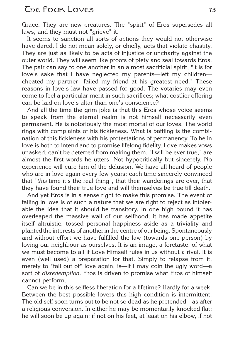Grace. They are new creatures. The "spirit" of Eros supersedes all laws, and they must not "grieve" it.

It seems to sanction all sorts of actions they would not otherwise have dared. I do not mean solely, or chiefly, acts that violate chastity. They are just as likely to be acts of injustice or uncharity against the outer world. They will seem like proofs of piety and zeal towards Eros. The pair can say to one another in an almost sacrificial spirit, "It is for love's sake that I have neglected my parents—left my children cheated my partner—failed my friend at his greatest need." These reasons in love's law have passed for good. The votaries may even come to feel a particular merit in such sacrifices; what costlier offering can be laid on love's altar than one's conscience?

And all the time the grim joke is that this Eros whose voice seems to speak from the eternal realm is not himself necessarily even permanent. He is notoriously the most mortal of our loves. The world rings with complaints of his fickleness. What is baffling is the combination of this fickleness with his protestations of permanency. To be in love is both to intend and to promise lifelong fidelity. Love makes vows unasked; can't be deterred from making them. "I will be ever true," are almost the first words he utters. Not hypocritically but sincerely. No experience will cure him of the delusion. We have all heard of people who are in love again every few years; each time sincerely convinced that "*this* time it's the real thing", that their wanderings are over, that they have found their true love and will themselves be true till death.

And yet Eros is in a sense right to make this promise. The event of falling in love is of such a nature that we are right to reject as intolerable the idea that it should be transitory. In one high bound it has overleaped the massive wall of our selfhood; it has made appetite itself altruistic, tossed personal happiness aside as a triviality and planted the interests of another in the centre of our being. Spontaneously and without effort we have fulfilled the law (towards one person) by loving our neighbour as ourselves. It is an image, a foretaste, of what we must become to all if Love Himself rules in us without a rival. It is even (well used) a preparation for that. Simply to relapse from it, merely to "fall out of" love again, is—if I may coin the ugly word—a sort of *disredemption*. Eros is driven to promise what Eros of himself cannot perform.

Can we be in this selfless liberation for a lifetime? Hardly for a week. Between the best possible lovers this high condition is intermittent. The old self soon turns out to be not so dead as he pretended—as after a religious conversion. In either he may be momentarily knocked flat; he will soon be up again; if not on his feet, at least on his elbow, if not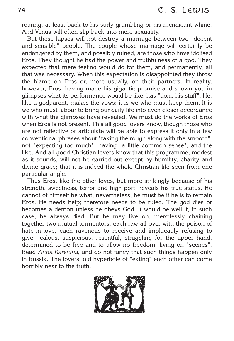roaring, at least back to his surly grumbling or his mendicant whine. And Venus will often slip back into mere sexuality.

But these lapses will not destroy a marriage between two "decent and sensible" people. The couple whose marriage will certainly be endangered by them, and possibly ruined, are those who have idolised Eros. They thought he had the power and truthfulness of a god. They expected that mere feeling would do for them, and permanently, all that was necessary. When this expectation is disappointed they throw the blame on Eros or, more usually, on their partners. In reality, however, Eros, having made his gigantic promise and shown you in glimpses what its performance would be like, has "done his stuff". He, like a godparent, makes the vows; it is we who must keep them. It is we who must labour to bring our daily life into even closer accordance with what the glimpses have revealed. We must do the works of Eros when Eros is not present. This all good lovers know, though those who are not reflective or articulate will be able to express it only in a few conventional phrases about "taking the rough along with the smooth", not "expecting too much", having "a little common sense", and the like. And all good Christian lovers know that this programme, modest as it sounds, will not be carried out except by humility, charity and divine grace; that it is indeed the whole Christian life seen from one particular angle.

Thus Eros, like the other loves, but more strikingly because of his strength, sweetness, terror and high port, reveals his true status. He cannot of himself be what, nevertheless, he must be if he is to remain Eros. He needs help; therefore needs to be ruled. The god dies or becomes a demon unless he obeys God. It would be well if, in such case, he always died. But he may live on, mercilessly chaining together two mutual tormentors, each raw all over with the poison of hate-in-love, each ravenous to receive and implacably refusing to give, jealous, suspicious, resentful, struggling for the upper hand, determined to be free and to allow no freedom, living on "scenes". Read *Anna Karenina*, and do not fancy that such things happen only in Russia. The lovers' old hyperbole of "eating" each other can come horribly near to the truth.

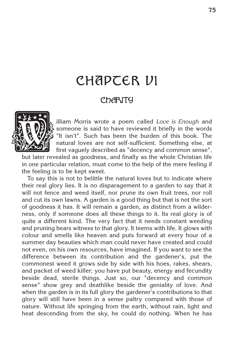# CHAPTER VI

#### Charity



WEXCON Silliam Morris wrote a poem called *Love is Enough* and Someone is said to have reviewed it briefly in the words "It isn't". Such has been the burden of this book. The natural loves are not self-sufficient. Somethin someone is said to have reviewed it briefly in the words "It isn't". Such has been the burden of this book. The natural loves are not self-sufficient. Something else, at first vaguely described as "decency and common sense",

but later revealed as goodness, and finally as the whole Christian life in one particular relation, must come to the help of the mere feeling if the feeling is to be kept sweet.

To say this is not to belittle the natural loves but to indicate where their real glory lies. It is no disparagement to a garden to say that it will not fence and weed itself, nor prune its own fruit trees, nor roll and cut its own lawns. A garden is a good thing but that is not the sort of goodness it has. It will remain a garden, as distinct from a wilderness, only if someone does all these things to it. Its real glory is of quite a different kind. The very fact that it needs constant weeding and pruning bears witness to that glory. It teems with life. It glows with colour and smells like heaven and puts forward at every hour of a summer day beauties which man could never have created and could not even, on his own resources, have imagined. If you want to see the difference between its contribution and the gardener's, put the commonest weed it grows side by side with his hoes, rakes, shears, and packet of weed killer; you have put beauty, energy and fecundity beside dead, sterile things. Just so, our "decency and common sense" show grey and deathlike beside the geniality of love. And when the garden is in its full glory the gardener's contributions to that glory will still have been in a sense paltry compared with those of nature. Without life springing from the earth, without rain, light and heat descending from the sky, he could do nothing. When he has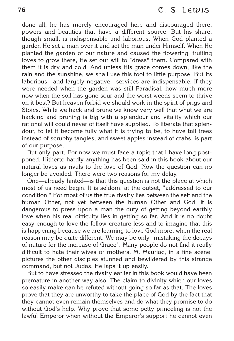done all, he has merely encouraged here and discouraged there, powers and beauties that have a different source. But his share, though small, is indispensable and laborious. When God planted a garden He set a man over it and set the man under Himself. When He planted the garden of our nature and caused the flowering, fruiting loves to grow there, He set our will to "dress" them. Compared with them it is dry and cold. And unless His grace comes down, like the rain and the sunshine, we shall use this tool to little purpose. But its laborious—and largely negative—services are indispensable. If they were needed when the garden was still Paradisal, how much more now when the soil has gone sour and the worst weeds seem to thrive on it best? But heaven forbid we should work in the spirit of prigs and Stoics. While we hack and prune we know very well that what we are hacking and pruning is big with a splendour and vitality which our rational will could never of itself have supplied. To liberate that splendour, to let it become fully what it is trying to be, to have tall trees instead of scrubby tangles, and sweet apples instead of crabs, is part of our purpose.

But only part. For now we must face a topic that I have long postponed. Hitherto hardly anything has been said in this book about our natural loves as rivals to the love of God. Now the question can no longer be avoided. There were two reasons for my delay.

One—already hinted—is that this question is not the place at which most of us need begin. It is seldom, at the outset, "addressed to our condition." For most of us the true rivalry lies between the self and the human Other, not yet between the human Other and God. It is dangerous to press upon a man the duty of getting beyond earthly love when his real difficulty lies in getting so far. And it is no doubt easy enough to love the fellow-creature less and to imagine that this is happening because we are learning to love God more, when the real reason may be quite different. We may be only "mistaking the decays of nature for the increase of Grace". Many people do not find it really difficult to hate their wives or mothers. M. Mauriac, in a fine scene, pictures the other disciples stunned and bewildered by this strange command, but not Judas. He laps it up easily.

But to have stressed the rivalry earlier in this book would have been premature in another way also. The claim to divinity which our loves so easily make can be refuted without going so far as that. The loves prove that they are unworthy to take the place of God by the fact that they cannot even remain themselves and do what they promise to do without God's help. Why prove that some petty princeling is not the lawful Emperor when without the Emperor's support he cannot even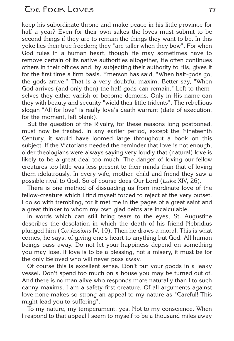keep his subordinate throne and make peace in his little province for half a year? Even for their own sakes the loves must submit to be second things if they are to remain the things they want to be. In this yoke lies their true freedom; they "are taller when they bow". For when God rules in a human heart, though He may sometimes have to remove certain of its native authorities altogether, He often continues others in their offices and, by subjecting their authority to His, gives it for the first time a firm basis. Emerson has said, "When half-gods go, the gods arrive." That is a very doubtful maxim. Better say, "When God arrives (and only then) the half-gods can remain." Left to themselves they either vanish or become demons. Only in His name can they with beauty and security "wield their little tridents". The rebellious slogan "All for love" is really love's death warrant (date of execution, for the moment, left blank).

But the question of the Rivalry, for these reasons long postponed, must now be treated. In any earlier period, except the Nineteenth Century, it would have loomed large throughout a book on this subject. If the Victorians needed the reminder that love is not enough, older theologians were always saying very loudly that (natural) love is likely to be a great deal too much. The danger of loving our fellow creatures too little was less present to their minds than that of loving them idolatrously. In every wife, mother, child and friend they saw a possible rival to God. So of course does Our Lord (*Luke* XIV, 26).

There is one method of dissuading us from inordinate love of the fellow-creature which I find myself forced to reject at the very outset. I do so with trembling, for it met me in the pages of a great saint and a great thinker to whom my own glad debts are incalculable.

In words which can still bring tears to the eyes, St. Augustine describes the desolation in which the death of his friend Nebridius plunged him (*Confessions* IV, 10). Then he draws a moral. This is what comes, he says, of giving one's heart to anything but God. All human beings pass away. Do not let your happiness depend on something you may lose. If love is to be a blessing, not a misery, it must be for the only Beloved who will never pass away.

Of course this is excellent sense. Don't put your goods in a leaky vessel. Don't spend too much on a house you may be turned out of. And there is no man alive who responds more naturally than I to such canny maxims. I am a safety-first creature. Of all arguments against love none makes so strong an appeal to my nature as "Careful! This might lead you to suffering".

To my nature, my temperament, yes. Not to my conscience. When I respond to that appeal I seem to myself to be a thousand miles away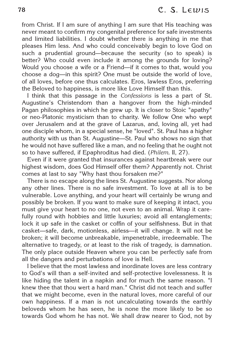from Christ. If I am sure of anything I am sure that His teaching was never meant to confirm my congenital preference for safe investments and limited liabilities. I doubt whether there is anything in me that pleases Him less. And who could conceivably begin to love God on such a prudential ground—because the security (so to speak) is better? Who could even include it among the grounds for loving? Would you choose a wife or a Friend—if it comes to that, would you choose a dog—in this spirit? One must be outside the world of love, of all loves, before one thus calculates. Eros, lawless Eros, preferring the Beloved to happiness, is more like Love Himself than this.

I think that this passage in the *Confessions* is less a part of St. Augustine's Christendom than a hangover from the high-minded Pagan philosophies in which he grew up. It is closer to Stoic "apathy" or neo-Platonic mysticism than to charity. We follow One who wept over Jerusalem and at the grave of Lazarus, and, loving all, yet had one disciple whom, in a special sense, he "loved". St. Paul has a higher authority with us than St. Augustine—St. Paul who shows no sign that he would not have suffered like a man, and no feeling that he ought not so to have suffered, if Epaphroditus had died. (*Philem*. II, 27).

Even if it were granted that insurances against heartbreak were our highest wisdom, does God Himself offer them? Apparently not. Christ comes at last to say "Why hast thou forsaken me?"

There is no escape along the lines St. Augustine suggests. Nor along any other lines. There is no safe investment. To love at all is to be vulnerable. Love anything, and your heart will certainly be wrung and possibly be broken. If you want to make sure of keeping it intact, you must give your heart to no one, not even to an animal. Wrap it carefully round with hobbies and little luxuries; avoid all entanglements; lock it up safe in the casket or coffin of your selfishness. But in that casket—safe, dark, motionless, airless—it will change. It will not be broken; it will become unbreakable, impenetrable, irredeemable. The alternative to tragedy, or at least to the risk of tragedy, is damnation. The only place outside Heaven where you can be perfectly safe from all the dangers and perturbations of love is Hell.

I believe that the most lawless and inordinate loves are less contrary to God's will than a self-invited and self-protective lovelessness. It is like hiding the talent in a napkin and for much the same reason. "I knew thee that thou wert a hard man." Christ did not teach and suffer that we might become, even in the natural loves, more careful of our own happiness. If a man is not uncalculating towards the earthly beloveds whom he has seen, he is none the more likely to be so towards God whom he has not. We shall draw nearer to God, not by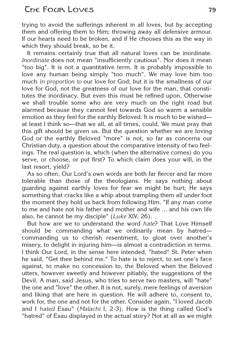trying to avoid the sufferings inherent in all loves, but by accepting them and offering them to Him; throwing away all defensive armour. If our hearts need to be broken, and if He chooses this as the way in which they should break, so be it.

It remains certainly true that all natural loves can be inordinate. *Inordinate* does not mean "insufficiently cautious". Nor does it mean "too big". It is not a quantitative term. It is probably impossible to love any human being simply "too much". We may love him too much *in proportion to* our love for God; but it is the smallness of our love for God, not the greatness of our love for the man, that constitutes the inordinacy. But even this must be refined upon. Otherwise we shall trouble some who are very much on the right road but alarmed because they cannot feel towards God so warm a sensible emotion as they feel for the earthly Beloved. It is much to be wished at least I think so—that we all, at all times, could. We must pray that this gift should be given us. But the question whether we are loving God or the earthly Beloved "more" is not, so far as concerns our Christian duty, a question about the comparative intensity of two feelings. The real question is, which (when the alternative comes) do you serve, or choose, or put first? To which claim does your will, in the last resort, yield?

As so often, Our Lord's own words are both far fiercer and far more tolerable than those of the theologians. He says nothing about guarding against earthly loves for fear we might be hurt; He says something that cracks like a whip about trampling them all under foot the moment they hold us back from following Him. "If any man come to me and hate not his father and mother and wife ... and his own life also, he cannot be my disciple" (*Luke* XIV, 26).

But how are we to understand the word *hate*? That Love Himself should be commanding what we ordinarily mean by hatred commanding us to cherish resentment, to gloat over another's misery, to delight in injuring him—is almost a contradiction in terms. I think Our Lord, in the sense here intended, "hated" St. Peter when he said, "Get thee behind me." To hate is to reject, to set one's face against, to make no concession to, the Beloved when the Beloved utters, however sweetly and however pitiably, the suggestions of the Devil. A man, said Jesus, who tries to serve two masters, will "hate" the one and "love" the other. It is not, surely, mere feelings of aversion and liking that are here in question. He will adhere to, consent to, work for, the one and not for the other. Consider again, "I loved Jacob and I *hated* Esau" (*Malachi* I, 2-3). How is the thing called God's "hatred" of Esau displayed in the actual story? Not at all as we might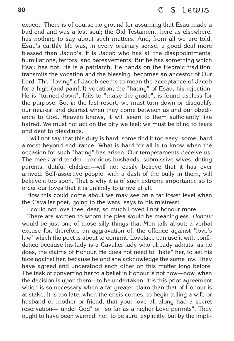expect. There is of course no ground for assuming that Esau made a bad end and was a lost soul; the Old Testament, here as elsewhere, has nothing to say about such matters. And, from all we are told, Esau's earthly life was, in every ordinary sense, a good deal more blessed than Jacob's. It is Jacob who has all the disappointments, humiliations, terrors, and bereavements. But he has something which Esau has not. He is a patriarch. He hands on the Hebraic tradition, transmits the vocation and the blessing, becomes an ancestor of Our Lord. The "loving" of Jacob seems to mean the acceptance of Jacob for a high (and painful) vocation; the "hating" of Esau, his rejection. He is "turned down", fails to "make the grade", is found useless for the purpose. So, in the last resort, we must turn down or disqualify our nearest and dearest when they come between us and our obedience to God. Heaven knows, it will seem to them sufficiently like hatred. We must not act on the pity we feel; we must be blind to tears and deaf to pleadings.

I will not say that this duty is hard; some find it too easy; some, hard almost beyond endurance. What is hard for all is to know when the occasion for such "hating" has arisen. Our temperaments deceive us. The meek and tender—uxorious husbands, submissive wives, doting parents, dutiful children—will not easily believe that it has ever arrived. Self-assertive people, with a dash of the bully in them, will believe it too soon. That is why it is of such extreme importance so to order our loves that it is unlikely to arrive at all.

How this could come about we may see on a far lower level when the Cavalier poet, going to the wars, says to his mistress:

I could not love thee, dear, so much Loved I not honour more.

There are women to whom the plea would be meaningless. *Honour* would be just one of those silly things that Men talk about; a verbal excuse for, therefore an aggravation of, the offence against "love's law" which the poet is about to commit. Lovelace can use it with confidence because his lady is a Cavalier lady who already admits, as he does, the claims of Honour. He does not need to "hate" her, to set his face against her, because he and she acknowledge the same law. They have agreed and understood each other on this matter long before. The task of converting her to a belief in Honour is not now—now, when the decision is upon them—to be undertaken. It is this prior agreement which is so necessary when a far greater claim than that of Honour is at stake. It is too late, when the crisis comes, to begin telling a wife or husband or mother or friend, that your love all along had a secret reservation—"under God" or "so far as a higher Love permits". They ought to have been warned; not, to be sure, explicitly, but by the impli-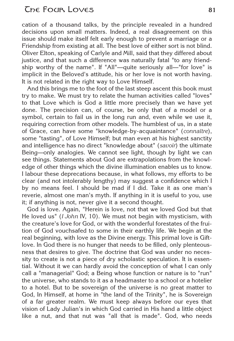cation of a thousand talks, by the principle revealed in a hundred decisions upon small matters. Indeed, a real disagreement on this issue should make itself felt early enough to prevent a marriage or a Friendship from existing at all. The best love of either sort is not blind. Oliver Elton, speaking of Carlyle and Mill, said that they differed about justice, and that such a difference was naturally fatal "to any friendship worthy of the name". If "All"—quite seriously all—"for love" is implicit in the Beloved's attitude, his or her love is not worth having. It is not related in the right way to Love Himself.

And this brings me to the foot of the last steep ascent this book must try to make. We must try to relate the human activities called "loves" to that Love which is God a little more precisely than we have yet done. The precision can, of course, be only that of a model or a symbol, certain to fail us in the long run and, even while we use it, requiring correction from other models. The humblest of us, in a state of Grace, can have some "knowledge-by-acquaintance" (*connaître*), some "tasting", of Love Himself; but man even at his highest sanctity and intelligence has no direct "knowledge about" (*savoir*) the ultimate Being—only analogies. We cannot see light, though by light we can see things. Statements about God are extrapolations from the knowledge of other things which the divine illumination enables us to know. I labour these deprecations because, in what follows, my efforts to be clear (and not intolerably lengthy) may suggest a confidence which I by no means feel. I should be mad if I did. Take it as one man's reverie, almost one man's myth. If anything in it is useful to you, use it; if anything is not, never give it a second thought.

God is love. Again, "Herein is love, not that we loved God but that He loved us" (*I John* IV, 10). We must not begin with mysticism, with the creature's love for God, or with the wonderful forestates of the fruition of God vouchsafed to some in their earthly life. We begin at the real beginning, with love as the Divine energy. This primal love is Giftlove. In God there is no hunger that needs to be filled, only plenteousness that desires to give. The doctrine that God was under no necessity to create is not a piece of dry scholastic speculation. It is essential. Without it we can hardly avoid the conception of what I can only call a "managerial" God; a Being whose function or nature is to "run" the universe, who stands to it as a headmaster to a school or a hotelier to a hotel. But to be sovereign of the universe is no great matter to God, In Himself, at home in "the land of the Trinity", he is Sovereign of a far greater realm. We must keep always before our eyes that vision of Lady Julian's in which God carried in His hand a little object like a nut, and that nut was "all that is made". God, who needs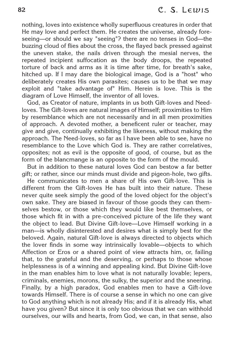nothing, loves into existence wholly superfluous creatures in order that He may love and perfect them. He creates the universe, already foreseeing—or should we say "seeing"? there are no tenses in God—the buzzing cloud of flies about the cross, the flayed back pressed against the uneven stake, the nails driven through the mesial nerves, the repeated incipient suffocation as the body droops, the repeated torture of back and arms as it is time after time, for breath's sake, hitched up. If I may dare the biological image, God is a "host" who deliberately creates His own parasites; causes us to be that we may exploit and "take advantage of" Him. Herein is love. This is the diagram of Love Himself, the inventor of all loves.

God, as Creator of nature, implants in us both Gift-loves and Needloves. The Gift-loves are natural images of Himself; proximities to Him by resemblance which are not necessarily and in all men proximities of approach. A devoted mother, a beneficent ruler or teacher, may give and give, continually exhibiting the likeness, without making the approach. The Need-loves, so far as I have been able to see, have no resemblance to the Love which God is. They are rather correlatives, opposites; not as evil is the opposite of good, of course, but as the form of the blancmange is an opposite to the form of the mould.

But in addition to these natural loves God can bestow a far better gift; or rather, since our minds must divide and pigeon-hole, two gifts.

He communicates to men a share of His own Gift-love. This is different from the Gift-loves He has built into their nature. These never quite seek simply the good of the loved object for the object's own sake. They are biased in favour of those goods they can themselves bestow, or those which they would like best themselves, or those which fit in with a pre-conceived picture of the life they want the object to lead. But Divine Gift-love—Love Himself working in a man—is wholly disinterested and desires what is simply best for the beloved. Again, natural Gift-love is always directed to objects which the lover finds in some way intrinsically lovable—objects to which Affection or Eros or a shared point of view attracts him, or, failing that, to the grateful and the deserving, or perhaps to those whose helplessness is of a winning and appealing kind. But Divine Gift-love in the man enables him to love what is not naturally lovable; lepers, criminals, enemies, morons, the sulky, the superior and the sneering. Finally, by a high paradox, God enables men to have a Gift-love towards Himself. There is of course a sense in which no one can give to God anything which is not already His; and if it is already His, what have you given? But since it is only too obvious that we can withhold ourselves, our wills and hearts, from God, we can, in that sense, also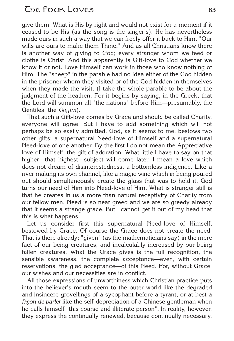give them. What is His by right and would not exist for a moment if it ceased to be His (as the song is the singer's), He has nevertheless made ours in such a way that we can freely offer it back to Him. "Our wills are ours to make them Thine." And as all Christians know there is another way of giving to God; every stranger whom we feed or clothe is Christ. And this apparently is Gift-love to God whether we know it or not. Love Himself can work in those who know nothing of Him. The "sheep" in the parable had no idea either of the God hidden in the prisoner whom they visited or of the God hidden in themselves when they made the visit. (I take the whole parable to be about the judgment of the heathen. For it begins by saying, in the Greek, that the Lord will summon all "the nations" before Him—presumably, the Gentiles, the *Goyim*).

That such a Gift-love comes by Grace and should be called Charity, everyone will agree. But I have to add something which will not perhaps be so easily admitted. God, as it seems to me, bestows two other gifts; a supernatural Need-love of Himself and a supernatural Need-love of one another. By the first I do not mean the Appreciative love of Himself, the gift of adoration. What little I have to say on that higher—that highest—subject will come later. I mean a love which does not dream of disinterestedness, a bottomless indigence. Like a river making its own channel, like a magic wine which in being poured out should simultaneously create the glass that was to hold it, God turns our need of Him into Need-love of Him. What is stranger still is that he creates in us a more than natural receptivity of Charity from our fellow men. Need is so near greed and we are so greedy already that it seems a strange grace. But I cannot get it out of my head that this is what happens.

Let us consider first this supernatural Need-love of Himself, bestowed by Grace. Of course the Grace does not create the need. That is there already; "given" (as the mathematicians say) in the mere fact of our being creatures, and incalculably increased by our being fallen creatures. What the Grace gives is the full recognition, the sensible awareness, the complete acceptance—even, with certain reservations, the glad acceptance—of this Need. For, without Grace, our wishes and our necessities are in conflict.

All those expressions of unworthiness which Christian practice puts into the believer's mouth seem to the outer world like the degraded and insincere grovellings of a sycophant before a tyrant, or at best a *façon de parler* like the self-depreciation of a Chinese gentleman when he calls himself "this coarse and illiterate person". In reality, however, they express the continually renewed, because continually necessary,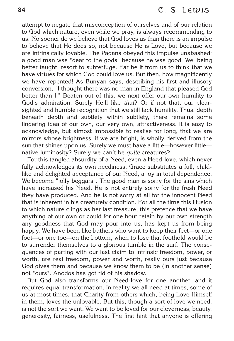attempt to negate that misconception of ourselves and of our relation to God which nature, even while we pray, is always recommending to us. No sooner do we believe that God loves us than there is an impulse to believe that He does so, not because He is Love, but because we are intrinsically lovable. The Pagans obeyed this impulse unabashed; a good man was "dear to the gods" because he was good. We, being better taught, resort to subterfuge. Far be it from us to think that we have virtues for which God could love us. But then, how magnificently we have repented! As Bunyan says, describing his first and illusory conversion, "I thought there was no man in England that pleased God better than I." Beaten out of this, we next offer our own humility to God's admiration. Surely He'll like *that*? Or if not that, our clearsighted and humble recognition that we still lack humility. Thus, depth beneath depth and subtlety within subtlety, there remains some lingering idea of our own, our very own, attractiveness. It is easy to acknowledge, but almost impossible to realise for long, that we are mirrors whose brightness, if we are bright, is wholly derived from the sun that shines upon us. Surely we must have a little—however little native luminosity? Surely we can't be *quite* creatures?

For this tangled absurdity of a Need, even a Need-love, which never fully acknowledges its own neediness, Grace substitutes a full, childlike and delighted acceptance of our Need, a joy in total dependence. We become "jolly beggars". The good man is sorry for the sins which have increased his Need. He is not entirely sorry for the fresh Need they have produced. And he is not sorry at all for the innocent Need that is inherent in his creaturely condition. For all the time this illusion to which nature clings as her last treasure, this pretence that we have anything of our own or could for one hour retain by our own strength any goodness that God may pour into us, has kept us from being happy. We have been like bathers who want to keep their feet—or one foot—or one toe—on the bottom, when to lose that foothold would be to surrender themselves to a glorious tumble in the surf. The consequences of parting with our last claim to intrinsic freedom, power, or worth, are real freedom, power and worth, really ours just because God gives them and because we know them to be (in another sense) not "ours". Anodos has got rid of his shadow.

But God also transforms our Need-love for one another, and it requires equal transformation. In reality we all need at times, some of us at most times, that Charity from others which, being Love Himself in them, loves the unlovable. But this, though a sort of love we need, is not the sort we want. We want to be loved for our cleverness, beauty, generosity, fairness, usefulness. The first hint that anyone is offering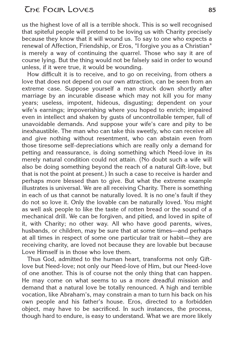us the highest love of all is a terrible shock. This is so well recognised that spiteful people will pretend to be loving us with Charity precisely because they know that it will wound us. To say to one who expects a renewal of Affection, Friendship, or Eros, "I forgive you as a Christian" is merely a way of continuing the quarrel. Those who say it are of course lying. But the thing would not be falsely said in order to wound unless, if it were true, it would be wounding.

How difficult it is to receive, and to go on receiving, from others a love that does not depend on our own attraction, can be seen from an extreme case. Suppose yourself a man struck down shortly after marriage by an incurable disease which may not kill you for many years; useless, impotent, hideous, disgusting; dependent on your wife's earnings; impoverishing where you hoped to enrich; impaired even in intellect and shaken by gusts of uncontrollable temper, full of unavoidable demands. And suppose your wife's care and pity to be inexhaustible. The man who can take this sweetly, who can receive all and give nothing without resentment, who can abstain even from those tiresome self-depreciations which are really only a demand for petting and reassurance, is doing something which Need-love in its merely natural condition could not attain. (No doubt such a wife will also be doing something beyond the reach of a natural Gift-love, but that is not the point at present.) In such a case to receive is harder and perhaps more blessed than to give. But what the extreme example illustrates is universal. We are all receiving Charity. There is something in each of us that cannot be naturally loved. It is no one's fault if they do not so love it. Only the lovable can be naturally loved. You might as well ask people to like the taste of rotten bread or the sound of a mechanical drill. We can be forgiven, and pitied, and loved in spite of it, with Charity; no other way. All who have good parents, wives, husbands, or children, may be sure that at some times—and perhaps at all times in respect of some one particular trait or habit—they are receiving charity, are loved not because they are lovable but because Love Himself is in those who love them.

Thus God, admitted to the human heart, transforms not only Giftlove but Need-love; not only our Need-love of Him, but our Need-love of one another. This is of course not the only thing that can happen. He may come on what seems to us a more dreadful mission and demand that a natural love be totally renounced. A high and terrible vocation, like Abraham's, may constrain a man to turn his back on his own people and his father's house. Eros, directed to a forbidden object, may have to be sacrificed. In such instances, the process, though hard to endure, is easy to understand. What we are more likely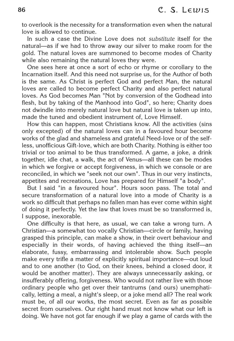to overlook is the necessity for a transformation even when the natural love is allowed to continue.

In such a case the Divine Love does not *substitute* itself for the natural—as if we had to throw away our silver to make room for the gold. The natural loves are summoned to become modes of Charity while also remaining the natural loves they were.

One sees here at once a sort of echo or rhyme or corollary to the Incarnation itself. And this need not surprise us, for the Author of both is the same. As Christ is perfect God and perfect Man, the natural loves are called to become perfect Charity and also perfect natural loves. As God becomes Man "Not by conversion of the Godhead into flesh, but by taking of the Manhood into God", so here; Charity does not dwindle into merely natural love but natural love is taken up into, made the tuned and obedient instrument of, Love Himself.

How this can happen, most Christians know. All the activities (sins only excepted) of the natural loves can in a favoured hour become works of the glad and shameless and grateful Need-love or of the selfless, unofficious Gift-love, which are both Charity. Nothing is either too trivial or too animal to be thus transformed. A game, a joke, a drink together, idle chat, a walk, the act of Venus—all these can be modes in which we forgive or accept forgiveness, in which we console or are reconciled, in which we "seek not our own". Thus in our very instincts, appetites and recreations, Love has prepared for Himself "a body".

But I said "in a favoured hour". Hours soon pass. The total and secure transformation of a natural love into a mode of Charity is a work so difficult that perhaps no fallen man has ever come within sight of doing it perfectly. Yet the law that loves must be so transformed is, I suppose, inexorable.

One difficulty is that here, as usual, we can take a wrong turn. A Christian—a somewhat too vocally Christian—circle or family, having grasped this principle, can make a show, in their overt behaviour and especially in their words, of having achieved the thing itself—an elaborate, fussy, embarrassing and intolerable show. Such people make every trifle a matter of explicitly spiritual importance—out loud and to one another (to God, on their knees, behind a closed door, it would be another matter). They are always unnecessarily asking, or insufferably offering, forgiveness. Who would not rather live with those ordinary people who get over their tantrums (and ours) unemphatically, letting a meal, a night's sleep, or a joke mend all? The real work must be, of all our works, the most secret. Even as far as possible secret from ourselves. Our right hand must not know what our left is doing. We have not got far enough if we play a game of cards with the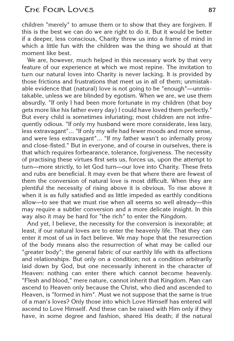children "merely" to amuse them or to show that they are forgiven. If this is the best we can do we are right to do it. But it would be better if a deeper, less conscious, Charity threw us into a frame of mind in which a little fun with the children was the thing we should at that moment like best.

We are, however, much helped in this necessary work by that very feature of our experience at which we most repine. The invitation to turn our natural loves into Charity is never lacking. It is provided by those frictions and frustrations that meet us in all of them; unmistakable evidence that (natural) love is not going to be "enough"—unmistakable, unless we are blinded by egotism. When we are, we use them absurdly. "If only I had been more fortunate in my children (that boy gets more like his father every day) I could have loved them perfectly." But every child is sometimes infuriating; most children are not infrequently odious. "If only my husband were more considerate, less lazy, less extravagant"... "If only my wife had fewer moods and more sense, and were less extravagant"... "If my father wasn't so infernally prosy and close-fisted." But in everyone, and of course in ourselves, there is that which requires forbearance, tolerance, forgiveness. The necessity of practising these virtues first sets us, forces us, upon the attempt to turn—more strictly, to let God turn—our love into Charity. These frets and rubs are beneficial. It may even be that where there are fewest of them the conversion of natural love is most difficult. When they are plentiful the necessity of rising above it is obvious. To rise above it when it is as fully satisfied and as little impeded as earthly conditions allow—to see that we must rise when all seems so well already—this may require a subtler conversion and a more delicate insight. In this way also it may be hard for "the rich" to enter the Kingdom.

And yet, I believe, the necessity for the conversion is inexorable; at least, if our natural loves are to enter the heavenly life. That they can enter it most of us in fact believe. We may hope that the resurrection of the body means also the resurrection of what may be called our "greater body"; the general fabric of our earthly life with its affections and relationships. But only on a condition; not a condition arbitrarily laid down by God, but one necessarily inherent in the character of Heaven: nothing can enter there which cannot become heavenly. "Flesh and blood," mere nature, cannot inherit that Kingdom. Man can ascend to Heaven only because the Christ, who died and ascended to Heaven, is "formed in him". Must we not suppose that the same is true of a man's loves? Only those into which Love Himself has entered will ascend to Love Himself. And these can be raised with Him only if they have, in some degree and fashion, shared His death; if the natural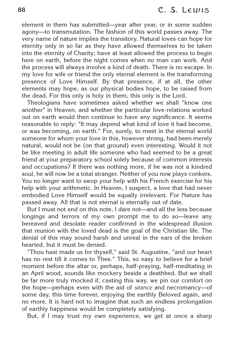element in them has submitted—year after year, or in some sudden agony—to transmutation. The fashion of this world passes away. The very name of nature implies the transitory. Natural loves can hope for eternity only in so far as they have allowed themselves to be taken into the eternity of Charity; have at least allowed the process to begin here on earth, before the night comes when no man can work. And the process will always involve a kind of death. There is no escape. In my love for wife or friend the only eternal element is the transforming presence of Love Himself. By that presence, if at all, the other elements may hope, as our physical bodies hope, to be raised from the dead. For this only is holy in them, this only is the Lord.

Theologians have sometimes asked whether we shall "know one another" in Heaven, and whether the particular love-relations worked out on earth would then continue to have any significance. It seems reasonable to reply: "It may depend what kind of love it had become, or was becoming, on earth." For, surely, to meet in the eternal world someone for whom your love in this, however strong, had been merely natural, would not be (on that ground) even interesting. Would it not be like meeting in adult life someone who had seemed to be a great friend at your preparatory school solely because of common interests and occupations? If there was nothing more, if he was not a kindred soul, he will now be a total stranger. Neither of you now plays conkers. You no longer want to swop your help with his French exercise for his help with your arithmetic. In Heaven, I suspect, a love that had never embodied Love Himself would be equally irrelevant. For Nature has passed away. All that is not eternal is eternally out of date.

But I must not end on this note, I dare not—and all the less because longings and terrors of my own prompt me to do so—leave any bereaved and desolate reader confirmed in the widespread illusion that reunion with the loved dead is the goal of the Christian life. The denial of this may sound harsh and unreal in the ears of the broken hearted, but it must be denied.

"Thou hast made us for thyself," said St. Augustine, "and our heart has no rest till it comes to Thee." This, so easy to believe for a brief moment before the altar or, perhaps, half-praying, half-meditating in an April wood, sounds like mockery beside a deathbed. But we shall be far more truly mocked if, casting this way, we pin our comfort on the hope—perhaps even with the aid of *séance* and necromancy—of some day, this time forever, enjoying the earthly Beloved again, and no more. It is hard not to imagine that such an endless prolongation of earthly happiness would be completely satisfying.

But, if I may trust my own experience, we get at once a sharp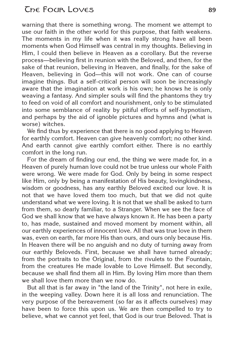warning that there is something wrong. The moment we attempt to use our faith in the other world for this purpose, that faith weakens. The moments in my life when it was really strong have all been moments when God Himself was central in my thoughts. Believing in Him, I could then believe in Heaven as a corollary. But the reverse process—believing first in reunion with the Beloved, and then, for the sake of that reunion, believing in Heaven, and finally, for the sake of Heaven, believing in God—this will not work. One can of course imagine things. But a self-critical person will soon be increasingly aware that the imagination at work is his own; he knows he is only weaving a fantasy. And simpler souls will find the phantoms they try to feed on void of all comfort and nourishment, only to be stimulated into some semblance of reality by pitiful efforts of self-hypnotism, and perhaps by the aid of ignoble pictures and hymns and (what is worse) witches.

We find thus by experience that there is no good applying to Heaven for earthly comfort. Heaven can give heavenly comfort; no other kind. And earth cannot give earthly comfort either. There is no earthly comfort in the long run.

For the dream of finding our end, the thing we were made for, in a Heaven of purely human love could not be true unless our whole Faith were wrong. We were made for God. Only by being in some respect like Him, only by being a manifestation of His beauty, lovingkindness, wisdom or goodness, has any earthly Beloved excited our love. It is not that we have loved them too much, but that we did not quite understand what we were loving. It is not that we shall be asked to turn from them, so dearly familiar, to a Stranger. When we see the face of God we shall know that we have always known it. He has been a party to, has made, sustained and moved moment by moment within, all our earthly experiences of innocent love. All that was true love in them was, even on earth, far more His than ours, and ours only because His. In Heaven there will be no anguish and no duty of turning away from our earthly Beloveds. First, because we shall have turned already; from the portraits to the Original, from the rivulets to the Fountain, from the creatures He made lovable to Love Himself. But secondly, because we shall find them all in Him. By loving Him more than them we shall love them more than we now do.

But all that is far away in "the land of the Trinity", not here in exile, in the weeping valley. Down here it is all loss and renunciation. The very purpose of the bereavement (so far as it affects ourselves) may have been to force this upon us. We are then compelled to try to believe, what we cannot yet feel, that God is our true Beloved. That is